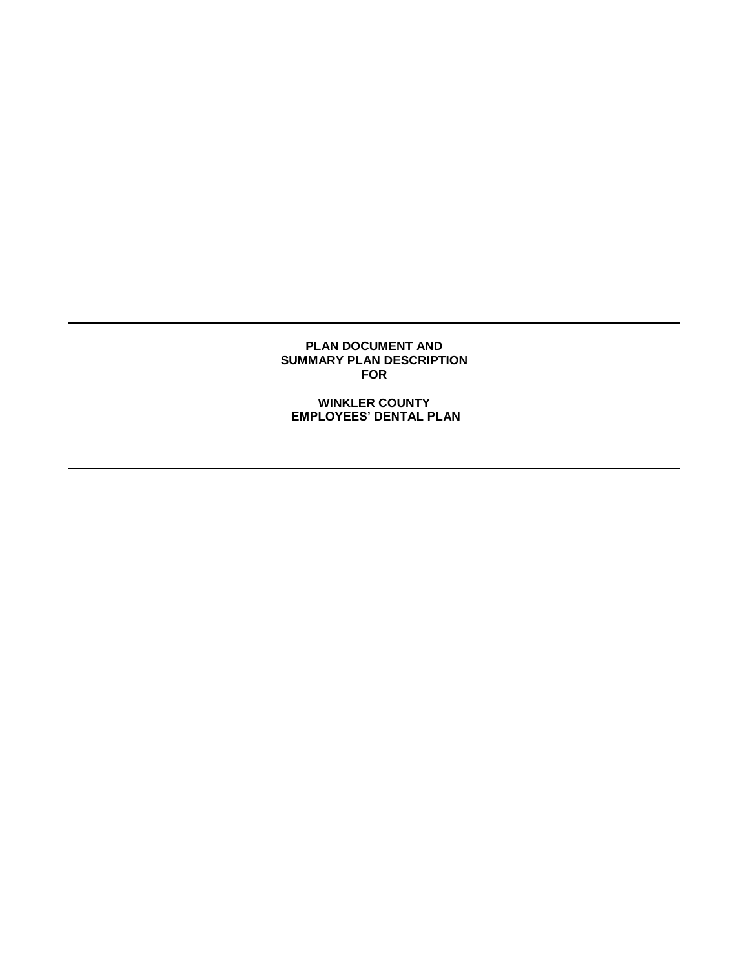### **PLAN DOCUMENT AND SUMMARY PLAN DESCRIPTION FOR**

**WINKLER COUNTY EMPLOYEES' DENTAL PLAN**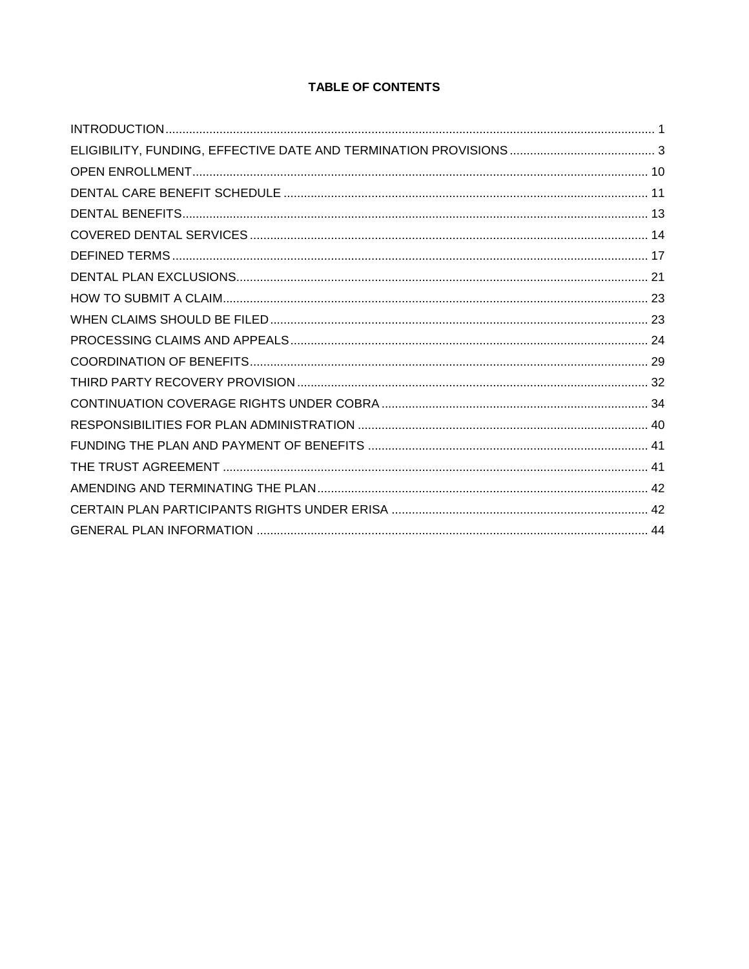# **TABLE OF CONTENTS**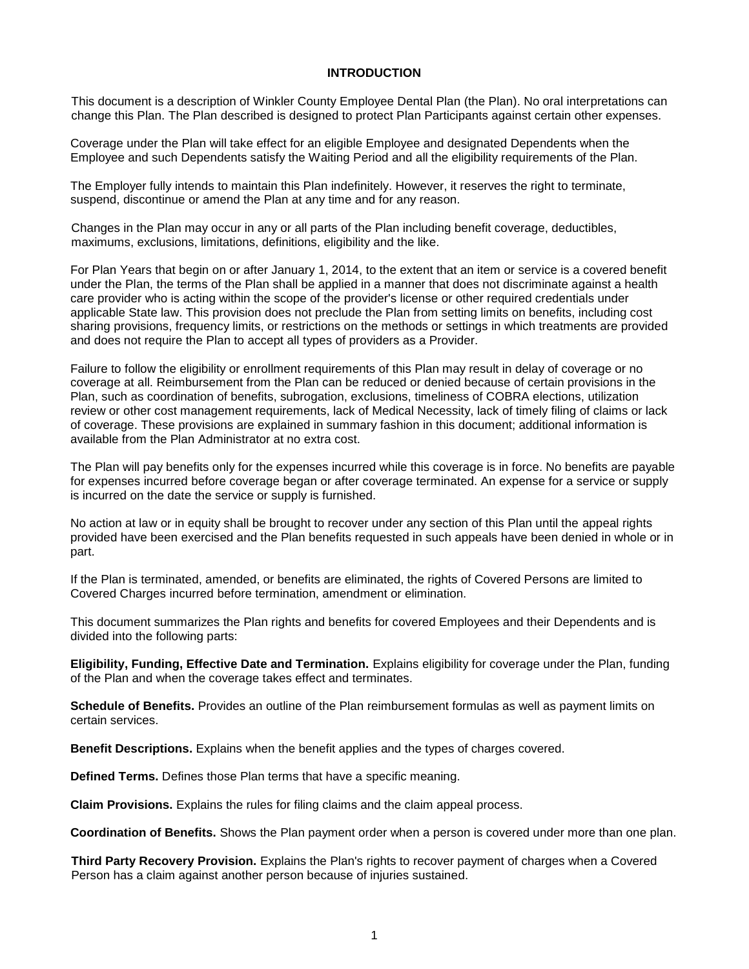#### **INTRODUCTION**

<span id="page-2-0"></span>This document is a description of Winkler County Employee Dental Plan (the Plan). No oral interpretations can change this Plan. The Plan described is designed to protect Plan Participants against certain other expenses.

Coverage under the Plan will take effect for an eligible Employee and designated Dependents when the Employee and such Dependents satisfy the Waiting Period and all the eligibility requirements of the Plan.

The Employer fully intends to maintain this Plan indefinitely. However, it reserves the right to terminate, suspend, discontinue or amend the Plan at any time and for any reason.

Changes in the Plan may occur in any or all parts of the Plan including benefit coverage, deductibles, maximums, exclusions, limitations, definitions, eligibility and the like.

For Plan Years that begin on or after January 1, 2014, to the extent that an item or service is a covered benefit under the Plan, the terms of the Plan shall be applied in a manner that does not discriminate against a health care provider who is acting within the scope of the provider's license or other required credentials under applicable State law. This provision does not preclude the Plan from setting limits on benefits, including cost sharing provisions, frequency limits, or restrictions on the methods or settings in which treatments are provided and does not require the Plan to accept all types of providers as a Provider.

Failure to follow the eligibility or enrollment requirements of this Plan may result in delay of coverage or no coverage at all. Reimbursement from the Plan can be reduced or denied because of certain provisions in the Plan, such as coordination of benefits, subrogation, exclusions, timeliness of COBRA elections, utilization review or other cost management requirements, lack of Medical Necessity, lack of timely filing of claims or lack of coverage. These provisions are explained in summary fashion in this document; additional information is available from the Plan Administrator at no extra cost.

The Plan will pay benefits only for the expenses incurred while this coverage is in force. No benefits are payable for expenses incurred before coverage began or after coverage terminated. An expense for a service or supply is incurred on the date the service or supply is furnished.

No action at law or in equity shall be brought to recover under any section of this Plan until the appeal rights provided have been exercised and the Plan benefits requested in such appeals have been denied in whole or in part.

If the Plan is terminated, amended, or benefits are eliminated, the rights of Covered Persons are limited to Covered Charges incurred before termination, amendment or elimination.

This document summarizes the Plan rights and benefits for covered Employees and their Dependents and is divided into the following parts:

**Eligibility, Funding, Effective Date and Termination.** Explains eligibility for coverage under the Plan, funding of the Plan and when the coverage takes effect and terminates.

**Schedule of Benefits.** Provides an outline of the Plan reimbursement formulas as well as payment limits on certain services.

**Benefit Descriptions.** Explains when the benefit applies and the types of charges covered.

**Defined Terms.** Defines those Plan terms that have a specific meaning.

**Claim Provisions.** Explains the rules for filing claims and the claim appeal process.

**Coordination of Benefits.** Shows the Plan payment order when a person is covered under more than one plan.

**Third Party Recovery Provision.** Explains the Plan's rights to recover payment of charges when a Covered Person has a claim against another person because of injuries sustained.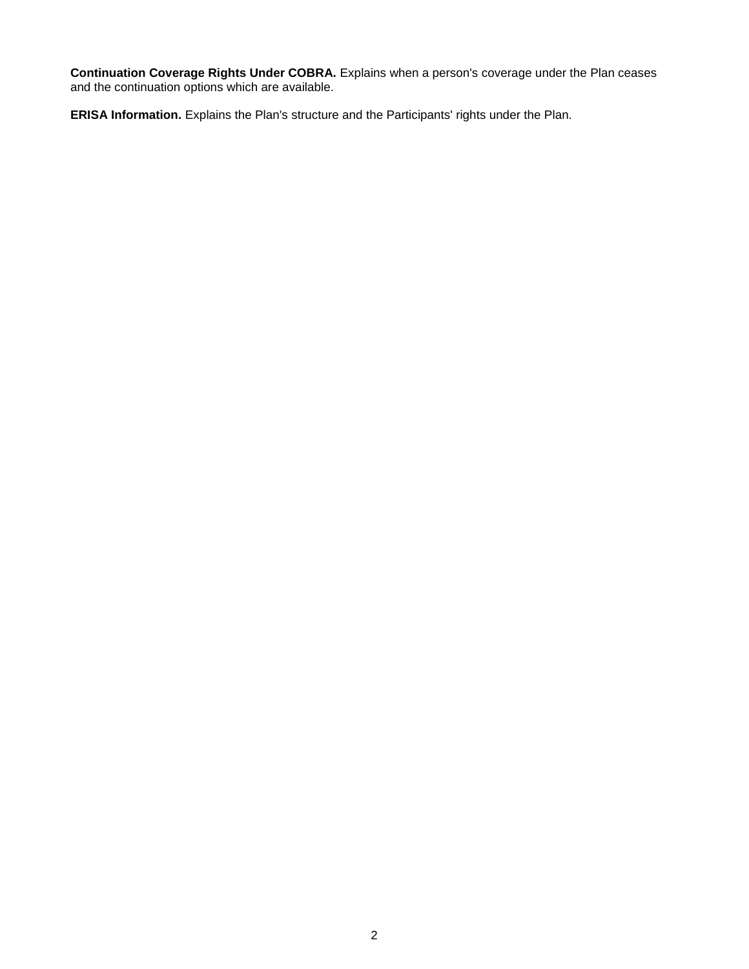**Continuation Coverage Rights Under COBRA.** Explains when a person's coverage under the Plan ceases and the continuation options which are available.

**ERISA Information.** Explains the Plan's structure and the Participants' rights under the Plan.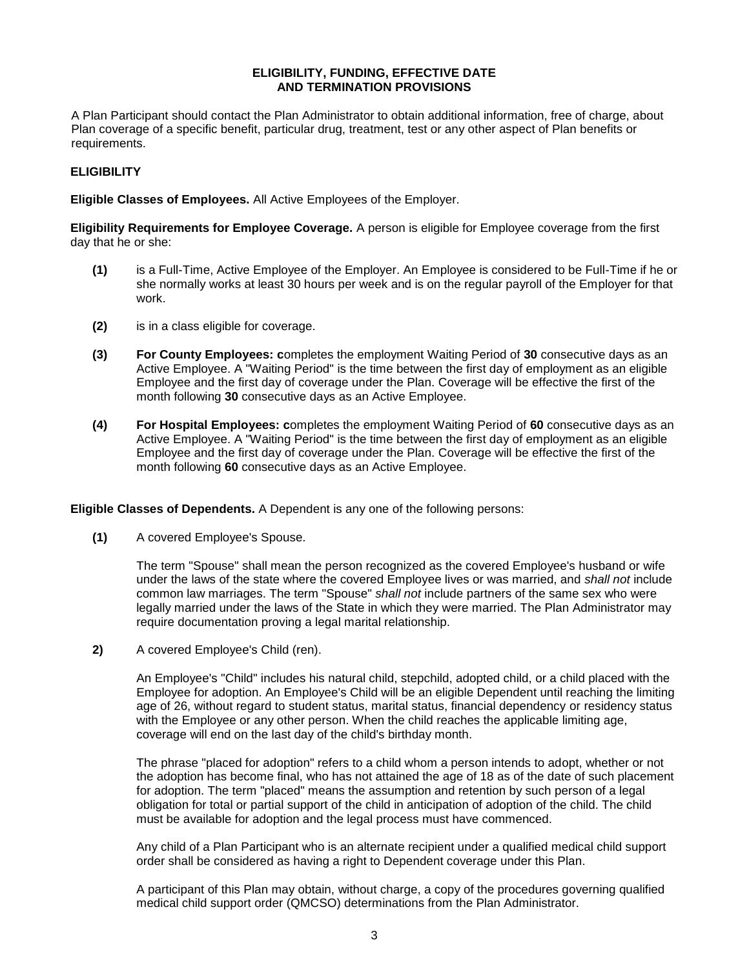### **ELIGIBILITY, FUNDING, EFFECTIVE DATE AND TERMINATION PROVISIONS**

<span id="page-4-0"></span>A Plan Participant should contact the Plan Administrator to obtain additional information, free of charge, about Plan coverage of a specific benefit, particular drug, treatment, test or any other aspect of Plan benefits or requirements.

## **ELIGIBILITY**

**Eligible Classes of Employees.** All Active Employees of the Employer.

**Eligibility Requirements for Employee Coverage.** A person is eligible for Employee coverage from the first day that he or she:

- **(1)** is a Full-Time, Active Employee of the Employer. An Employee is considered to be Full-Time if he or she normally works at least 30 hours per week and is on the regular payroll of the Employer for that work.
- **(2)** is in a class eligible for coverage.
- **(3) For County Employees: c**ompletes the employment Waiting Period of **30** consecutive days as an Active Employee. A "Waiting Period" is the time between the first day of employment as an eligible Employee and the first day of coverage under the Plan. Coverage will be effective the first of the month following **30** consecutive days as an Active Employee.
- **(4) For Hospital Employees: c**ompletes the employment Waiting Period of **60** consecutive days as an Active Employee. A "Waiting Period" is the time between the first day of employment as an eligible Employee and the first day of coverage under the Plan. Coverage will be effective the first of the month following **60** consecutive days as an Active Employee.

**Eligible Classes of Dependents.** A Dependent is any one of the following persons:

**(1)** A covered Employee's Spouse.

The term "Spouse" shall mean the person recognized as the covered Employee's husband or wife under the laws of the state where the covered Employee lives or was married, and *shall not* include common law marriages. The term "Spouse" *shall not* include partners of the same sex who were legally married under the laws of the State in which they were married. The Plan Administrator may require documentation proving a legal marital relationship.

**2)** A covered Employee's Child (ren).

An Employee's "Child" includes his natural child, stepchild, adopted child, or a child placed with the Employee for adoption. An Employee's Child will be an eligible Dependent until reaching the limiting age of 26, without regard to student status, marital status, financial dependency or residency status with the Employee or any other person. When the child reaches the applicable limiting age, coverage will end on the last day of the child's birthday month.

The phrase "placed for adoption" refers to a child whom a person intends to adopt, whether or not the adoption has become final, who has not attained the age of 18 as of the date of such placement for adoption. The term "placed" means the assumption and retention by such person of a legal obligation for total or partial support of the child in anticipation of adoption of the child. The child must be available for adoption and the legal process must have commenced.

Any child of a Plan Participant who is an alternate recipient under a qualified medical child support order shall be considered as having a right to Dependent coverage under this Plan.

A participant of this Plan may obtain, without charge, a copy of the procedures governing qualified medical child support order (QMCSO) determinations from the Plan Administrator.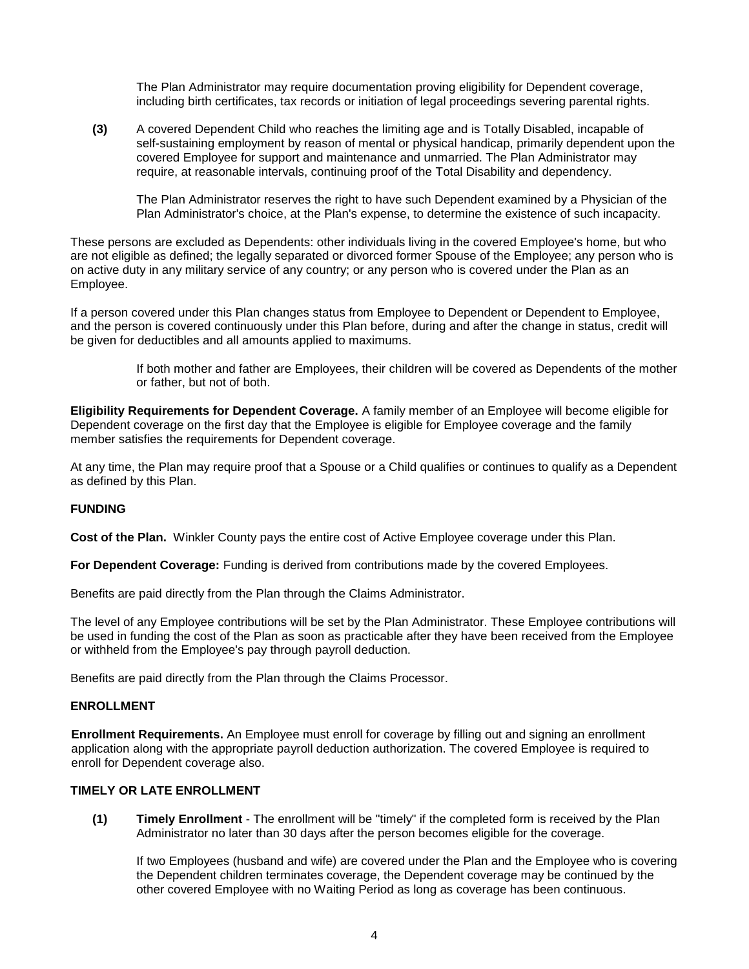The Plan Administrator may require documentation proving eligibility for Dependent coverage, including birth certificates, tax records or initiation of legal proceedings severing parental rights.

**(3)** A covered Dependent Child who reaches the limiting age and is Totally Disabled, incapable of self-sustaining employment by reason of mental or physical handicap, primarily dependent upon the covered Employee for support and maintenance and unmarried. The Plan Administrator may require, at reasonable intervals, continuing proof of the Total Disability and dependency.

The Plan Administrator reserves the right to have such Dependent examined by a Physician of the Plan Administrator's choice, at the Plan's expense, to determine the existence of such incapacity.

These persons are excluded as Dependents: other individuals living in the covered Employee's home, but who are not eligible as defined; the legally separated or divorced former Spouse of the Employee; any person who is on active duty in any military service of any country; or any person who is covered under the Plan as an Employee.

If a person covered under this Plan changes status from Employee to Dependent or Dependent to Employee, and the person is covered continuously under this Plan before, during and after the change in status, credit will be given for deductibles and all amounts applied to maximums.

> If both mother and father are Employees, their children will be covered as Dependents of the mother or father, but not of both.

**Eligibility Requirements for Dependent Coverage.** A family member of an Employee will become eligible for Dependent coverage on the first day that the Employee is eligible for Employee coverage and the family member satisfies the requirements for Dependent coverage.

At any time, the Plan may require proof that a Spouse or a Child qualifies or continues to qualify as a Dependent as defined by this Plan.

#### **FUNDING**

**Cost of the Plan.** Winkler County pays the entire cost of Active Employee coverage under this Plan.

**For Dependent Coverage:** Funding is derived from contributions made by the covered Employees.

Benefits are paid directly from the Plan through the Claims Administrator.

The level of any Employee contributions will be set by the Plan Administrator. These Employee contributions will be used in funding the cost of the Plan as soon as practicable after they have been received from the Employee or withheld from the Employee's pay through payroll deduction.

Benefits are paid directly from the Plan through the Claims Processor.

## **ENROLLMENT**

**Enrollment Requirements.** An Employee must enroll for coverage by filling out and signing an enrollment application along with the appropriate payroll deduction authorization. The covered Employee is required to enroll for Dependent coverage also.

## **TIMELY OR LATE ENROLLMENT**

**(1) Timely Enrollment** - The enrollment will be "timely" if the completed form is received by the Plan Administrator no later than 30 days after the person becomes eligible for the coverage.

If two Employees (husband and wife) are covered under the Plan and the Employee who is covering the Dependent children terminates coverage, the Dependent coverage may be continued by the other covered Employee with no Waiting Period as long as coverage has been continuous.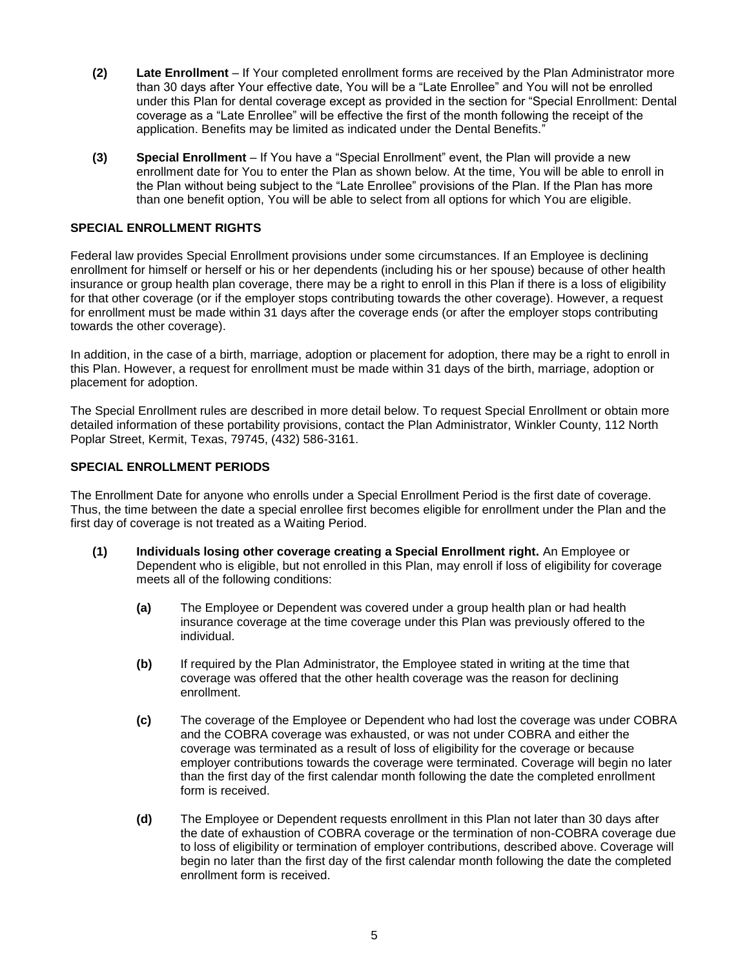- **(2) Late Enrollment** If Your completed enrollment forms are received by the Plan Administrator more than 30 days after Your effective date, You will be a "Late Enrollee" and You will not be enrolled under this Plan for dental coverage except as provided in the section for "Special Enrollment: Dental coverage as a "Late Enrollee" will be effective the first of the month following the receipt of the application. Benefits may be limited as indicated under the Dental Benefits."
- **(3) Special Enrollment**  If You have a "Special Enrollment" event, the Plan will provide a new enrollment date for You to enter the Plan as shown below. At the time, You will be able to enroll in the Plan without being subject to the "Late Enrollee" provisions of the Plan. If the Plan has more than one benefit option, You will be able to select from all options for which You are eligible.

## **SPECIAL ENROLLMENT RIGHTS**

Federal law provides Special Enrollment provisions under some circumstances. If an Employee is declining enrollment for himself or herself or his or her dependents (including his or her spouse) because of other health insurance or group health plan coverage, there may be a right to enroll in this Plan if there is a loss of eligibility for that other coverage (or if the employer stops contributing towards the other coverage). However, a request for enrollment must be made within 31 days after the coverage ends (or after the employer stops contributing towards the other coverage).

In addition, in the case of a birth, marriage, adoption or placement for adoption, there may be a right to enroll in this Plan. However, a request for enrollment must be made within 31 days of the birth, marriage, adoption or placement for adoption.

The Special Enrollment rules are described in more detail below. To request Special Enrollment or obtain more detailed information of these portability provisions, contact the Plan Administrator, Winkler County, 112 North Poplar Street, Kermit, Texas, 79745, (432) 586-3161.

## **SPECIAL ENROLLMENT PERIODS**

The Enrollment Date for anyone who enrolls under a Special Enrollment Period is the first date of coverage. Thus, the time between the date a special enrollee first becomes eligible for enrollment under the Plan and the first day of coverage is not treated as a Waiting Period.

- **(1) Individuals losing other coverage creating a Special Enrollment right.** An Employee or Dependent who is eligible, but not enrolled in this Plan, may enroll if loss of eligibility for coverage meets all of the following conditions:
	- **(a)** The Employee or Dependent was covered under a group health plan or had health insurance coverage at the time coverage under this Plan was previously offered to the individual.
	- **(b)** If required by the Plan Administrator, the Employee stated in writing at the time that coverage was offered that the other health coverage was the reason for declining enrollment.
	- **(c)** The coverage of the Employee or Dependent who had lost the coverage was under COBRA and the COBRA coverage was exhausted, or was not under COBRA and either the coverage was terminated as a result of loss of eligibility for the coverage or because employer contributions towards the coverage were terminated. Coverage will begin no later than the first day of the first calendar month following the date the completed enrollment form is received.
	- **(d)** The Employee or Dependent requests enrollment in this Plan not later than 30 days after the date of exhaustion of COBRA coverage or the termination of non-COBRA coverage due to loss of eligibility or termination of employer contributions, described above. Coverage will begin no later than the first day of the first calendar month following the date the completed enrollment form is received.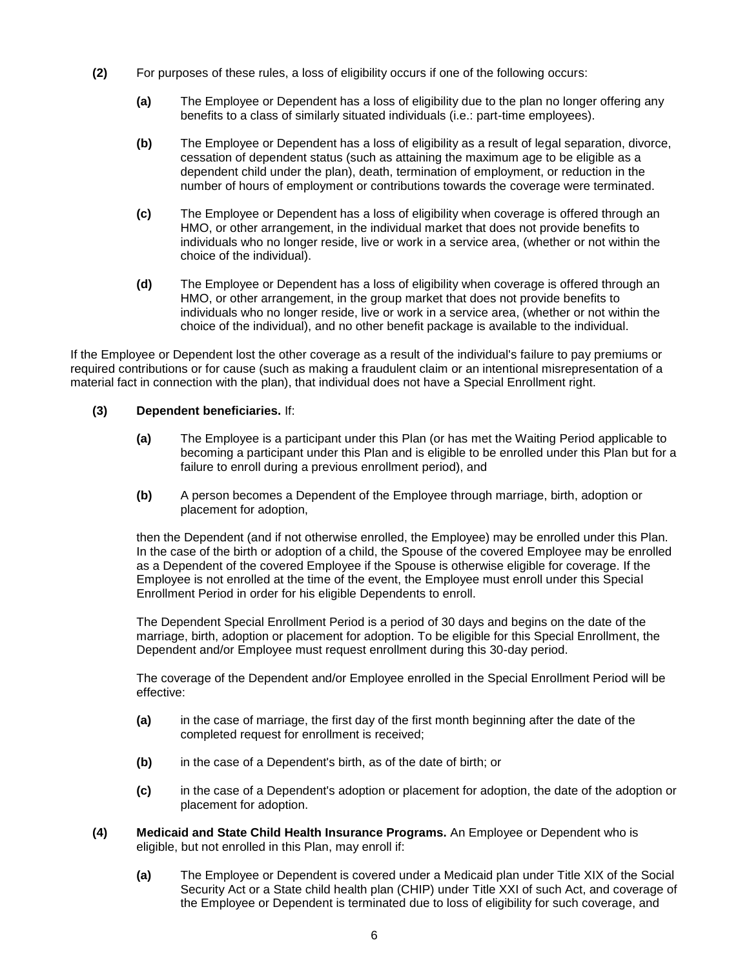- **(2)** For purposes of these rules, a loss of eligibility occurs if one of the following occurs:
	- **(a)** The Employee or Dependent has a loss of eligibility due to the plan no longer offering any benefits to a class of similarly situated individuals (i.e.: part-time employees).
	- **(b)** The Employee or Dependent has a loss of eligibility as a result of legal separation, divorce, cessation of dependent status (such as attaining the maximum age to be eligible as a dependent child under the plan), death, termination of employment, or reduction in the number of hours of employment or contributions towards the coverage were terminated.
	- **(c)** The Employee or Dependent has a loss of eligibility when coverage is offered through an HMO, or other arrangement, in the individual market that does not provide benefits to individuals who no longer reside, live or work in a service area, (whether or not within the choice of the individual).
	- **(d)** The Employee or Dependent has a loss of eligibility when coverage is offered through an HMO, or other arrangement, in the group market that does not provide benefits to individuals who no longer reside, live or work in a service area, (whether or not within the choice of the individual), and no other benefit package is available to the individual.

If the Employee or Dependent lost the other coverage as a result of the individual's failure to pay premiums or required contributions or for cause (such as making a fraudulent claim or an intentional misrepresentation of a material fact in connection with the plan), that individual does not have a Special Enrollment right.

## **(3) Dependent beneficiaries.** If:

- **(a)** The Employee is a participant under this Plan (or has met the Waiting Period applicable to becoming a participant under this Plan and is eligible to be enrolled under this Plan but for a failure to enroll during a previous enrollment period), and
- **(b)** A person becomes a Dependent of the Employee through marriage, birth, adoption or placement for adoption,

then the Dependent (and if not otherwise enrolled, the Employee) may be enrolled under this Plan. In the case of the birth or adoption of a child, the Spouse of the covered Employee may be enrolled as a Dependent of the covered Employee if the Spouse is otherwise eligible for coverage. If the Employee is not enrolled at the time of the event, the Employee must enroll under this Special Enrollment Period in order for his eligible Dependents to enroll.

The Dependent Special Enrollment Period is a period of 30 days and begins on the date of the marriage, birth, adoption or placement for adoption. To be eligible for this Special Enrollment, the Dependent and/or Employee must request enrollment during this 30-day period.

The coverage of the Dependent and/or Employee enrolled in the Special Enrollment Period will be effective:

- **(a)** in the case of marriage, the first day of the first month beginning after the date of the completed request for enrollment is received;
- **(b)** in the case of a Dependent's birth, as of the date of birth; or
- **(c)** in the case of a Dependent's adoption or placement for adoption, the date of the adoption or placement for adoption.
- **(4) Medicaid and State Child Health Insurance Programs.** An Employee or Dependent who is eligible, but not enrolled in this Plan, may enroll if:
	- **(a)** The Employee or Dependent is covered under a Medicaid plan under Title XIX of the Social Security Act or a State child health plan (CHIP) under Title XXI of such Act, and coverage of the Employee or Dependent is terminated due to loss of eligibility for such coverage, and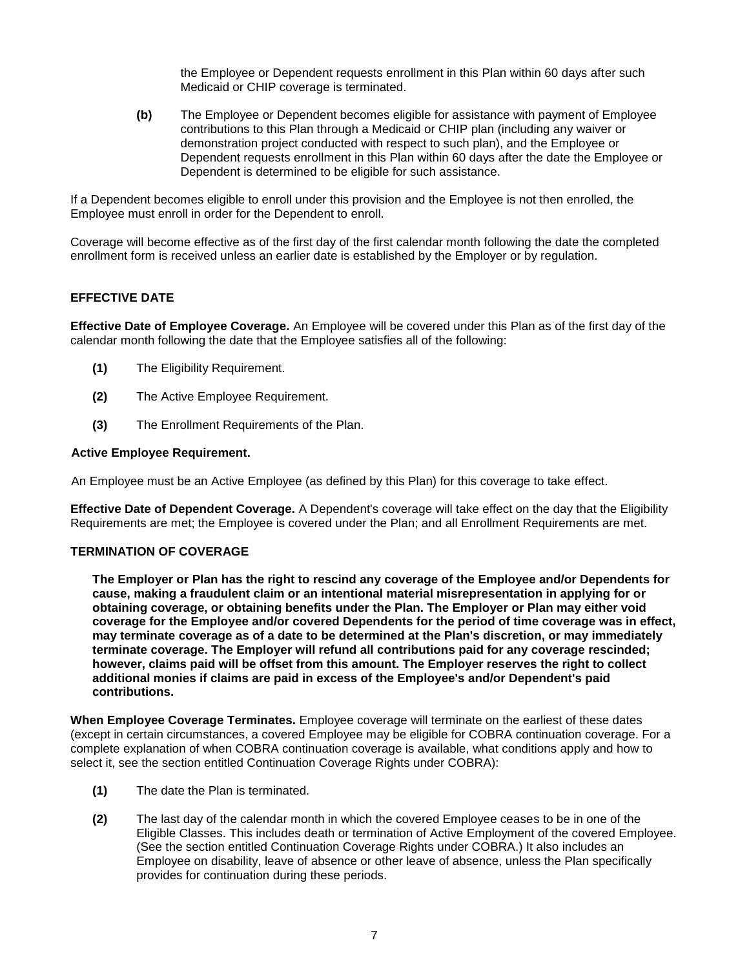the Employee or Dependent requests enrollment in this Plan within 60 days after such Medicaid or CHIP coverage is terminated.

**(b)** The Employee or Dependent becomes eligible for assistance with payment of Employee contributions to this Plan through a Medicaid or CHIP plan (including any waiver or demonstration project conducted with respect to such plan), and the Employee or Dependent requests enrollment in this Plan within 60 days after the date the Employee or Dependent is determined to be eligible for such assistance.

If a Dependent becomes eligible to enroll under this provision and the Employee is not then enrolled, the Employee must enroll in order for the Dependent to enroll.

Coverage will become effective as of the first day of the first calendar month following the date the completed enrollment form is received unless an earlier date is established by the Employer or by regulation.

## **EFFECTIVE DATE**

**Effective Date of Employee Coverage.** An Employee will be covered under this Plan as of the first day of the calendar month following the date that the Employee satisfies all of the following:

- **(1)** The Eligibility Requirement.
- **(2)** The Active Employee Requirement.
- **(3)** The Enrollment Requirements of the Plan.

#### **Active Employee Requirement.**

An Employee must be an Active Employee (as defined by this Plan) for this coverage to take effect.

**Effective Date of Dependent Coverage.** A Dependent's coverage will take effect on the day that the Eligibility Requirements are met; the Employee is covered under the Plan; and all Enrollment Requirements are met.

#### **TERMINATION OF COVERAGE**

**The Employer or Plan has the right to rescind any coverage of the Employee and/or Dependents for cause, making a fraudulent claim or an intentional material misrepresentation in applying for or obtaining coverage, or obtaining benefits under the Plan. The Employer or Plan may either void coverage for the Employee and/or covered Dependents for the period of time coverage was in effect, may terminate coverage as of a date to be determined at the Plan's discretion, or may immediately terminate coverage. The Employer will refund all contributions paid for any coverage rescinded; however, claims paid will be offset from this amount. The Employer reserves the right to collect additional monies if claims are paid in excess of the Employee's and/or Dependent's paid contributions.**

**When Employee Coverage Terminates.** Employee coverage will terminate on the earliest of these dates (except in certain circumstances, a covered Employee may be eligible for COBRA continuation coverage. For a complete explanation of when COBRA continuation coverage is available, what conditions apply and how to select it, see the section entitled Continuation Coverage Rights under COBRA):

- **(1)** The date the Plan is terminated.
- **(2)** The last day of the calendar month in which the covered Employee ceases to be in one of the Eligible Classes. This includes death or termination of Active Employment of the covered Employee. (See the section entitled Continuation Coverage Rights under COBRA.) It also includes an Employee on disability, leave of absence or other leave of absence, unless the Plan specifically provides for continuation during these periods.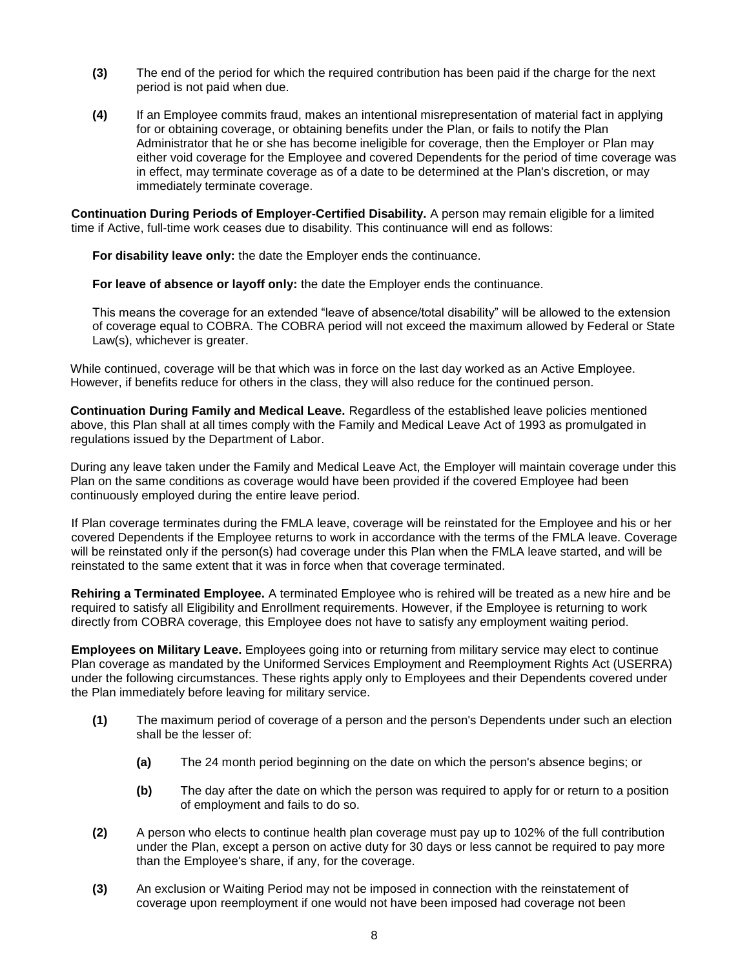- **(3)** The end of the period for which the required contribution has been paid if the charge for the next period is not paid when due.
- **(4)** If an Employee commits fraud, makes an intentional misrepresentation of material fact in applying for or obtaining coverage, or obtaining benefits under the Plan, or fails to notify the Plan Administrator that he or she has become ineligible for coverage, then the Employer or Plan may either void coverage for the Employee and covered Dependents for the period of time coverage was in effect, may terminate coverage as of a date to be determined at the Plan's discretion, or may immediately terminate coverage.

**Continuation During Periods of Employer-Certified Disability.** A person may remain eligible for a limited time if Active, full-time work ceases due to disability. This continuance will end as follows:

**For disability leave only:** the date the Employer ends the continuance.

**For leave of absence or layoff only:** the date the Employer ends the continuance.

This means the coverage for an extended "leave of absence/total disability" will be allowed to the extension of coverage equal to COBRA. The COBRA period will not exceed the maximum allowed by Federal or State Law(s), whichever is greater.

While continued, coverage will be that which was in force on the last day worked as an Active Employee. However, if benefits reduce for others in the class, they will also reduce for the continued person.

**Continuation During Family and Medical Leave.** Regardless of the established leave policies mentioned above, this Plan shall at all times comply with the Family and Medical Leave Act of 1993 as promulgated in regulations issued by the Department of Labor.

During any leave taken under the Family and Medical Leave Act, the Employer will maintain coverage under this Plan on the same conditions as coverage would have been provided if the covered Employee had been continuously employed during the entire leave period.

If Plan coverage terminates during the FMLA leave, coverage will be reinstated for the Employee and his or her covered Dependents if the Employee returns to work in accordance with the terms of the FMLA leave. Coverage will be reinstated only if the person(s) had coverage under this Plan when the FMLA leave started, and will be reinstated to the same extent that it was in force when that coverage terminated.

**Rehiring a Terminated Employee.** A terminated Employee who is rehired will be treated as a new hire and be required to satisfy all Eligibility and Enrollment requirements. However, if the Employee is returning to work directly from COBRA coverage, this Employee does not have to satisfy any employment waiting period.

**Employees on Military Leave.** Employees going into or returning from military service may elect to continue Plan coverage as mandated by the Uniformed Services Employment and Reemployment Rights Act (USERRA) under the following circumstances. These rights apply only to Employees and their Dependents covered under the Plan immediately before leaving for military service.

- **(1)** The maximum period of coverage of a person and the person's Dependents under such an election shall be the lesser of:
	- **(a)** The 24 month period beginning on the date on which the person's absence begins; or
	- **(b)** The day after the date on which the person was required to apply for or return to a position of employment and fails to do so.
- **(2)** A person who elects to continue health plan coverage must pay up to 102% of the full contribution under the Plan, except a person on active duty for 30 days or less cannot be required to pay more than the Employee's share, if any, for the coverage.
- **(3)** An exclusion or Waiting Period may not be imposed in connection with the reinstatement of coverage upon reemployment if one would not have been imposed had coverage not been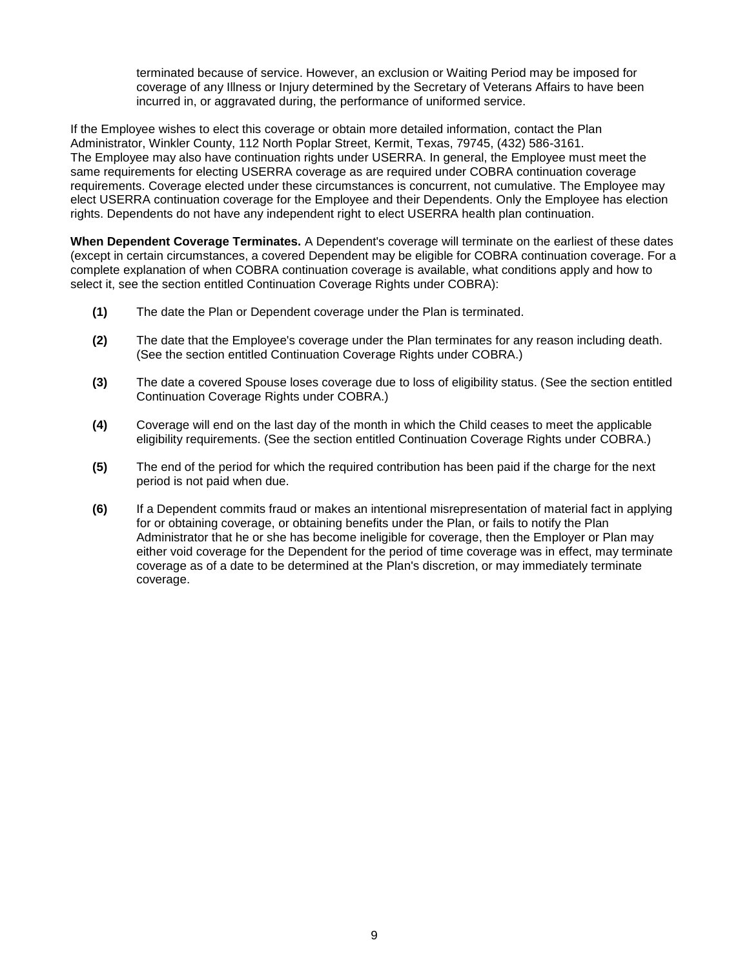terminated because of service. However, an exclusion or Waiting Period may be imposed for coverage of any Illness or Injury determined by the Secretary of Veterans Affairs to have been incurred in, or aggravated during, the performance of uniformed service.

If the Employee wishes to elect this coverage or obtain more detailed information, contact the Plan Administrator, Winkler County, 112 North Poplar Street, Kermit, Texas, 79745, (432) 586-3161. The Employee may also have continuation rights under USERRA. In general, the Employee must meet the same requirements for electing USERRA coverage as are required under COBRA continuation coverage requirements. Coverage elected under these circumstances is concurrent, not cumulative. The Employee may elect USERRA continuation coverage for the Employee and their Dependents. Only the Employee has election rights. Dependents do not have any independent right to elect USERRA health plan continuation.

**When Dependent Coverage Terminates.** A Dependent's coverage will terminate on the earliest of these dates (except in certain circumstances, a covered Dependent may be eligible for COBRA continuation coverage. For a complete explanation of when COBRA continuation coverage is available, what conditions apply and how to select it, see the section entitled Continuation Coverage Rights under COBRA):

- **(1)** The date the Plan or Dependent coverage under the Plan is terminated.
- **(2)** The date that the Employee's coverage under the Plan terminates for any reason including death. (See the section entitled Continuation Coverage Rights under COBRA.)
- **(3)** The date a covered Spouse loses coverage due to loss of eligibility status. (See the section entitled Continuation Coverage Rights under COBRA.)
- **(4)** Coverage will end on the last day of the month in which the Child ceases to meet the applicable eligibility requirements. (See the section entitled Continuation Coverage Rights under COBRA.)
- **(5)** The end of the period for which the required contribution has been paid if the charge for the next period is not paid when due.
- **(6)** If a Dependent commits fraud or makes an intentional misrepresentation of material fact in applying for or obtaining coverage, or obtaining benefits under the Plan, or fails to notify the Plan Administrator that he or she has become ineligible for coverage, then the Employer or Plan may either void coverage for the Dependent for the period of time coverage was in effect, may terminate coverage as of a date to be determined at the Plan's discretion, or may immediately terminate coverage.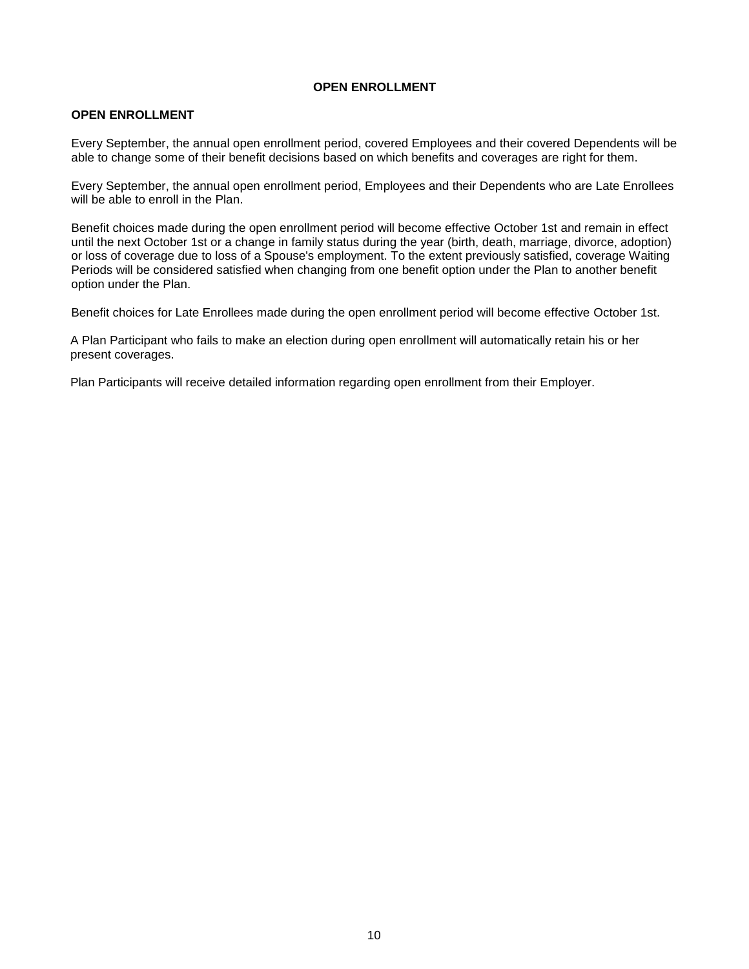## **OPEN ENROLLMENT**

## <span id="page-11-0"></span>**OPEN ENROLLMENT**

Every September, the annual open enrollment period, covered Employees and their covered Dependents will be able to change some of their benefit decisions based on which benefits and coverages are right for them.

Every September, the annual open enrollment period, Employees and their Dependents who are Late Enrollees will be able to enroll in the Plan.

Benefit choices made during the open enrollment period will become effective October 1st and remain in effect until the next October 1st or a change in family status during the year (birth, death, marriage, divorce, adoption) or loss of coverage due to loss of a Spouse's employment. To the extent previously satisfied, coverage Waiting Periods will be considered satisfied when changing from one benefit option under the Plan to another benefit option under the Plan.

Benefit choices for Late Enrollees made during the open enrollment period will become effective October 1st.

A Plan Participant who fails to make an election during open enrollment will automatically retain his or her present coverages.

Plan Participants will receive detailed information regarding open enrollment from their Employer.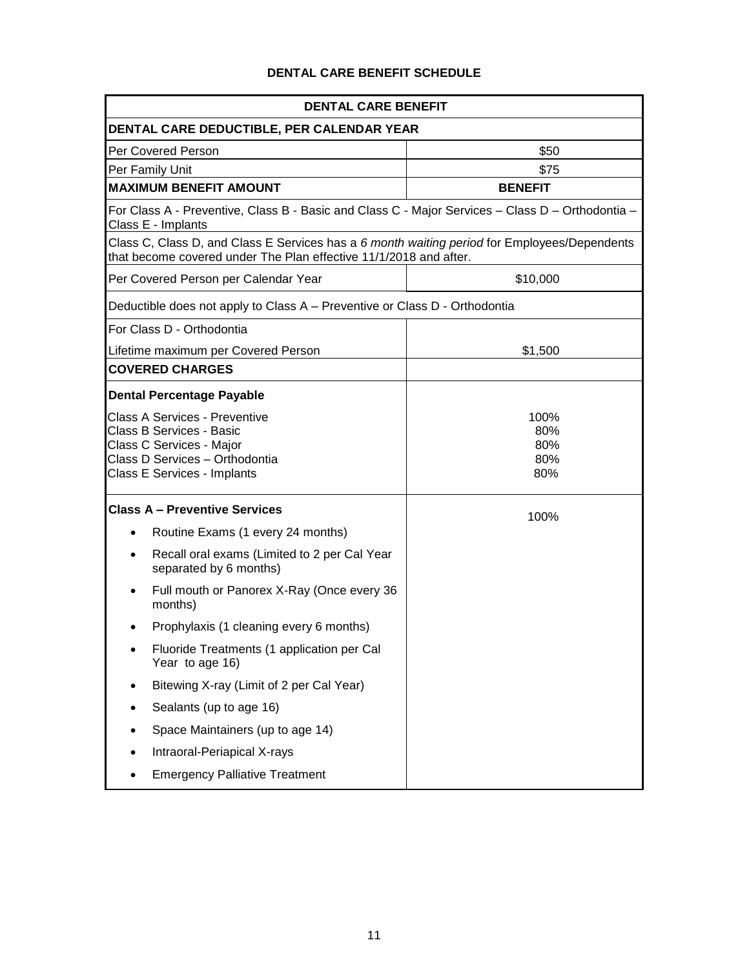## **DENTAL CARE BENEFIT SCHEDULE**

| <b>DENTAL CARE BENEFIT</b>                                                                                             |                                                                                                                                                                   |                |  |
|------------------------------------------------------------------------------------------------------------------------|-------------------------------------------------------------------------------------------------------------------------------------------------------------------|----------------|--|
| DENTAL CARE DEDUCTIBLE, PER CALENDAR YEAR                                                                              |                                                                                                                                                                   |                |  |
|                                                                                                                        | Per Covered Person                                                                                                                                                | \$50           |  |
|                                                                                                                        | Per Family Unit                                                                                                                                                   | \$75           |  |
|                                                                                                                        | <b>MAXIMUM BENEFIT AMOUNT</b>                                                                                                                                     | <b>BENEFIT</b> |  |
| For Class A - Preventive, Class B - Basic and Class C - Major Services - Class D - Orthodontia -<br>Class E - Implants |                                                                                                                                                                   |                |  |
|                                                                                                                        | Class C, Class D, and Class E Services has a 6 month waiting period for Employees/Dependents<br>that become covered under The Plan effective 11/1/2018 and after. |                |  |
|                                                                                                                        | Per Covered Person per Calendar Year                                                                                                                              | \$10,000       |  |
|                                                                                                                        | Deductible does not apply to Class A - Preventive or Class D - Orthodontia                                                                                        |                |  |
|                                                                                                                        | For Class D - Orthodontia                                                                                                                                         |                |  |
|                                                                                                                        | Lifetime maximum per Covered Person                                                                                                                               | \$1,500        |  |
|                                                                                                                        | <b>COVERED CHARGES</b>                                                                                                                                            |                |  |
|                                                                                                                        | <b>Dental Percentage Payable</b>                                                                                                                                  |                |  |
|                                                                                                                        | <b>Class A Services - Preventive</b>                                                                                                                              | 100%           |  |
|                                                                                                                        | Class B Services - Basic                                                                                                                                          | 80%            |  |
|                                                                                                                        | Class C Services - Major<br>Class D Services - Orthodontia                                                                                                        | 80%<br>80%     |  |
|                                                                                                                        | Class E Services - Implants                                                                                                                                       | 80%            |  |
|                                                                                                                        |                                                                                                                                                                   |                |  |
| <b>Class A - Preventive Services</b>                                                                                   |                                                                                                                                                                   | 100%           |  |
| $\bullet$                                                                                                              | Routine Exams (1 every 24 months)                                                                                                                                 |                |  |
|                                                                                                                        | Recall oral exams (Limited to 2 per Cal Year<br>separated by 6 months)                                                                                            |                |  |
|                                                                                                                        | Full mouth or Panorex X-Ray (Once every 36<br>months)                                                                                                             |                |  |
|                                                                                                                        | Prophylaxis (1 cleaning every 6 months)                                                                                                                           |                |  |
|                                                                                                                        | Fluoride Treatments (1 application per Cal<br>Year to age 16)                                                                                                     |                |  |
|                                                                                                                        | Bitewing X-ray (Limit of 2 per Cal Year)                                                                                                                          |                |  |
|                                                                                                                        | Sealants (up to age 16)                                                                                                                                           |                |  |
|                                                                                                                        | Space Maintainers (up to age 14)                                                                                                                                  |                |  |
|                                                                                                                        | Intraoral-Periapical X-rays                                                                                                                                       |                |  |
|                                                                                                                        | <b>Emergency Palliative Treatment</b>                                                                                                                             |                |  |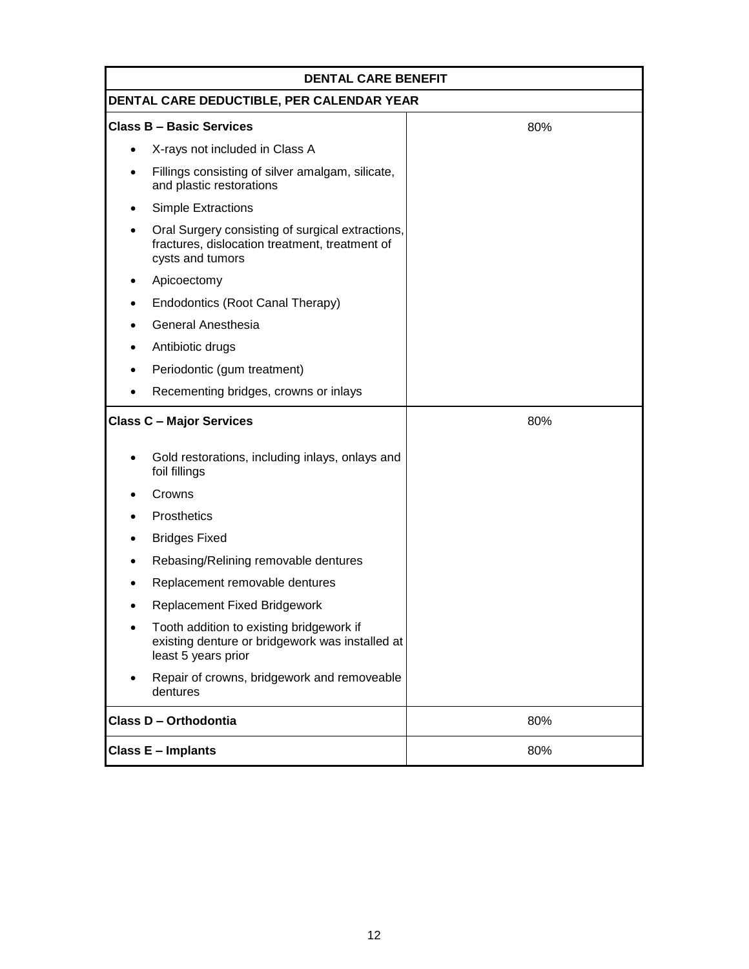| <b>DENTAL CARE BENEFIT</b>                |                                                                                                                        |     |  |
|-------------------------------------------|------------------------------------------------------------------------------------------------------------------------|-----|--|
| DENTAL CARE DEDUCTIBLE, PER CALENDAR YEAR |                                                                                                                        |     |  |
|                                           | <b>Class B - Basic Services</b>                                                                                        | 80% |  |
| $\bullet$                                 | X-rays not included in Class A                                                                                         |     |  |
|                                           | Fillings consisting of silver amalgam, silicate,<br>and plastic restorations                                           |     |  |
|                                           | <b>Simple Extractions</b>                                                                                              |     |  |
|                                           | Oral Surgery consisting of surgical extractions,<br>fractures, dislocation treatment, treatment of<br>cysts and tumors |     |  |
|                                           | Apicoectomy                                                                                                            |     |  |
|                                           | Endodontics (Root Canal Therapy)                                                                                       |     |  |
|                                           | <b>General Anesthesia</b>                                                                                              |     |  |
|                                           | Antibiotic drugs                                                                                                       |     |  |
|                                           | Periodontic (gum treatment)                                                                                            |     |  |
|                                           | Recementing bridges, crowns or inlays                                                                                  |     |  |
| <b>Class C - Major Services</b>           |                                                                                                                        | 80% |  |
|                                           | Gold restorations, including inlays, onlays and<br>foil fillings                                                       |     |  |
|                                           | Crowns                                                                                                                 |     |  |
|                                           | Prosthetics                                                                                                            |     |  |
|                                           | <b>Bridges Fixed</b>                                                                                                   |     |  |
|                                           | Rebasing/Relining removable dentures                                                                                   |     |  |
|                                           | Replacement removable dentures                                                                                         |     |  |
|                                           | <b>Replacement Fixed Bridgework</b>                                                                                    |     |  |
| $\bullet$                                 | Tooth addition to existing bridgework if<br>existing denture or bridgework was installed at<br>least 5 years prior     |     |  |
|                                           | Repair of crowns, bridgework and removeable<br>dentures                                                                |     |  |
|                                           | Class D - Orthodontia                                                                                                  | 80% |  |
| <b>Class E - Implants</b>                 |                                                                                                                        | 80% |  |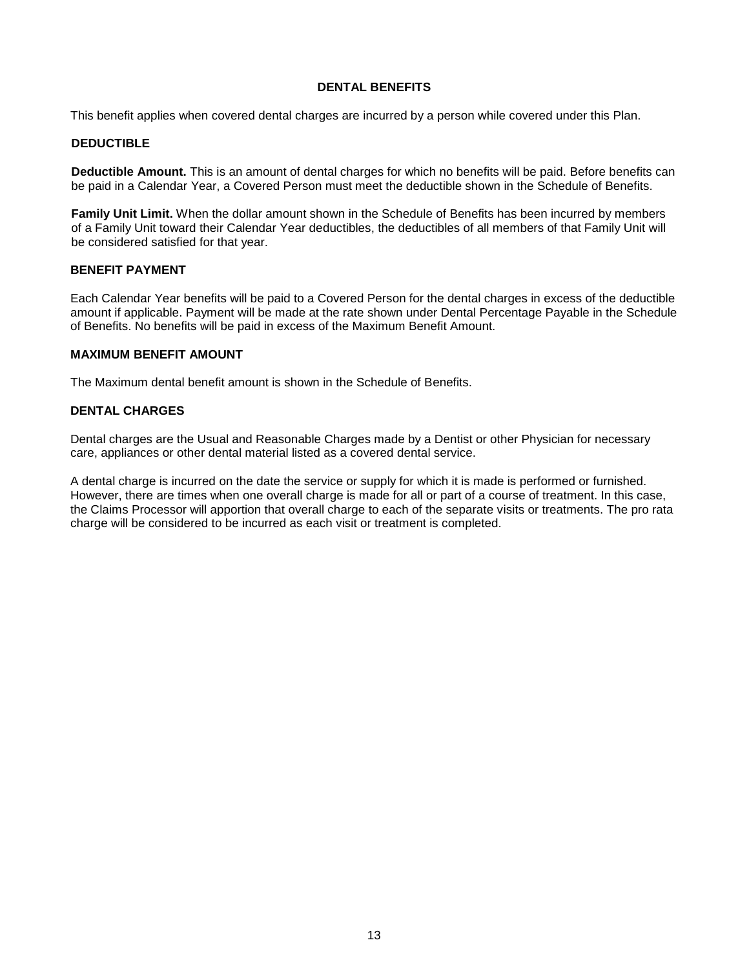### **DENTAL BENEFITS**

This benefit applies when covered dental charges are incurred by a person while covered under this Plan.

## **DEDUCTIBLE**

**Deductible Amount.** This is an amount of dental charges for which no benefits will be paid. Before benefits can be paid in a Calendar Year, a Covered Person must meet the deductible shown in the Schedule of Benefits.

**Family Unit Limit.** When the dollar amount shown in the Schedule of Benefits has been incurred by members of a Family Unit toward their Calendar Year deductibles, the deductibles of all members of that Family Unit will be considered satisfied for that year.

### **BENEFIT PAYMENT**

Each Calendar Year benefits will be paid to a Covered Person for the dental charges in excess of the deductible amount if applicable. Payment will be made at the rate shown under Dental Percentage Payable in the Schedule of Benefits. No benefits will be paid in excess of the Maximum Benefit Amount.

#### **MAXIMUM BENEFIT AMOUNT**

The Maximum dental benefit amount is shown in the Schedule of Benefits.

#### **DENTAL CHARGES**

Dental charges are the Usual and Reasonable Charges made by a Dentist or other Physician for necessary care, appliances or other dental material listed as a covered dental service.

A dental charge is incurred on the date the service or supply for which it is made is performed or furnished. However, there are times when one overall charge is made for all or part of a course of treatment. In this case, the Claims Processor will apportion that overall charge to each of the separate visits or treatments. The pro rata charge will be considered to be incurred as each visit or treatment is completed.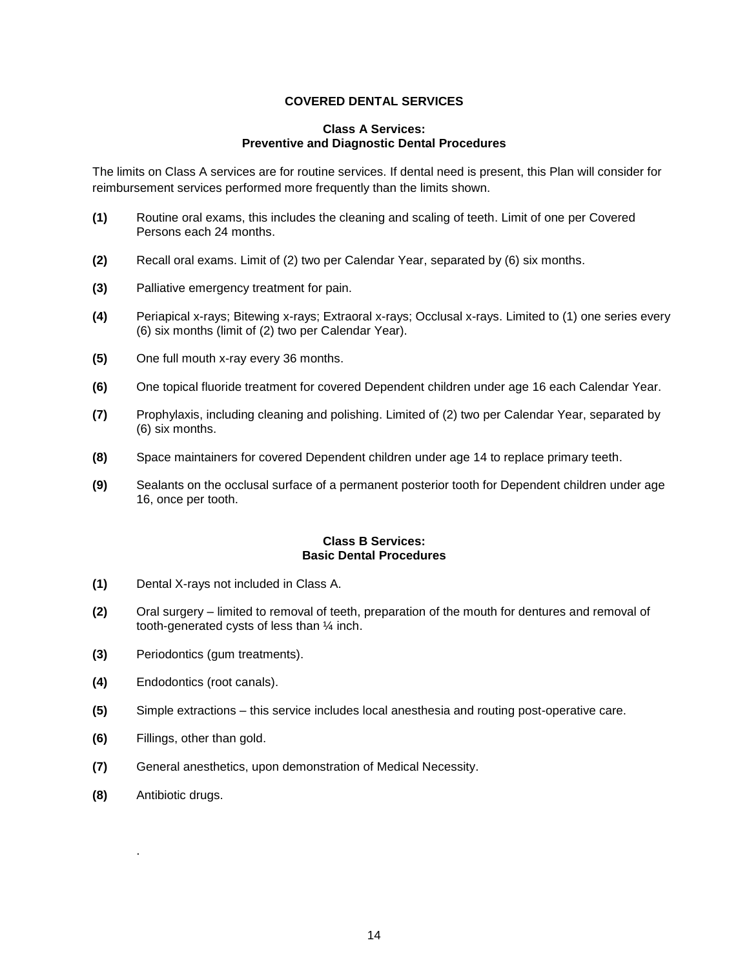## **COVERED DENTAL SERVICES**

#### **Class A Services: Preventive and Diagnostic Dental Procedures**

The limits on Class A services are for routine services. If dental need is present, this Plan will consider for reimbursement services performed more frequently than the limits shown.

- **(1)** Routine oral exams, this includes the cleaning and scaling of teeth. Limit of one per Covered Persons each 24 months.
- **(2)** Recall oral exams. Limit of (2) two per Calendar Year, separated by (6) six months.
- **(3)** Palliative emergency treatment for pain.
- **(4)** Periapical x-rays; Bitewing x-rays; Extraoral x-rays; Occlusal x-rays. Limited to (1) one series every (6) six months (limit of (2) two per Calendar Year).
- **(5)** One full mouth x-ray every 36 months.
- **(6)** One topical fluoride treatment for covered Dependent children under age 16 each Calendar Year.
- **(7)** Prophylaxis, including cleaning and polishing. Limited of (2) two per Calendar Year, separated by (6) six months.
- **(8)** Space maintainers for covered Dependent children under age 14 to replace primary teeth.
- **(9)** Sealants on the occlusal surface of a permanent posterior tooth for Dependent children under age 16, once per tooth.

#### **Class B Services: Basic Dental Procedures**

- **(1)** Dental X-rays not included in Class A.
- **(2)** Oral surgery limited to removal of teeth, preparation of the mouth for dentures and removal of tooth-generated cysts of less than ¼ inch.
- **(3)** Periodontics (gum treatments).
- **(4)** Endodontics (root canals).
- **(5)** Simple extractions this service includes local anesthesia and routing post-operative care.
- **(6)** Fillings, other than gold.
- **(7)** General anesthetics, upon demonstration of Medical Necessity.
- **(8)** Antibiotic drugs.

.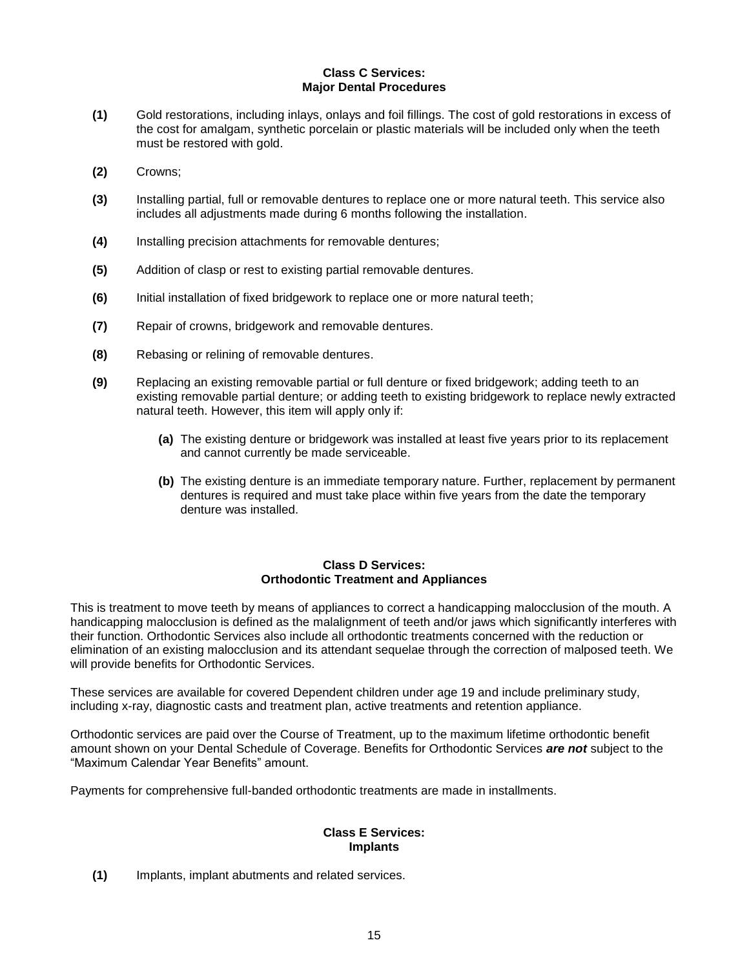## **Class C Services: Major Dental Procedures**

- **(1)** Gold restorations, including inlays, onlays and foil fillings. The cost of gold restorations in excess of the cost for amalgam, synthetic porcelain or plastic materials will be included only when the teeth must be restored with gold.
- **(2)** Crowns;
- **(3)** Installing partial, full or removable dentures to replace one or more natural teeth. This service also includes all adjustments made during 6 months following the installation.
- **(4)** Installing precision attachments for removable dentures;
- **(5)** Addition of clasp or rest to existing partial removable dentures.
- **(6)** Initial installation of fixed bridgework to replace one or more natural teeth;
- **(7)** Repair of crowns, bridgework and removable dentures.
- **(8)** Rebasing or relining of removable dentures.
- **(9)** Replacing an existing removable partial or full denture or fixed bridgework; adding teeth to an existing removable partial denture; or adding teeth to existing bridgework to replace newly extracted natural teeth. However, this item will apply only if:
	- **(a)** The existing denture or bridgework was installed at least five years prior to its replacement and cannot currently be made serviceable.
	- **(b)** The existing denture is an immediate temporary nature. Further, replacement by permanent dentures is required and must take place within five years from the date the temporary denture was installed.

## **Class D Services: Orthodontic Treatment and Appliances**

This is treatment to move teeth by means of appliances to correct a handicapping malocclusion of the mouth. A handicapping malocclusion is defined as the malalignment of teeth and/or jaws which significantly interferes with their function. Orthodontic Services also include all orthodontic treatments concerned with the reduction or elimination of an existing malocclusion and its attendant sequelae through the correction of malposed teeth. We will provide benefits for Orthodontic Services.

These services are available for covered Dependent children under age 19 and include preliminary study, including x-ray, diagnostic casts and treatment plan, active treatments and retention appliance.

Orthodontic services are paid over the Course of Treatment, up to the maximum lifetime orthodontic benefit amount shown on your Dental Schedule of Coverage. Benefits for Orthodontic Services *are not* subject to the "Maximum Calendar Year Benefits" amount.

Payments for comprehensive full-banded orthodontic treatments are made in installments.

#### **Class E Services: Implants**

**(1)** Implants, implant abutments and related services.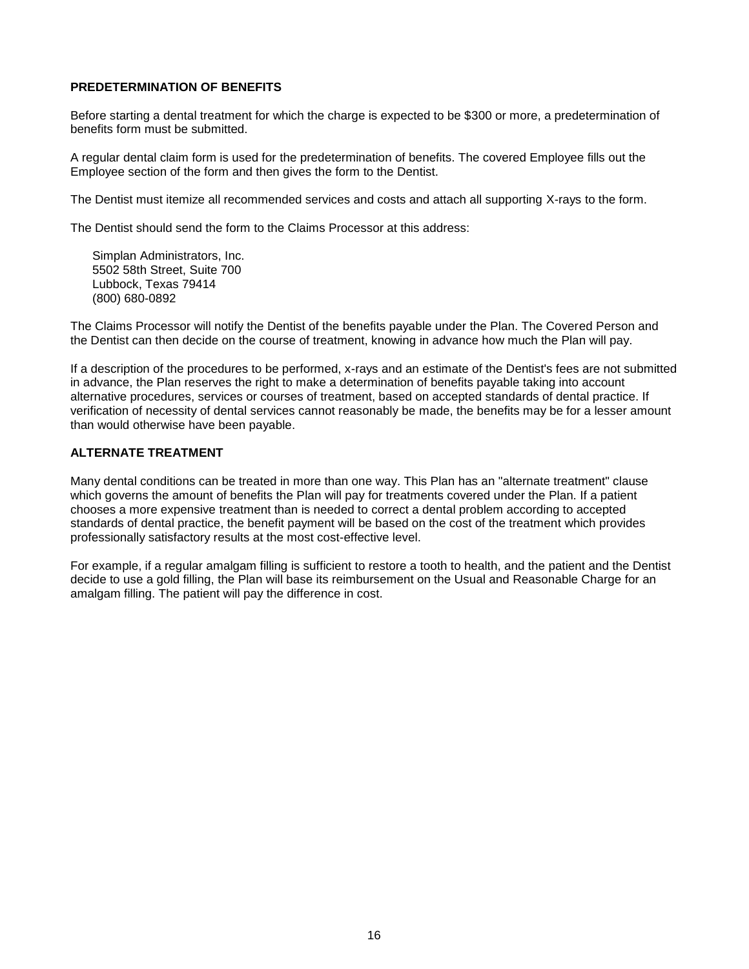### **PREDETERMINATION OF BENEFITS**

Before starting a dental treatment for which the charge is expected to be \$300 or more, a predetermination of benefits form must be submitted.

A regular dental claim form is used for the predetermination of benefits. The covered Employee fills out the Employee section of the form and then gives the form to the Dentist.

The Dentist must itemize all recommended services and costs and attach all supporting X-rays to the form.

The Dentist should send the form to the Claims Processor at this address:

Simplan Administrators, Inc. 5502 58th Street, Suite 700 Lubbock, Texas 79414 (800) 680-0892

The Claims Processor will notify the Dentist of the benefits payable under the Plan. The Covered Person and the Dentist can then decide on the course of treatment, knowing in advance how much the Plan will pay.

If a description of the procedures to be performed, x-rays and an estimate of the Dentist's fees are not submitted in advance, the Plan reserves the right to make a determination of benefits payable taking into account alternative procedures, services or courses of treatment, based on accepted standards of dental practice. If verification of necessity of dental services cannot reasonably be made, the benefits may be for a lesser amount than would otherwise have been payable.

## **ALTERNATE TREATMENT**

Many dental conditions can be treated in more than one way. This Plan has an "alternate treatment" clause which governs the amount of benefits the Plan will pay for treatments covered under the Plan. If a patient chooses a more expensive treatment than is needed to correct a dental problem according to accepted standards of dental practice, the benefit payment will be based on the cost of the treatment which provides professionally satisfactory results at the most cost-effective level.

For example, if a regular amalgam filling is sufficient to restore a tooth to health, and the patient and the Dentist decide to use a gold filling, the Plan will base its reimbursement on the Usual and Reasonable Charge for an amalgam filling. The patient will pay the difference in cost.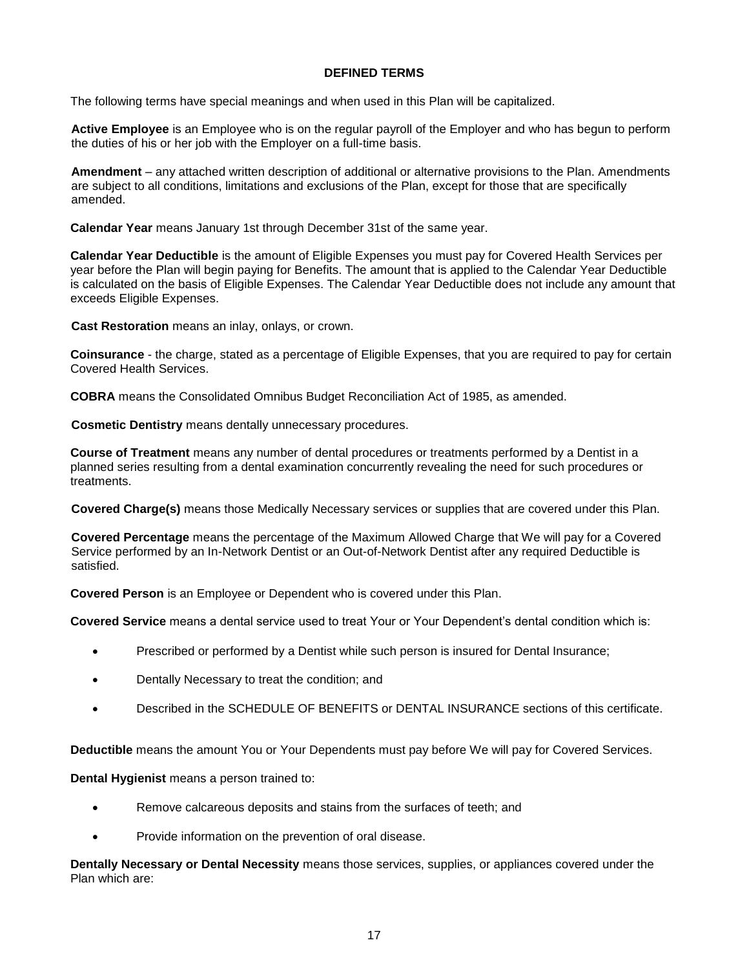### **DEFINED TERMS**

The following terms have special meanings and when used in this Plan will be capitalized.

**Active Employee** is an Employee who is on the regular payroll of the Employer and who has begun to perform the duties of his or her job with the Employer on a full-time basis.

**Amendment** – any attached written description of additional or alternative provisions to the Plan. Amendments are subject to all conditions, limitations and exclusions of the Plan, except for those that are specifically amended.

**Calendar Year** means January 1st through December 31st of the same year.

**Calendar Year Deductible** is the amount of Eligible Expenses you must pay for Covered Health Services per year before the Plan will begin paying for Benefits. The amount that is applied to the Calendar Year Deductible is calculated on the basis of Eligible Expenses. The Calendar Year Deductible does not include any amount that exceeds Eligible Expenses.

**Cast Restoration** means an inlay, onlays, or crown.

**Coinsurance** - the charge, stated as a percentage of Eligible Expenses, that you are required to pay for certain Covered Health Services.

**COBRA** means the Consolidated Omnibus Budget Reconciliation Act of 1985, as amended.

**Cosmetic Dentistry** means dentally unnecessary procedures.

**Course of Treatment** means any number of dental procedures or treatments performed by a Dentist in a planned series resulting from a dental examination concurrently revealing the need for such procedures or treatments.

**Covered Charge(s)** means those Medically Necessary services or supplies that are covered under this Plan.

**Covered Percentage** means the percentage of the Maximum Allowed Charge that We will pay for a Covered Service performed by an In-Network Dentist or an Out-of-Network Dentist after any required Deductible is satisfied.

**Covered Person** is an Employee or Dependent who is covered under this Plan.

**Covered Service** means a dental service used to treat Your or Your Dependent's dental condition which is:

- Prescribed or performed by a Dentist while such person is insured for Dental Insurance;
- Dentally Necessary to treat the condition; and
- Described in the SCHEDULE OF BENEFITS or DENTAL INSURANCE sections of this certificate.

**Deductible** means the amount You or Your Dependents must pay before We will pay for Covered Services.

**Dental Hygienist** means a person trained to:

- Remove calcareous deposits and stains from the surfaces of teeth; and
- Provide information on the prevention of oral disease.

**Dentally Necessary or Dental Necessity** means those services, supplies, or appliances covered under the Plan which are: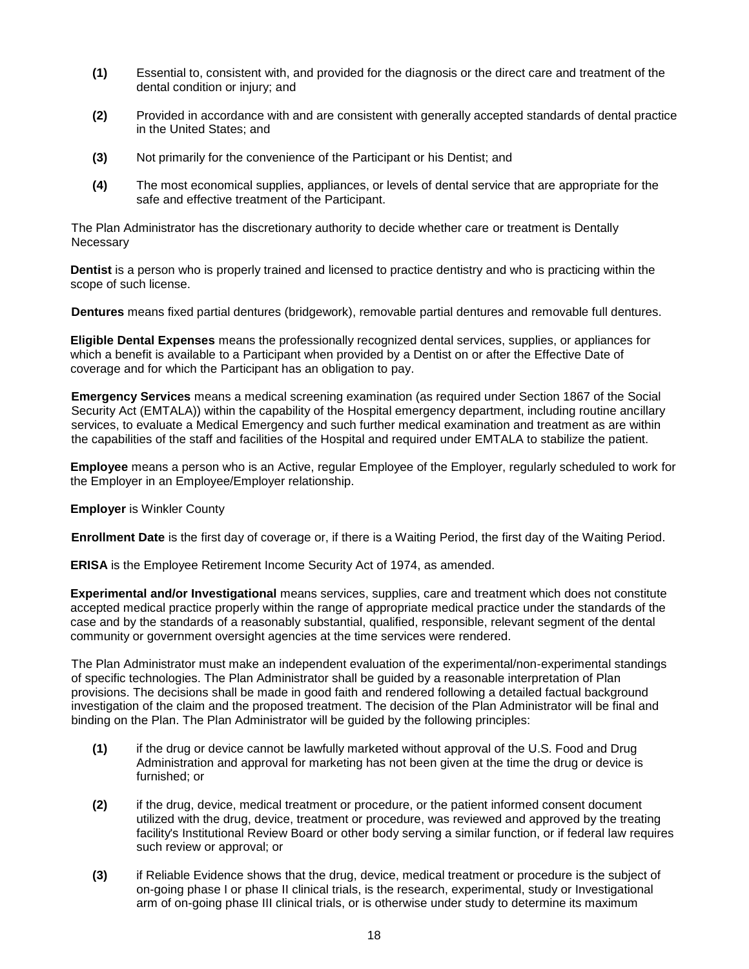- **(1)** Essential to, consistent with, and provided for the diagnosis or the direct care and treatment of the dental condition or injury; and
- **(2)** Provided in accordance with and are consistent with generally accepted standards of dental practice in the United States; and
- **(3)** Not primarily for the convenience of the Participant or his Dentist; and
- **(4)** The most economical supplies, appliances, or levels of dental service that are appropriate for the safe and effective treatment of the Participant.

The Plan Administrator has the discretionary authority to decide whether care or treatment is Dentally **Necessary** 

**Dentist** is a person who is properly trained and licensed to practice dentistry and who is practicing within the scope of such license.

**Dentures** means fixed partial dentures (bridgework), removable partial dentures and removable full dentures.

**Eligible Dental Expenses** means the professionally recognized dental services, supplies, or appliances for which a benefit is available to a Participant when provided by a Dentist on or after the Effective Date of coverage and for which the Participant has an obligation to pay.

**Emergency Services** means a medical screening examination (as required under Section 1867 of the Social Security Act (EMTALA)) within the capability of the Hospital emergency department, including routine ancillary services, to evaluate a Medical Emergency and such further medical examination and treatment as are within the capabilities of the staff and facilities of the Hospital and required under EMTALA to stabilize the patient.

**Employee** means a person who is an Active, regular Employee of the Employer, regularly scheduled to work for the Employer in an Employee/Employer relationship.

**Employer** is Winkler County

**Enrollment Date** is the first day of coverage or, if there is a Waiting Period, the first day of the Waiting Period.

**ERISA** is the Employee Retirement Income Security Act of 1974, as amended.

**Experimental and/or Investigational** means services, supplies, care and treatment which does not constitute accepted medical practice properly within the range of appropriate medical practice under the standards of the case and by the standards of a reasonably substantial, qualified, responsible, relevant segment of the dental community or government oversight agencies at the time services were rendered.

The Plan Administrator must make an independent evaluation of the experimental/non-experimental standings of specific technologies. The Plan Administrator shall be guided by a reasonable interpretation of Plan provisions. The decisions shall be made in good faith and rendered following a detailed factual background investigation of the claim and the proposed treatment. The decision of the Plan Administrator will be final and binding on the Plan. The Plan Administrator will be guided by the following principles:

- **(1)** if the drug or device cannot be lawfully marketed without approval of the U.S. Food and Drug Administration and approval for marketing has not been given at the time the drug or device is furnished; or
- **(2)** if the drug, device, medical treatment or procedure, or the patient informed consent document utilized with the drug, device, treatment or procedure, was reviewed and approved by the treating facility's Institutional Review Board or other body serving a similar function, or if federal law requires such review or approval; or
- **(3)** if Reliable Evidence shows that the drug, device, medical treatment or procedure is the subject of on-going phase I or phase II clinical trials, is the research, experimental, study or Investigational arm of on-going phase III clinical trials, or is otherwise under study to determine its maximum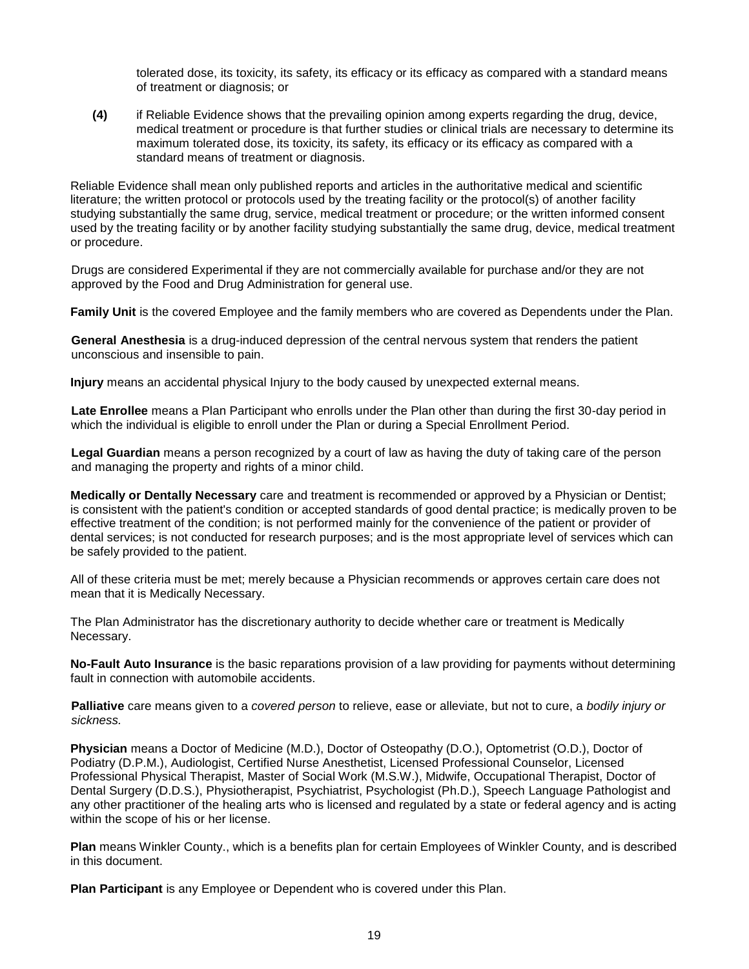tolerated dose, its toxicity, its safety, its efficacy or its efficacy as compared with a standard means of treatment or diagnosis; or

**(4)** if Reliable Evidence shows that the prevailing opinion among experts regarding the drug, device, medical treatment or procedure is that further studies or clinical trials are necessary to determine its maximum tolerated dose, its toxicity, its safety, its efficacy or its efficacy as compared with a standard means of treatment or diagnosis.

Reliable Evidence shall mean only published reports and articles in the authoritative medical and scientific literature; the written protocol or protocols used by the treating facility or the protocol(s) of another facility studying substantially the same drug, service, medical treatment or procedure; or the written informed consent used by the treating facility or by another facility studying substantially the same drug, device, medical treatment or procedure.

Drugs are considered Experimental if they are not commercially available for purchase and/or they are not approved by the Food and Drug Administration for general use.

**Family Unit** is the covered Employee and the family members who are covered as Dependents under the Plan.

**General Anesthesia** is a drug-induced depression of the central nervous system that renders the patient unconscious and insensible to pain.

**Injury** means an accidental physical Injury to the body caused by unexpected external means.

**Late Enrollee** means a Plan Participant who enrolls under the Plan other than during the first 30-day period in which the individual is eligible to enroll under the Plan or during a Special Enrollment Period.

**Legal Guardian** means a person recognized by a court of law as having the duty of taking care of the person and managing the property and rights of a minor child.

**Medically or Dentally Necessary** care and treatment is recommended or approved by a Physician or Dentist; is consistent with the patient's condition or accepted standards of good dental practice; is medically proven to be effective treatment of the condition; is not performed mainly for the convenience of the patient or provider of dental services; is not conducted for research purposes; and is the most appropriate level of services which can be safely provided to the patient.

All of these criteria must be met; merely because a Physician recommends or approves certain care does not mean that it is Medically Necessary.

The Plan Administrator has the discretionary authority to decide whether care or treatment is Medically Necessary.

**No-Fault Auto Insurance** is the basic reparations provision of a law providing for payments without determining fault in connection with automobile accidents.

**Palliative** care means given to a *covered person* to relieve, ease or alleviate, but not to cure, a *bodily injury or sickness.*

**Physician** means a Doctor of Medicine (M.D.), Doctor of Osteopathy (D.O.), Optometrist (O.D.), Doctor of Podiatry (D.P.M.), Audiologist, Certified Nurse Anesthetist, Licensed Professional Counselor, Licensed Professional Physical Therapist, Master of Social Work (M.S.W.), Midwife, Occupational Therapist, Doctor of Dental Surgery (D.D.S.), Physiotherapist, Psychiatrist, Psychologist (Ph.D.), Speech Language Pathologist and any other practitioner of the healing arts who is licensed and regulated by a state or federal agency and is acting within the scope of his or her license.

**Plan** means Winkler County., which is a benefits plan for certain Employees of Winkler County, and is described in this document.

**Plan Participant** is any Employee or Dependent who is covered under this Plan.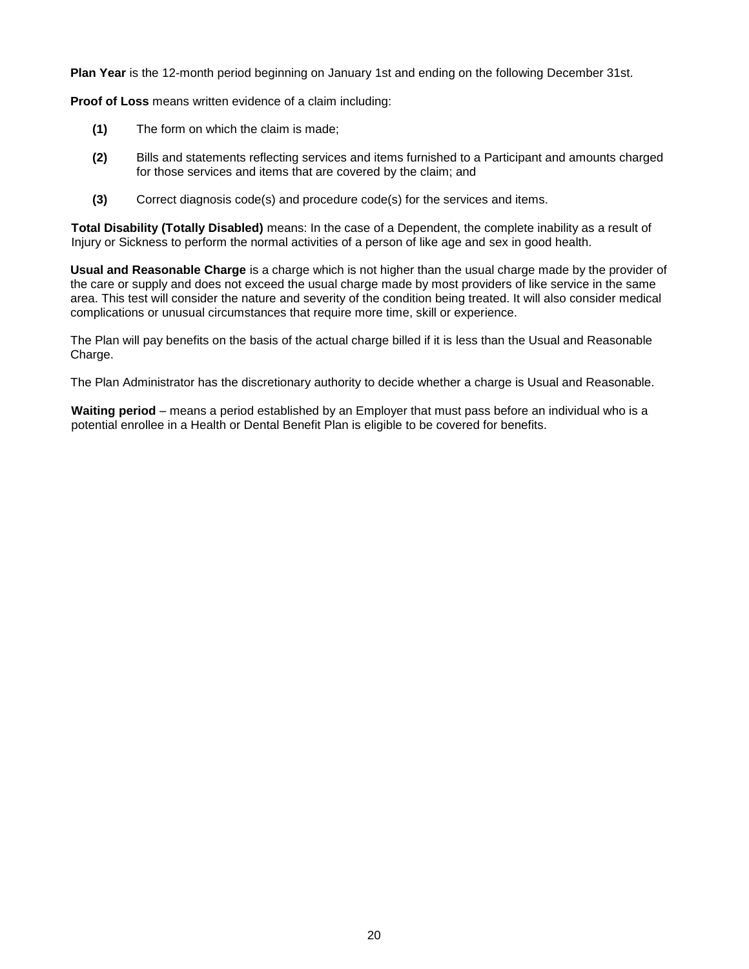**Plan Year** is the 12-month period beginning on January 1st and ending on the following December 31st.

**Proof of Loss** means written evidence of a claim including:

- **(1)** The form on which the claim is made;
- **(2)** Bills and statements reflecting services and items furnished to a Participant and amounts charged for those services and items that are covered by the claim; and
- **(3)** Correct diagnosis code(s) and procedure code(s) for the services and items.

**Total Disability (Totally Disabled)** means: In the case of a Dependent, the complete inability as a result of Injury or Sickness to perform the normal activities of a person of like age and sex in good health.

**Usual and Reasonable Charge** is a charge which is not higher than the usual charge made by the provider of the care or supply and does not exceed the usual charge made by most providers of like service in the same area. This test will consider the nature and severity of the condition being treated. It will also consider medical complications or unusual circumstances that require more time, skill or experience.

The Plan will pay benefits on the basis of the actual charge billed if it is less than the Usual and Reasonable Charge.

The Plan Administrator has the discretionary authority to decide whether a charge is Usual and Reasonable.

**Waiting period** – means a period established by an Employer that must pass before an individual who is a potential enrollee in a Health or Dental Benefit Plan is eligible to be covered for benefits.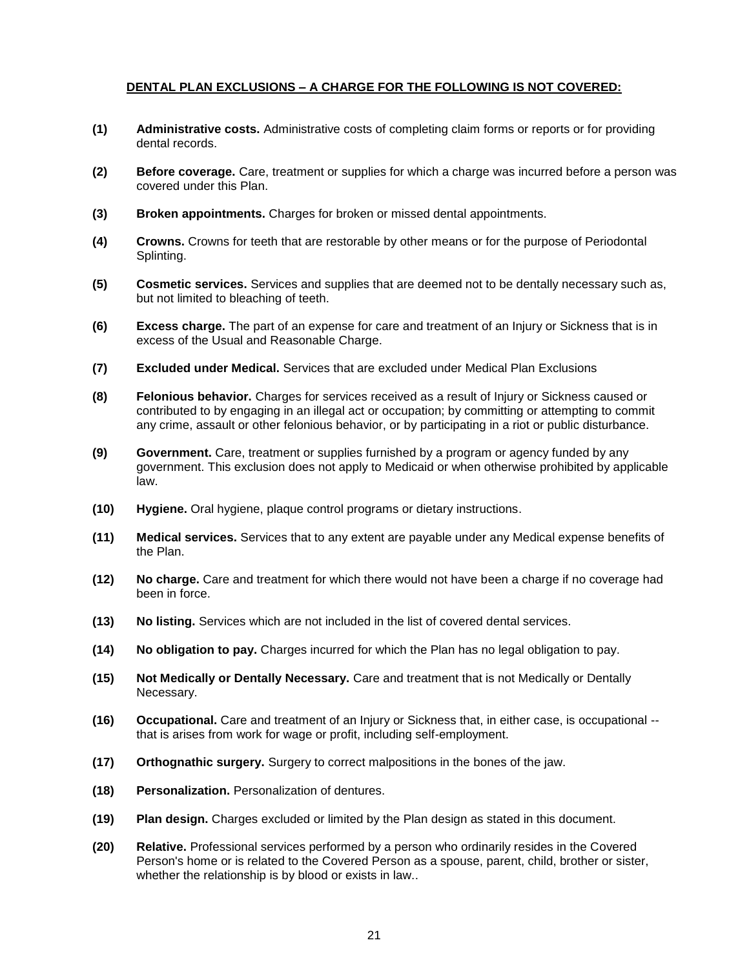## **DENTAL PLAN EXCLUSIONS – A CHARGE FOR THE FOLLOWING IS NOT COVERED:**

- **(1) Administrative costs.** Administrative costs of completing claim forms or reports or for providing dental records.
- **(2) Before coverage.** Care, treatment or supplies for which a charge was incurred before a person was covered under this Plan.
- **(3) Broken appointments.** Charges for broken or missed dental appointments.
- **(4) Crowns.** Crowns for teeth that are restorable by other means or for the purpose of Periodontal Splinting.
- **(5) Cosmetic services.** Services and supplies that are deemed not to be dentally necessary such as, but not limited to bleaching of teeth.
- **(6) Excess charge.** The part of an expense for care and treatment of an Injury or Sickness that is in excess of the Usual and Reasonable Charge.
- **(7) Excluded under Medical.** Services that are excluded under Medical Plan Exclusions
- **(8) Felonious behavior.** Charges for services received as a result of Injury or Sickness caused or contributed to by engaging in an illegal act or occupation; by committing or attempting to commit any crime, assault or other felonious behavior, or by participating in a riot or public disturbance.
- **(9) Government.** Care, treatment or supplies furnished by a program or agency funded by any government. This exclusion does not apply to Medicaid or when otherwise prohibited by applicable law.
- **(10) Hygiene.** Oral hygiene, plaque control programs or dietary instructions.
- **(11) Medical services.** Services that to any extent are payable under any Medical expense benefits of the Plan.
- **(12) No charge.** Care and treatment for which there would not have been a charge if no coverage had been in force.
- **(13) No listing.** Services which are not included in the list of covered dental services.
- **(14) No obligation to pay.** Charges incurred for which the Plan has no legal obligation to pay.
- **(15) Not Medically or Dentally Necessary.** Care and treatment that is not Medically or Dentally Necessary.
- **(16) Occupational.** Care and treatment of an Injury or Sickness that, in either case, is occupational that is arises from work for wage or profit, including self-employment.
- **(17) Orthognathic surgery.** Surgery to correct malpositions in the bones of the jaw.
- **(18) Personalization.** Personalization of dentures.
- **(19) Plan design.** Charges excluded or limited by the Plan design as stated in this document.
- **(20) Relative.** Professional services performed by a person who ordinarily resides in the Covered Person's home or is related to the Covered Person as a spouse, parent, child, brother or sister, whether the relationship is by blood or exists in law..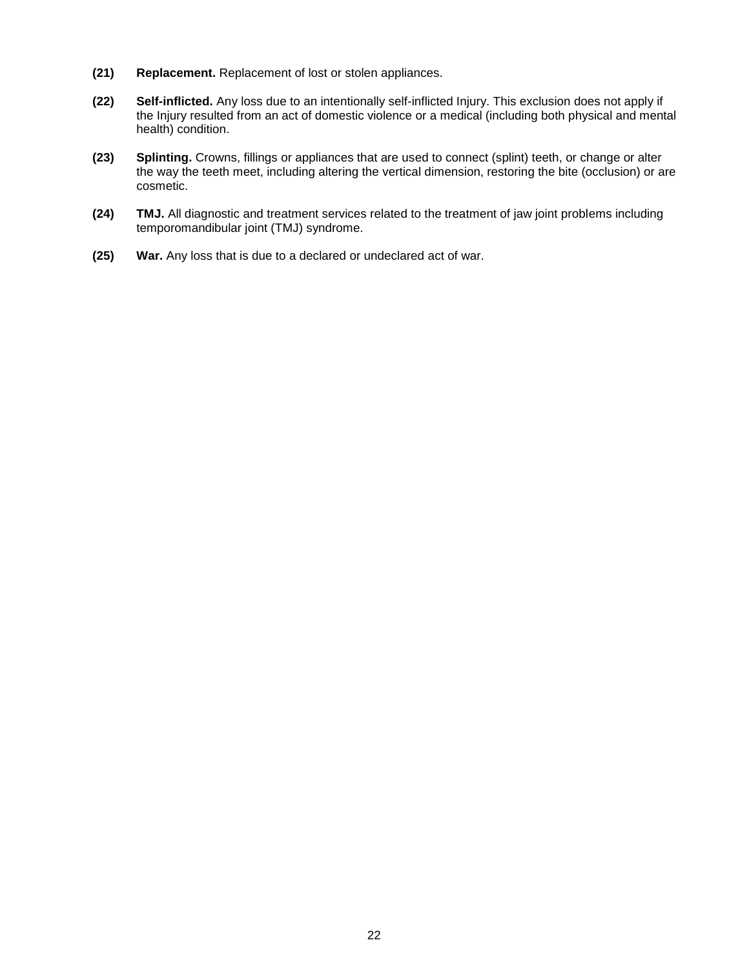- **(21) Replacement.** Replacement of lost or stolen appliances.
- **(22) Self-inflicted.** Any loss due to an intentionally self-inflicted Injury. This exclusion does not apply if the Injury resulted from an act of domestic violence or a medical (including both physical and mental health) condition.
- **(23) Splinting.** Crowns, fillings or appliances that are used to connect (splint) teeth, or change or alter the way the teeth meet, including altering the vertical dimension, restoring the bite (occlusion) or are cosmetic.
- **(24) TMJ.** All diagnostic and treatment services related to the treatment of jaw joint problems including temporomandibular joint (TMJ) syndrome.
- **(25) War.** Any loss that is due to a declared or undeclared act of war.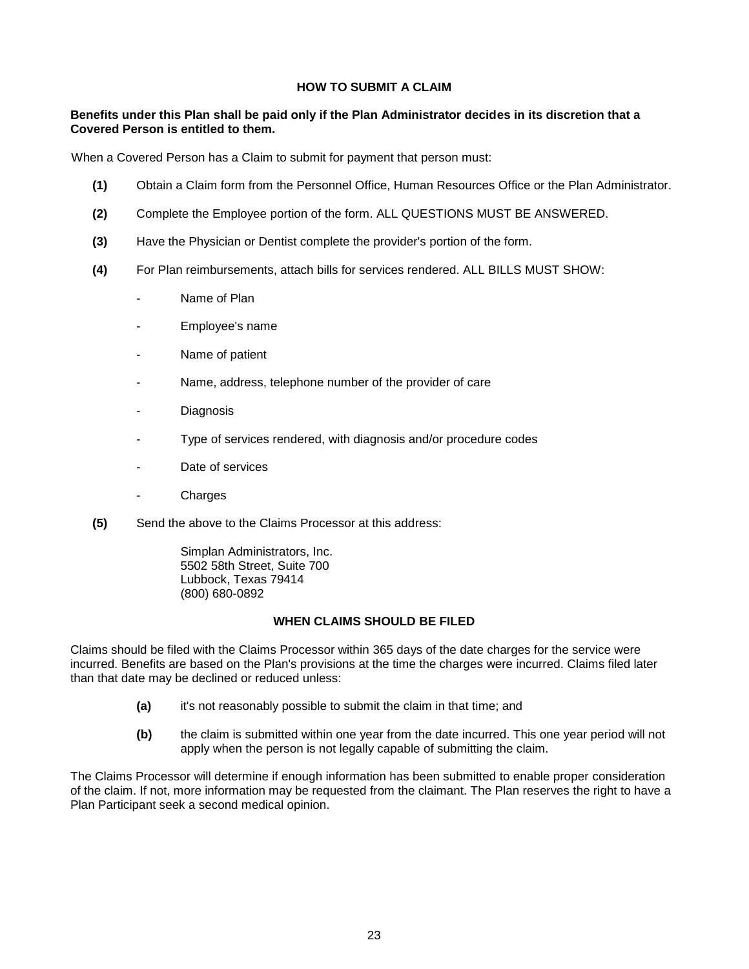## **HOW TO SUBMIT A CLAIM**

## **Benefits under this Plan shall be paid only if the Plan Administrator decides in its discretion that a Covered Person is entitled to them.**

When a Covered Person has a Claim to submit for payment that person must:

- **(1)** Obtain a Claim form from the Personnel Office, Human Resources Office or the Plan Administrator.
- **(2)** Complete the Employee portion of the form. ALL QUESTIONS MUST BE ANSWERED.
- **(3)** Have the Physician or Dentist complete the provider's portion of the form.
- **(4)** For Plan reimbursements, attach bills for services rendered. ALL BILLS MUST SHOW:
	- Name of Plan
	- Employee's name
	- Name of patient
	- Name, address, telephone number of the provider of care
	- **Diagnosis**
	- Type of services rendered, with diagnosis and/or procedure codes
	- Date of services
	- Charges
- **(5)** Send the above to the Claims Processor at this address:

Simplan Administrators, Inc. 5502 58th Street, Suite 700 Lubbock, Texas 79414 (800) 680-0892

### **WHEN CLAIMS SHOULD BE FILED**

Claims should be filed with the Claims Processor within 365 days of the date charges for the service were incurred. Benefits are based on the Plan's provisions at the time the charges were incurred. Claims filed later than that date may be declined or reduced unless:

- **(a)** it's not reasonably possible to submit the claim in that time; and
- **(b)** the claim is submitted within one year from the date incurred. This one year period will not apply when the person is not legally capable of submitting the claim.

The Claims Processor will determine if enough information has been submitted to enable proper consideration of the claim. If not, more information may be requested from the claimant. The Plan reserves the right to have a Plan Participant seek a second medical opinion.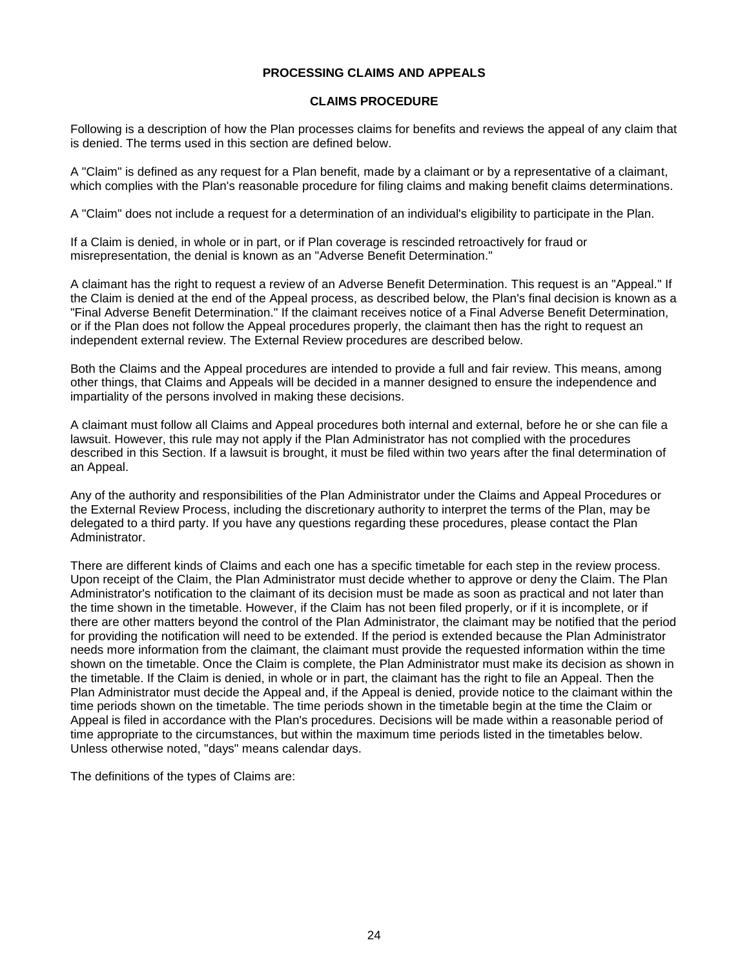#### **PROCESSING CLAIMS AND APPEALS**

#### **CLAIMS PROCEDURE**

Following is a description of how the Plan processes claims for benefits and reviews the appeal of any claim that is denied. The terms used in this section are defined below.

A "Claim" is defined as any request for a Plan benefit, made by a claimant or by a representative of a claimant, which complies with the Plan's reasonable procedure for filing claims and making benefit claims determinations.

A "Claim" does not include a request for a determination of an individual's eligibility to participate in the Plan.

If a Claim is denied, in whole or in part, or if Plan coverage is rescinded retroactively for fraud or misrepresentation, the denial is known as an "Adverse Benefit Determination."

A claimant has the right to request a review of an Adverse Benefit Determination. This request is an "Appeal." If the Claim is denied at the end of the Appeal process, as described below, the Plan's final decision is known as a "Final Adverse Benefit Determination." If the claimant receives notice of a Final Adverse Benefit Determination, or if the Plan does not follow the Appeal procedures properly, the claimant then has the right to request an independent external review. The External Review procedures are described below.

Both the Claims and the Appeal procedures are intended to provide a full and fair review. This means, among other things, that Claims and Appeals will be decided in a manner designed to ensure the independence and impartiality of the persons involved in making these decisions.

A claimant must follow all Claims and Appeal procedures both internal and external, before he or she can file a lawsuit. However, this rule may not apply if the Plan Administrator has not complied with the procedures described in this Section. If a lawsuit is brought, it must be filed within two years after the final determination of an Appeal.

Any of the authority and responsibilities of the Plan Administrator under the Claims and Appeal Procedures or the External Review Process, including the discretionary authority to interpret the terms of the Plan, may be delegated to a third party. If you have any questions regarding these procedures, please contact the Plan Administrator.

There are different kinds of Claims and each one has a specific timetable for each step in the review process. Upon receipt of the Claim, the Plan Administrator must decide whether to approve or deny the Claim. The Plan Administrator's notification to the claimant of its decision must be made as soon as practical and not later than the time shown in the timetable. However, if the Claim has not been filed properly, or if it is incomplete, or if there are other matters beyond the control of the Plan Administrator, the claimant may be notified that the period for providing the notification will need to be extended. If the period is extended because the Plan Administrator needs more information from the claimant, the claimant must provide the requested information within the time shown on the timetable. Once the Claim is complete, the Plan Administrator must make its decision as shown in the timetable. If the Claim is denied, in whole or in part, the claimant has the right to file an Appeal. Then the Plan Administrator must decide the Appeal and, if the Appeal is denied, provide notice to the claimant within the time periods shown on the timetable. The time periods shown in the timetable begin at the time the Claim or Appeal is filed in accordance with the Plan's procedures. Decisions will be made within a reasonable period of time appropriate to the circumstances, but within the maximum time periods listed in the timetables below. Unless otherwise noted, "days" means calendar days.

The definitions of the types of Claims are: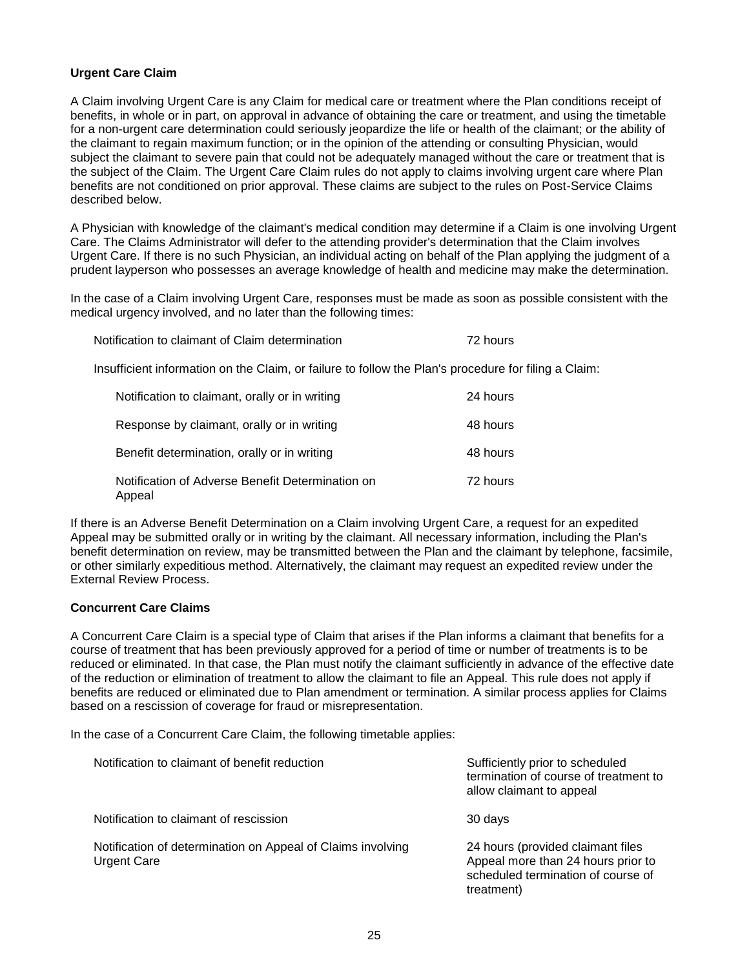## **Urgent Care Claim**

A Claim involving Urgent Care is any Claim for medical care or treatment where the Plan conditions receipt of benefits, in whole or in part, on approval in advance of obtaining the care or treatment, and using the timetable for a non-urgent care determination could seriously jeopardize the life or health of the claimant; or the ability of the claimant to regain maximum function; or in the opinion of the attending or consulting Physician, would subject the claimant to severe pain that could not be adequately managed without the care or treatment that is the subject of the Claim. The Urgent Care Claim rules do not apply to claims involving urgent care where Plan benefits are not conditioned on prior approval. These claims are subject to the rules on Post-Service Claims described below.

A Physician with knowledge of the claimant's medical condition may determine if a Claim is one involving Urgent Care. The Claims Administrator will defer to the attending provider's determination that the Claim involves Urgent Care. If there is no such Physician, an individual acting on behalf of the Plan applying the judgment of a prudent layperson who possesses an average knowledge of health and medicine may make the determination.

In the case of a Claim involving Urgent Care, responses must be made as soon as possible consistent with the medical urgency involved, and no later than the following times:

| Notification to claimant of Claim determination | 72 hours |
|-------------------------------------------------|----------|
|                                                 |          |

Insufficient information on the Claim, or failure to follow the Plan's procedure for filing a Claim:

| Notification to claimant, orally or in writing             | 24 hours |
|------------------------------------------------------------|----------|
| Response by claimant, orally or in writing                 | 48 hours |
| Benefit determination, orally or in writing                | 48 hours |
| Notification of Adverse Benefit Determination on<br>Appeal | 72 hours |

If there is an Adverse Benefit Determination on a Claim involving Urgent Care, a request for an expedited Appeal may be submitted orally or in writing by the claimant. All necessary information, including the Plan's benefit determination on review, may be transmitted between the Plan and the claimant by telephone, facsimile, or other similarly expeditious method. Alternatively, the claimant may request an expedited review under the External Review Process.

#### **Concurrent Care Claims**

A Concurrent Care Claim is a special type of Claim that arises if the Plan informs a claimant that benefits for a course of treatment that has been previously approved for a period of time or number of treatments is to be reduced or eliminated. In that case, the Plan must notify the claimant sufficiently in advance of the effective date of the reduction or elimination of treatment to allow the claimant to file an Appeal. This rule does not apply if benefits are reduced or eliminated due to Plan amendment or termination. A similar process applies for Claims based on a rescission of coverage for fraud or misrepresentation.

In the case of a Concurrent Care Claim, the following timetable applies:

| Notification to claimant of benefit reduction                                     | Sufficiently prior to scheduled<br>termination of course of treatment to<br>allow claimant to appeal                        |
|-----------------------------------------------------------------------------------|-----------------------------------------------------------------------------------------------------------------------------|
| Notification to claimant of rescission                                            | 30 days                                                                                                                     |
| Notification of determination on Appeal of Claims involving<br><b>Urgent Care</b> | 24 hours (provided claimant files<br>Appeal more than 24 hours prior to<br>scheduled termination of course of<br>treatment) |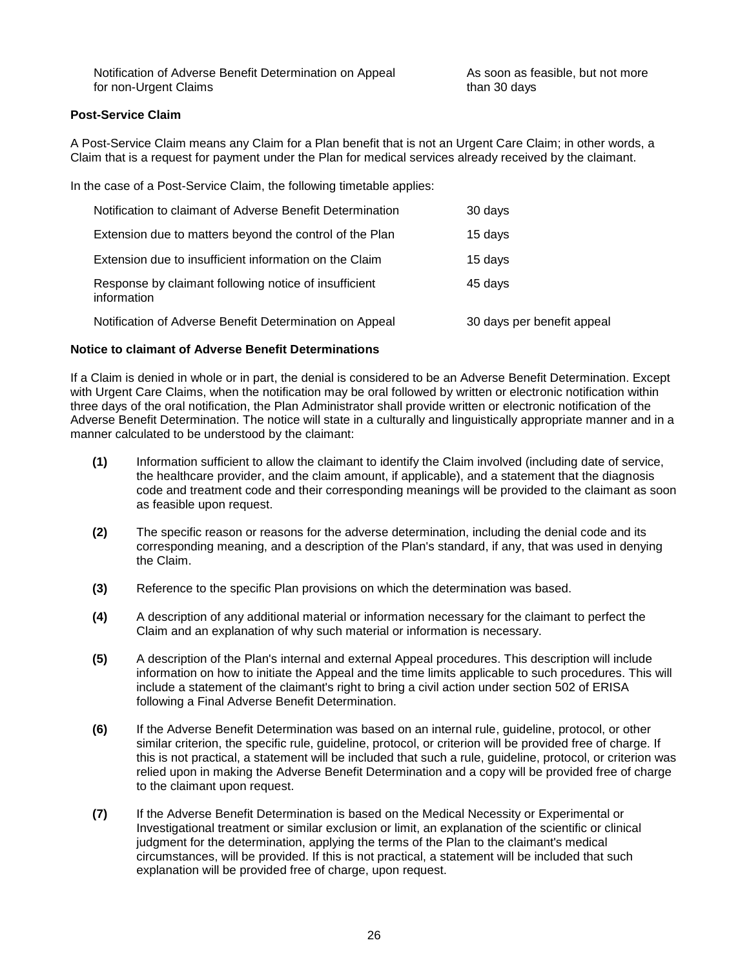Notification of Adverse Benefit Determination on Appeal for non-Urgent Claims

As soon as feasible, but not more than 30 days

## **Post-Service Claim**

A Post-Service Claim means any Claim for a Plan benefit that is not an Urgent Care Claim; in other words, a Claim that is a request for payment under the Plan for medical services already received by the claimant.

In the case of a Post-Service Claim, the following timetable applies:

| Notification to claimant of Adverse Benefit Determination            | 30 days                    |
|----------------------------------------------------------------------|----------------------------|
| Extension due to matters beyond the control of the Plan              | 15 days                    |
| Extension due to insufficient information on the Claim               | 15 days                    |
| Response by claimant following notice of insufficient<br>information | 45 days                    |
| Notification of Adverse Benefit Determination on Appeal              | 30 days per benefit appeal |

#### **Notice to claimant of Adverse Benefit Determinations**

If a Claim is denied in whole or in part, the denial is considered to be an Adverse Benefit Determination. Except with Urgent Care Claims, when the notification may be oral followed by written or electronic notification within three days of the oral notification, the Plan Administrator shall provide written or electronic notification of the Adverse Benefit Determination. The notice will state in a culturally and linguistically appropriate manner and in a manner calculated to be understood by the claimant:

- **(1)** Information sufficient to allow the claimant to identify the Claim involved (including date of service, the healthcare provider, and the claim amount, if applicable), and a statement that the diagnosis code and treatment code and their corresponding meanings will be provided to the claimant as soon as feasible upon request.
- **(2)** The specific reason or reasons for the adverse determination, including the denial code and its corresponding meaning, and a description of the Plan's standard, if any, that was used in denying the Claim.
- **(3)** Reference to the specific Plan provisions on which the determination was based.
- **(4)** A description of any additional material or information necessary for the claimant to perfect the Claim and an explanation of why such material or information is necessary.
- **(5)** A description of the Plan's internal and external Appeal procedures. This description will include information on how to initiate the Appeal and the time limits applicable to such procedures. This will include a statement of the claimant's right to bring a civil action under section 502 of ERISA following a Final Adverse Benefit Determination.
- **(6)** If the Adverse Benefit Determination was based on an internal rule, guideline, protocol, or other similar criterion, the specific rule, guideline, protocol, or criterion will be provided free of charge. If this is not practical, a statement will be included that such a rule, guideline, protocol, or criterion was relied upon in making the Adverse Benefit Determination and a copy will be provided free of charge to the claimant upon request.
- **(7)** If the Adverse Benefit Determination is based on the Medical Necessity or Experimental or Investigational treatment or similar exclusion or limit, an explanation of the scientific or clinical judgment for the determination, applying the terms of the Plan to the claimant's medical circumstances, will be provided. If this is not practical, a statement will be included that such explanation will be provided free of charge, upon request.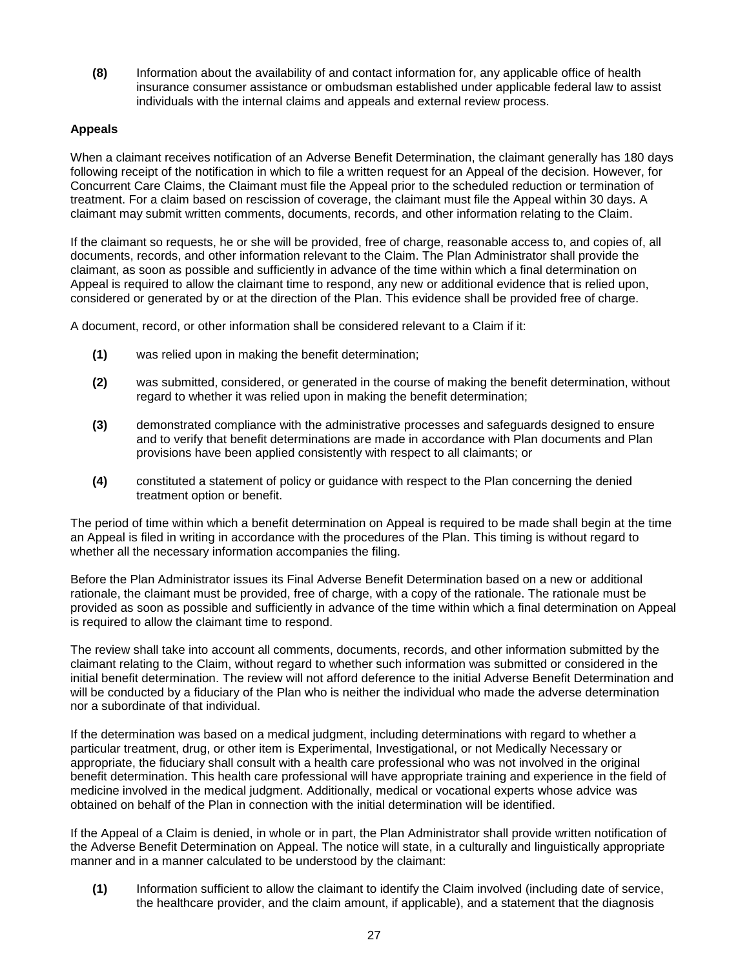**(8)** Information about the availability of and contact information for, any applicable office of health insurance consumer assistance or ombudsman established under applicable federal law to assist individuals with the internal claims and appeals and external review process.

## **Appeals**

When a claimant receives notification of an Adverse Benefit Determination, the claimant generally has 180 days following receipt of the notification in which to file a written request for an Appeal of the decision. However, for Concurrent Care Claims, the Claimant must file the Appeal prior to the scheduled reduction or termination of treatment. For a claim based on rescission of coverage, the claimant must file the Appeal within 30 days. A claimant may submit written comments, documents, records, and other information relating to the Claim.

If the claimant so requests, he or she will be provided, free of charge, reasonable access to, and copies of, all documents, records, and other information relevant to the Claim. The Plan Administrator shall provide the claimant, as soon as possible and sufficiently in advance of the time within which a final determination on Appeal is required to allow the claimant time to respond, any new or additional evidence that is relied upon, considered or generated by or at the direction of the Plan. This evidence shall be provided free of charge.

A document, record, or other information shall be considered relevant to a Claim if it:

- **(1)** was relied upon in making the benefit determination;
- **(2)** was submitted, considered, or generated in the course of making the benefit determination, without regard to whether it was relied upon in making the benefit determination;
- **(3)** demonstrated compliance with the administrative processes and safeguards designed to ensure and to verify that benefit determinations are made in accordance with Plan documents and Plan provisions have been applied consistently with respect to all claimants; or
- **(4)** constituted a statement of policy or guidance with respect to the Plan concerning the denied treatment option or benefit.

The period of time within which a benefit determination on Appeal is required to be made shall begin at the time an Appeal is filed in writing in accordance with the procedures of the Plan. This timing is without regard to whether all the necessary information accompanies the filing.

Before the Plan Administrator issues its Final Adverse Benefit Determination based on a new or additional rationale, the claimant must be provided, free of charge, with a copy of the rationale. The rationale must be provided as soon as possible and sufficiently in advance of the time within which a final determination on Appeal is required to allow the claimant time to respond.

The review shall take into account all comments, documents, records, and other information submitted by the claimant relating to the Claim, without regard to whether such information was submitted or considered in the initial benefit determination. The review will not afford deference to the initial Adverse Benefit Determination and will be conducted by a fiduciary of the Plan who is neither the individual who made the adverse determination nor a subordinate of that individual.

If the determination was based on a medical judgment, including determinations with regard to whether a particular treatment, drug, or other item is Experimental, Investigational, or not Medically Necessary or appropriate, the fiduciary shall consult with a health care professional who was not involved in the original benefit determination. This health care professional will have appropriate training and experience in the field of medicine involved in the medical judgment. Additionally, medical or vocational experts whose advice was obtained on behalf of the Plan in connection with the initial determination will be identified.

If the Appeal of a Claim is denied, in whole or in part, the Plan Administrator shall provide written notification of the Adverse Benefit Determination on Appeal. The notice will state, in a culturally and linguistically appropriate manner and in a manner calculated to be understood by the claimant:

**(1)** Information sufficient to allow the claimant to identify the Claim involved (including date of service, the healthcare provider, and the claim amount, if applicable), and a statement that the diagnosis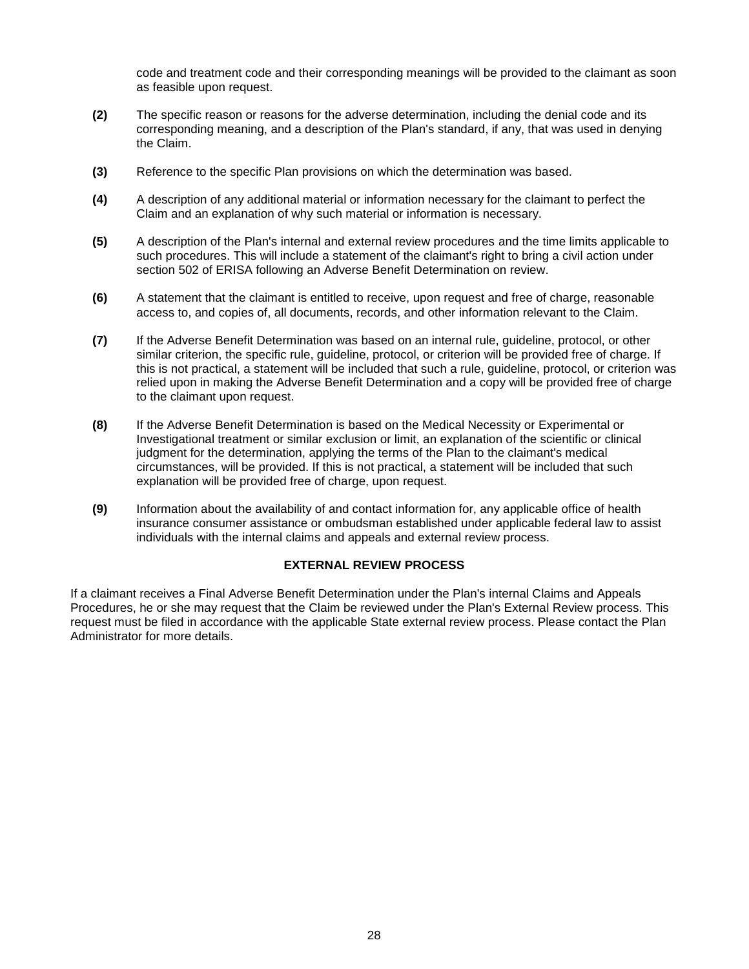code and treatment code and their corresponding meanings will be provided to the claimant as soon as feasible upon request.

- **(2)** The specific reason or reasons for the adverse determination, including the denial code and its corresponding meaning, and a description of the Plan's standard, if any, that was used in denying the Claim.
- **(3)** Reference to the specific Plan provisions on which the determination was based.
- **(4)** A description of any additional material or information necessary for the claimant to perfect the Claim and an explanation of why such material or information is necessary.
- **(5)** A description of the Plan's internal and external review procedures and the time limits applicable to such procedures. This will include a statement of the claimant's right to bring a civil action under section 502 of ERISA following an Adverse Benefit Determination on review.
- **(6)** A statement that the claimant is entitled to receive, upon request and free of charge, reasonable access to, and copies of, all documents, records, and other information relevant to the Claim.
- **(7)** If the Adverse Benefit Determination was based on an internal rule, guideline, protocol, or other similar criterion, the specific rule, guideline, protocol, or criterion will be provided free of charge. If this is not practical, a statement will be included that such a rule, guideline, protocol, or criterion was relied upon in making the Adverse Benefit Determination and a copy will be provided free of charge to the claimant upon request.
- **(8)** If the Adverse Benefit Determination is based on the Medical Necessity or Experimental or Investigational treatment or similar exclusion or limit, an explanation of the scientific or clinical judgment for the determination, applying the terms of the Plan to the claimant's medical circumstances, will be provided. If this is not practical, a statement will be included that such explanation will be provided free of charge, upon request.
- **(9)** Information about the availability of and contact information for, any applicable office of health insurance consumer assistance or ombudsman established under applicable federal law to assist individuals with the internal claims and appeals and external review process.

## **EXTERNAL REVIEW PROCESS**

If a claimant receives a Final Adverse Benefit Determination under the Plan's internal Claims and Appeals Procedures, he or she may request that the Claim be reviewed under the Plan's External Review process. This request must be filed in accordance with the applicable State external review process. Please contact the Plan Administrator for more details.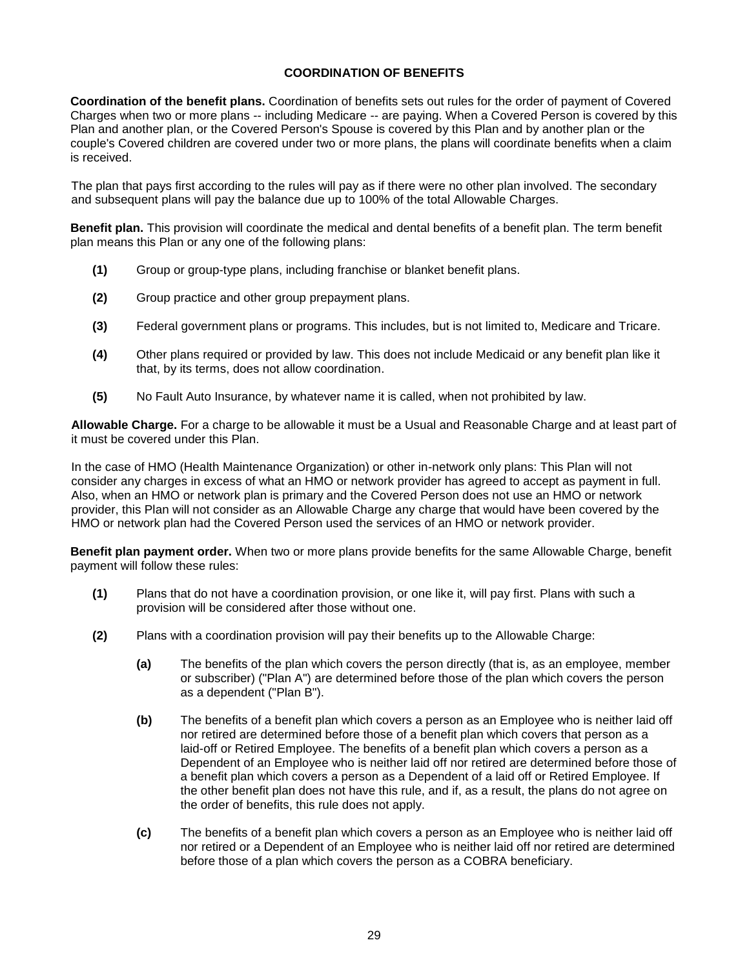## **COORDINATION OF BENEFITS**

**Coordination of the benefit plans.** Coordination of benefits sets out rules for the order of payment of Covered Charges when two or more plans -- including Medicare -- are paying. When a Covered Person is covered by this Plan and another plan, or the Covered Person's Spouse is covered by this Plan and by another plan or the couple's Covered children are covered under two or more plans, the plans will coordinate benefits when a claim is received.

The plan that pays first according to the rules will pay as if there were no other plan involved. The secondary and subsequent plans will pay the balance due up to 100% of the total Allowable Charges.

**Benefit plan.** This provision will coordinate the medical and dental benefits of a benefit plan. The term benefit plan means this Plan or any one of the following plans:

- **(1)** Group or group-type plans, including franchise or blanket benefit plans.
- **(2)** Group practice and other group prepayment plans.
- **(3)** Federal government plans or programs. This includes, but is not limited to, Medicare and Tricare.
- **(4)** Other plans required or provided by law. This does not include Medicaid or any benefit plan like it that, by its terms, does not allow coordination.
- **(5)** No Fault Auto Insurance, by whatever name it is called, when not prohibited by law.

**Allowable Charge.** For a charge to be allowable it must be a Usual and Reasonable Charge and at least part of it must be covered under this Plan.

In the case of HMO (Health Maintenance Organization) or other in-network only plans: This Plan will not consider any charges in excess of what an HMO or network provider has agreed to accept as payment in full. Also, when an HMO or network plan is primary and the Covered Person does not use an HMO or network provider, this Plan will not consider as an Allowable Charge any charge that would have been covered by the HMO or network plan had the Covered Person used the services of an HMO or network provider.

**Benefit plan payment order.** When two or more plans provide benefits for the same Allowable Charge, benefit payment will follow these rules:

- **(1)** Plans that do not have a coordination provision, or one like it, will pay first. Plans with such a provision will be considered after those without one.
- **(2)** Plans with a coordination provision will pay their benefits up to the Allowable Charge:
	- **(a)** The benefits of the plan which covers the person directly (that is, as an employee, member or subscriber) ("Plan A") are determined before those of the plan which covers the person as a dependent ("Plan B").
	- **(b)** The benefits of a benefit plan which covers a person as an Employee who is neither laid off nor retired are determined before those of a benefit plan which covers that person as a laid-off or Retired Employee. The benefits of a benefit plan which covers a person as a Dependent of an Employee who is neither laid off nor retired are determined before those of a benefit plan which covers a person as a Dependent of a laid off or Retired Employee. If the other benefit plan does not have this rule, and if, as a result, the plans do not agree on the order of benefits, this rule does not apply.
	- **(c)** The benefits of a benefit plan which covers a person as an Employee who is neither laid off nor retired or a Dependent of an Employee who is neither laid off nor retired are determined before those of a plan which covers the person as a COBRA beneficiary.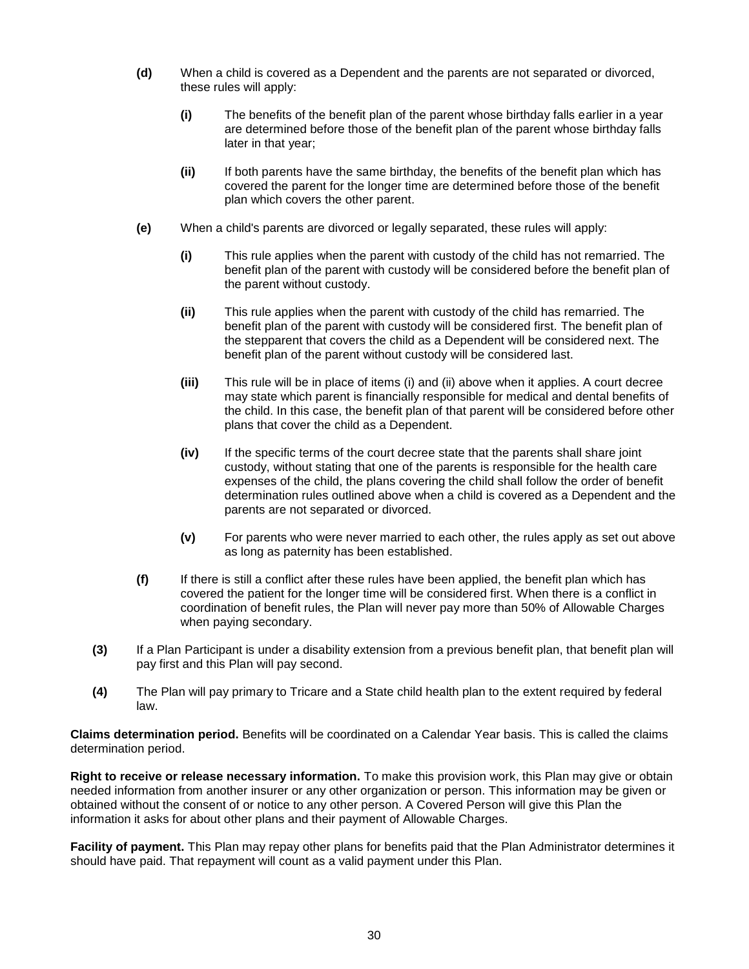- **(d)** When a child is covered as a Dependent and the parents are not separated or divorced, these rules will apply:
	- **(i)** The benefits of the benefit plan of the parent whose birthday falls earlier in a year are determined before those of the benefit plan of the parent whose birthday falls later in that year;
	- **(ii)** If both parents have the same birthday, the benefits of the benefit plan which has covered the parent for the longer time are determined before those of the benefit plan which covers the other parent.
- **(e)** When a child's parents are divorced or legally separated, these rules will apply:
	- **(i)** This rule applies when the parent with custody of the child has not remarried. The benefit plan of the parent with custody will be considered before the benefit plan of the parent without custody.
	- **(ii)** This rule applies when the parent with custody of the child has remarried. The benefit plan of the parent with custody will be considered first. The benefit plan of the stepparent that covers the child as a Dependent will be considered next. The benefit plan of the parent without custody will be considered last.
	- **(iii)** This rule will be in place of items (i) and (ii) above when it applies. A court decree may state which parent is financially responsible for medical and dental benefits of the child. In this case, the benefit plan of that parent will be considered before other plans that cover the child as a Dependent.
	- **(iv)** If the specific terms of the court decree state that the parents shall share joint custody, without stating that one of the parents is responsible for the health care expenses of the child, the plans covering the child shall follow the order of benefit determination rules outlined above when a child is covered as a Dependent and the parents are not separated or divorced.
	- **(v)** For parents who were never married to each other, the rules apply as set out above as long as paternity has been established.
- **(f)** If there is still a conflict after these rules have been applied, the benefit plan which has covered the patient for the longer time will be considered first. When there is a conflict in coordination of benefit rules, the Plan will never pay more than 50% of Allowable Charges when paying secondary.
- **(3)** If a Plan Participant is under a disability extension from a previous benefit plan, that benefit plan will pay first and this Plan will pay second.
- **(4)** The Plan will pay primary to Tricare and a State child health plan to the extent required by federal law.

**Claims determination period.** Benefits will be coordinated on a Calendar Year basis. This is called the claims determination period.

**Right to receive or release necessary information.** To make this provision work, this Plan may give or obtain needed information from another insurer or any other organization or person. This information may be given or obtained without the consent of or notice to any other person. A Covered Person will give this Plan the information it asks for about other plans and their payment of Allowable Charges.

**Facility of payment.** This Plan may repay other plans for benefits paid that the Plan Administrator determines it should have paid. That repayment will count as a valid payment under this Plan.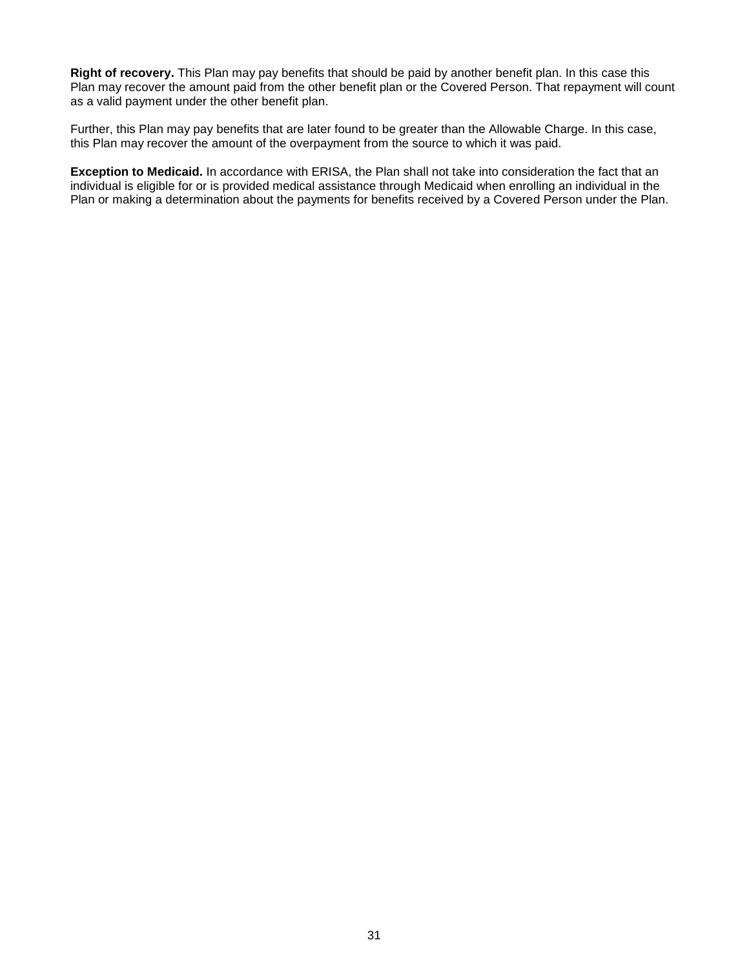**Right of recovery.** This Plan may pay benefits that should be paid by another benefit plan. In this case this Plan may recover the amount paid from the other benefit plan or the Covered Person. That repayment will count as a valid payment under the other benefit plan.

Further, this Plan may pay benefits that are later found to be greater than the Allowable Charge. In this case, this Plan may recover the amount of the overpayment from the source to which it was paid.

**Exception to Medicaid.** In accordance with ERISA, the Plan shall not take into consideration the fact that an individual is eligible for or is provided medical assistance through Medicaid when enrolling an individual in the Plan or making a determination about the payments for benefits received by a Covered Person under the Plan.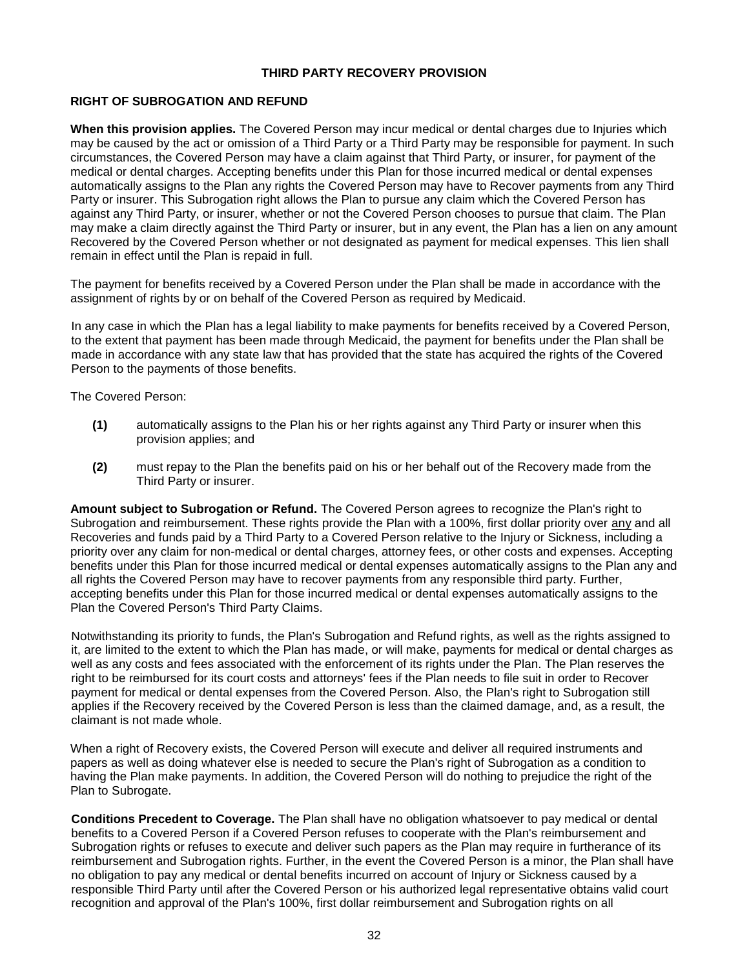#### **THIRD PARTY RECOVERY PROVISION**

## **RIGHT OF SUBROGATION AND REFUND**

**When this provision applies.** The Covered Person may incur medical or dental charges due to Injuries which may be caused by the act or omission of a Third Party or a Third Party may be responsible for payment. In such circumstances, the Covered Person may have a claim against that Third Party, or insurer, for payment of the medical or dental charges. Accepting benefits under this Plan for those incurred medical or dental expenses automatically assigns to the Plan any rights the Covered Person may have to Recover payments from any Third Party or insurer. This Subrogation right allows the Plan to pursue any claim which the Covered Person has against any Third Party, or insurer, whether or not the Covered Person chooses to pursue that claim. The Plan may make a claim directly against the Third Party or insurer, but in any event, the Plan has a lien on any amount Recovered by the Covered Person whether or not designated as payment for medical expenses. This lien shall remain in effect until the Plan is repaid in full.

The payment for benefits received by a Covered Person under the Plan shall be made in accordance with the assignment of rights by or on behalf of the Covered Person as required by Medicaid.

In any case in which the Plan has a legal liability to make payments for benefits received by a Covered Person, to the extent that payment has been made through Medicaid, the payment for benefits under the Plan shall be made in accordance with any state law that has provided that the state has acquired the rights of the Covered Person to the payments of those benefits.

The Covered Person:

- **(1)** automatically assigns to the Plan his or her rights against any Third Party or insurer when this provision applies; and
- **(2)** must repay to the Plan the benefits paid on his or her behalf out of the Recovery made from the Third Party or insurer.

**Amount subject to Subrogation or Refund.** The Covered Person agrees to recognize the Plan's right to Subrogation and reimbursement. These rights provide the Plan with a 100%, first dollar priority over any and all Recoveries and funds paid by a Third Party to a Covered Person relative to the Injury or Sickness, including a priority over any claim for non-medical or dental charges, attorney fees, or other costs and expenses. Accepting benefits under this Plan for those incurred medical or dental expenses automatically assigns to the Plan any and all rights the Covered Person may have to recover payments from any responsible third party. Further, accepting benefits under this Plan for those incurred medical or dental expenses automatically assigns to the Plan the Covered Person's Third Party Claims.

Notwithstanding its priority to funds, the Plan's Subrogation and Refund rights, as well as the rights assigned to it, are limited to the extent to which the Plan has made, or will make, payments for medical or dental charges as well as any costs and fees associated with the enforcement of its rights under the Plan. The Plan reserves the right to be reimbursed for its court costs and attorneys' fees if the Plan needs to file suit in order to Recover payment for medical or dental expenses from the Covered Person. Also, the Plan's right to Subrogation still applies if the Recovery received by the Covered Person is less than the claimed damage, and, as a result, the claimant is not made whole.

When a right of Recovery exists, the Covered Person will execute and deliver all required instruments and papers as well as doing whatever else is needed to secure the Plan's right of Subrogation as a condition to having the Plan make payments. In addition, the Covered Person will do nothing to prejudice the right of the Plan to Subrogate.

**Conditions Precedent to Coverage.** The Plan shall have no obligation whatsoever to pay medical or dental benefits to a Covered Person if a Covered Person refuses to cooperate with the Plan's reimbursement and Subrogation rights or refuses to execute and deliver such papers as the Plan may require in furtherance of its reimbursement and Subrogation rights. Further, in the event the Covered Person is a minor, the Plan shall have no obligation to pay any medical or dental benefits incurred on account of Injury or Sickness caused by a responsible Third Party until after the Covered Person or his authorized legal representative obtains valid court recognition and approval of the Plan's 100%, first dollar reimbursement and Subrogation rights on all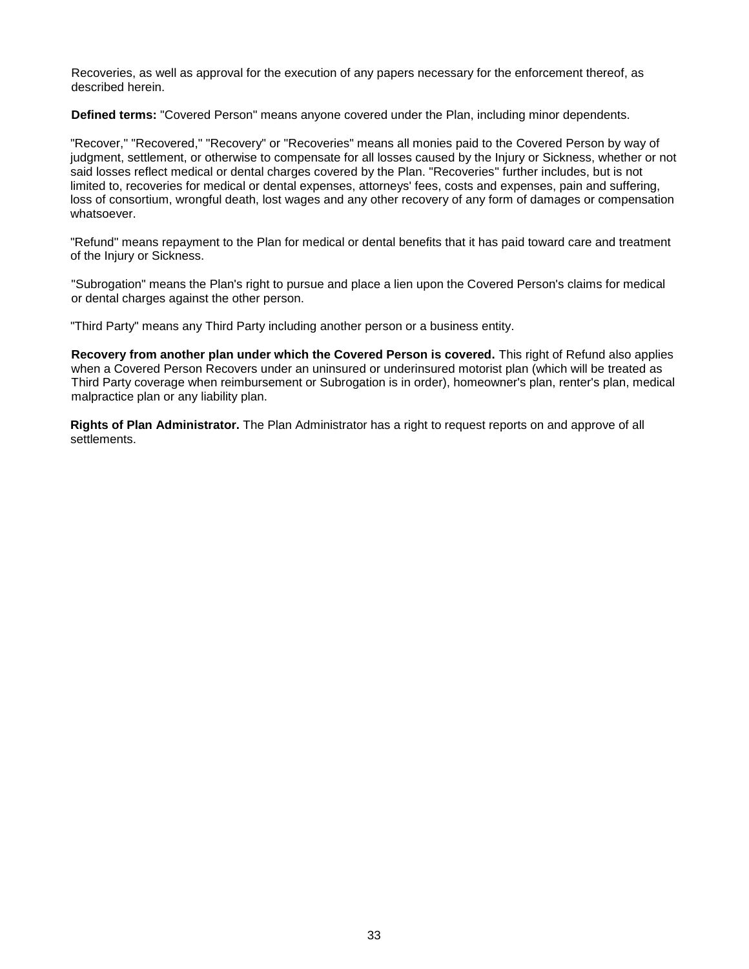Recoveries, as well as approval for the execution of any papers necessary for the enforcement thereof, as described herein.

**Defined terms:** "Covered Person" means anyone covered under the Plan, including minor dependents.

"Recover," "Recovered," "Recovery" or "Recoveries" means all monies paid to the Covered Person by way of judgment, settlement, or otherwise to compensate for all losses caused by the Injury or Sickness, whether or not said losses reflect medical or dental charges covered by the Plan. "Recoveries" further includes, but is not limited to, recoveries for medical or dental expenses, attorneys' fees, costs and expenses, pain and suffering, loss of consortium, wrongful death, lost wages and any other recovery of any form of damages or compensation whatsoever.

"Refund" means repayment to the Plan for medical or dental benefits that it has paid toward care and treatment of the Injury or Sickness.

"Subrogation" means the Plan's right to pursue and place a lien upon the Covered Person's claims for medical or dental charges against the other person.

"Third Party" means any Third Party including another person or a business entity.

**Recovery from another plan under which the Covered Person is covered.** This right of Refund also applies when a Covered Person Recovers under an uninsured or underinsured motorist plan (which will be treated as Third Party coverage when reimbursement or Subrogation is in order), homeowner's plan, renter's plan, medical malpractice plan or any liability plan.

**Rights of Plan Administrator.** The Plan Administrator has a right to request reports on and approve of all settlements.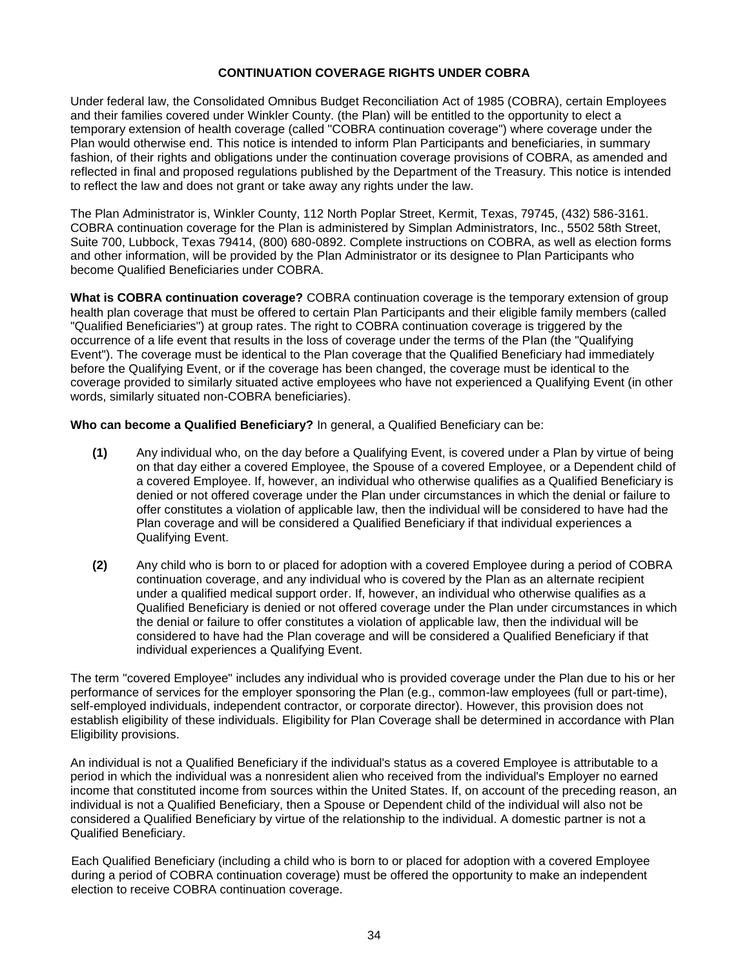## **CONTINUATION COVERAGE RIGHTS UNDER COBRA**

Under federal law, the Consolidated Omnibus Budget Reconciliation Act of 1985 (COBRA), certain Employees and their families covered under Winkler County. (the Plan) will be entitled to the opportunity to elect a temporary extension of health coverage (called "COBRA continuation coverage") where coverage under the Plan would otherwise end. This notice is intended to inform Plan Participants and beneficiaries, in summary fashion, of their rights and obligations under the continuation coverage provisions of COBRA, as amended and reflected in final and proposed regulations published by the Department of the Treasury. This notice is intended to reflect the law and does not grant or take away any rights under the law.

The Plan Administrator is, Winkler County, 112 North Poplar Street, Kermit, Texas, 79745, (432) 586-3161. COBRA continuation coverage for the Plan is administered by Simplan Administrators, Inc., 5502 58th Street, Suite 700, Lubbock, Texas 79414, (800) 680-0892. Complete instructions on COBRA, as well as election forms and other information, will be provided by the Plan Administrator or its designee to Plan Participants who become Qualified Beneficiaries under COBRA.

**What is COBRA continuation coverage?** COBRA continuation coverage is the temporary extension of group health plan coverage that must be offered to certain Plan Participants and their eligible family members (called "Qualified Beneficiaries") at group rates. The right to COBRA continuation coverage is triggered by the occurrence of a life event that results in the loss of coverage under the terms of the Plan (the "Qualifying Event"). The coverage must be identical to the Plan coverage that the Qualified Beneficiary had immediately before the Qualifying Event, or if the coverage has been changed, the coverage must be identical to the coverage provided to similarly situated active employees who have not experienced a Qualifying Event (in other words, similarly situated non-COBRA beneficiaries).

**Who can become a Qualified Beneficiary?** In general, a Qualified Beneficiary can be:

- **(1)** Any individual who, on the day before a Qualifying Event, is covered under a Plan by virtue of being on that day either a covered Employee, the Spouse of a covered Employee, or a Dependent child of a covered Employee. If, however, an individual who otherwise qualifies as a Qualified Beneficiary is denied or not offered coverage under the Plan under circumstances in which the denial or failure to offer constitutes a violation of applicable law, then the individual will be considered to have had the Plan coverage and will be considered a Qualified Beneficiary if that individual experiences a Qualifying Event.
- **(2)** Any child who is born to or placed for adoption with a covered Employee during a period of COBRA continuation coverage, and any individual who is covered by the Plan as an alternate recipient under a qualified medical support order. If, however, an individual who otherwise qualifies as a Qualified Beneficiary is denied or not offered coverage under the Plan under circumstances in which the denial or failure to offer constitutes a violation of applicable law, then the individual will be considered to have had the Plan coverage and will be considered a Qualified Beneficiary if that individual experiences a Qualifying Event.

The term "covered Employee" includes any individual who is provided coverage under the Plan due to his or her performance of services for the employer sponsoring the Plan (e.g., common-law employees (full or part-time), self-employed individuals, independent contractor, or corporate director). However, this provision does not establish eligibility of these individuals. Eligibility for Plan Coverage shall be determined in accordance with Plan Eligibility provisions.

An individual is not a Qualified Beneficiary if the individual's status as a covered Employee is attributable to a period in which the individual was a nonresident alien who received from the individual's Employer no earned income that constituted income from sources within the United States. If, on account of the preceding reason, an individual is not a Qualified Beneficiary, then a Spouse or Dependent child of the individual will also not be considered a Qualified Beneficiary by virtue of the relationship to the individual. A domestic partner is not a Qualified Beneficiary.

Each Qualified Beneficiary (including a child who is born to or placed for adoption with a covered Employee during a period of COBRA continuation coverage) must be offered the opportunity to make an independent election to receive COBRA continuation coverage.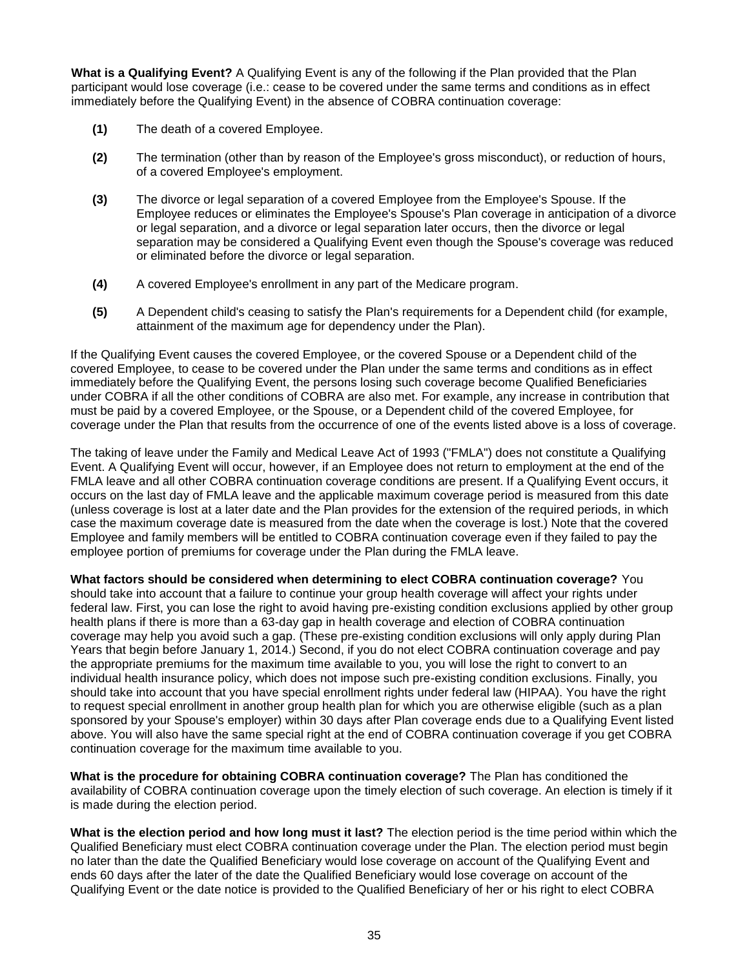**What is a Qualifying Event?** A Qualifying Event is any of the following if the Plan provided that the Plan participant would lose coverage (i.e.: cease to be covered under the same terms and conditions as in effect immediately before the Qualifying Event) in the absence of COBRA continuation coverage:

- **(1)** The death of a covered Employee.
- **(2)** The termination (other than by reason of the Employee's gross misconduct), or reduction of hours, of a covered Employee's employment.
- **(3)** The divorce or legal separation of a covered Employee from the Employee's Spouse. If the Employee reduces or eliminates the Employee's Spouse's Plan coverage in anticipation of a divorce or legal separation, and a divorce or legal separation later occurs, then the divorce or legal separation may be considered a Qualifying Event even though the Spouse's coverage was reduced or eliminated before the divorce or legal separation.
- **(4)** A covered Employee's enrollment in any part of the Medicare program.
- **(5)** A Dependent child's ceasing to satisfy the Plan's requirements for a Dependent child (for example, attainment of the maximum age for dependency under the Plan).

If the Qualifying Event causes the covered Employee, or the covered Spouse or a Dependent child of the covered Employee, to cease to be covered under the Plan under the same terms and conditions as in effect immediately before the Qualifying Event, the persons losing such coverage become Qualified Beneficiaries under COBRA if all the other conditions of COBRA are also met. For example, any increase in contribution that must be paid by a covered Employee, or the Spouse, or a Dependent child of the covered Employee, for coverage under the Plan that results from the occurrence of one of the events listed above is a loss of coverage.

The taking of leave under the Family and Medical Leave Act of 1993 ("FMLA") does not constitute a Qualifying Event. A Qualifying Event will occur, however, if an Employee does not return to employment at the end of the FMLA leave and all other COBRA continuation coverage conditions are present. If a Qualifying Event occurs, it occurs on the last day of FMLA leave and the applicable maximum coverage period is measured from this date (unless coverage is lost at a later date and the Plan provides for the extension of the required periods, in which case the maximum coverage date is measured from the date when the coverage is lost.) Note that the covered Employee and family members will be entitled to COBRA continuation coverage even if they failed to pay the employee portion of premiums for coverage under the Plan during the FMLA leave.

**What factors should be considered when determining to elect COBRA continuation coverage?** You should take into account that a failure to continue your group health coverage will affect your rights under federal law. First, you can lose the right to avoid having pre-existing condition exclusions applied by other group health plans if there is more than a 63-day gap in health coverage and election of COBRA continuation coverage may help you avoid such a gap. (These pre-existing condition exclusions will only apply during Plan Years that begin before January 1, 2014.) Second, if you do not elect COBRA continuation coverage and pay the appropriate premiums for the maximum time available to you, you will lose the right to convert to an individual health insurance policy, which does not impose such pre-existing condition exclusions. Finally, you should take into account that you have special enrollment rights under federal law (HIPAA). You have the right to request special enrollment in another group health plan for which you are otherwise eligible (such as a plan sponsored by your Spouse's employer) within 30 days after Plan coverage ends due to a Qualifying Event listed above. You will also have the same special right at the end of COBRA continuation coverage if you get COBRA continuation coverage for the maximum time available to you.

**What is the procedure for obtaining COBRA continuation coverage?** The Plan has conditioned the availability of COBRA continuation coverage upon the timely election of such coverage. An election is timely if it is made during the election period.

**What is the election period and how long must it last?** The election period is the time period within which the Qualified Beneficiary must elect COBRA continuation coverage under the Plan. The election period must begin no later than the date the Qualified Beneficiary would lose coverage on account of the Qualifying Event and ends 60 days after the later of the date the Qualified Beneficiary would lose coverage on account of the Qualifying Event or the date notice is provided to the Qualified Beneficiary of her or his right to elect COBRA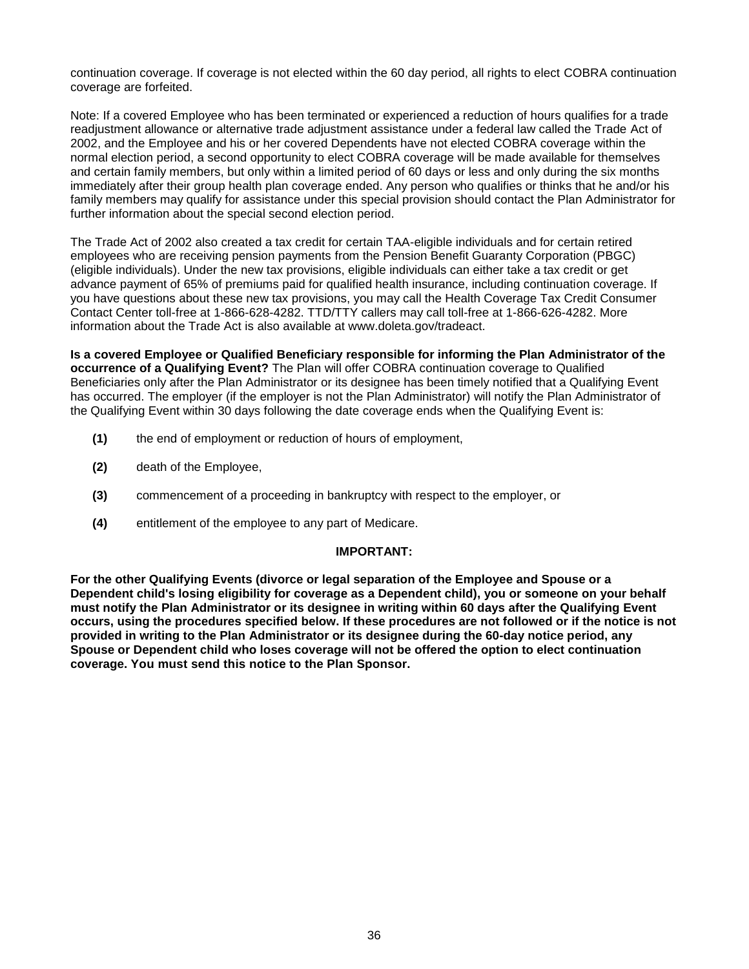continuation coverage. If coverage is not elected within the 60 day period, all rights to elect COBRA continuation coverage are forfeited.

Note: If a covered Employee who has been terminated or experienced a reduction of hours qualifies for a trade readjustment allowance or alternative trade adjustment assistance under a federal law called the Trade Act of 2002, and the Employee and his or her covered Dependents have not elected COBRA coverage within the normal election period, a second opportunity to elect COBRA coverage will be made available for themselves and certain family members, but only within a limited period of 60 days or less and only during the six months immediately after their group health plan coverage ended. Any person who qualifies or thinks that he and/or his family members may qualify for assistance under this special provision should contact the Plan Administrator for further information about the special second election period.

The Trade Act of 2002 also created a tax credit for certain TAA-eligible individuals and for certain retired employees who are receiving pension payments from the Pension Benefit Guaranty Corporation (PBGC) (eligible individuals). Under the new tax provisions, eligible individuals can either take a tax credit or get advance payment of 65% of premiums paid for qualified health insurance, including continuation coverage. If you have questions about these new tax provisions, you may call the Health Coverage Tax Credit Consumer Contact Center toll-free at 1-866-628-4282. TTD/TTY callers may call toll-free at 1-866-626-4282. More information about the Trade Act is also available at www.doleta.gov/tradeact.

**Is a covered Employee or Qualified Beneficiary responsible for informing the Plan Administrator of the occurrence of a Qualifying Event?** The Plan will offer COBRA continuation coverage to Qualified Beneficiaries only after the Plan Administrator or its designee has been timely notified that a Qualifying Event has occurred. The employer (if the employer is not the Plan Administrator) will notify the Plan Administrator of the Qualifying Event within 30 days following the date coverage ends when the Qualifying Event is:

- **(1)** the end of employment or reduction of hours of employment,
- **(2)** death of the Employee,
- **(3)** commencement of a proceeding in bankruptcy with respect to the employer, or
- **(4)** entitlement of the employee to any part of Medicare.

#### **IMPORTANT:**

**For the other Qualifying Events (divorce or legal separation of the Employee and Spouse or a Dependent child's losing eligibility for coverage as a Dependent child), you or someone on your behalf must notify the Plan Administrator or its designee in writing within 60 days after the Qualifying Event occurs, using the procedures specified below. If these procedures are not followed or if the notice is not provided in writing to the Plan Administrator or its designee during the 60-day notice period, any Spouse or Dependent child who loses coverage will not be offered the option to elect continuation coverage. You must send this notice to the Plan Sponsor.**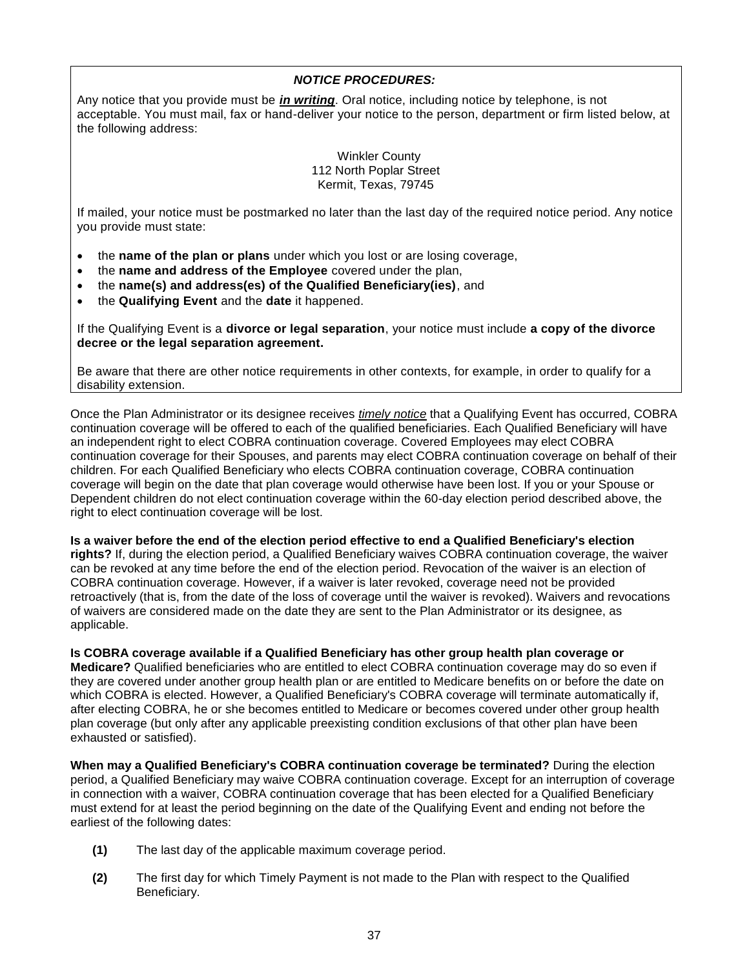## *NOTICE PROCEDURES:*

Any notice that you provide must be *in writing*. Oral notice, including notice by telephone, is not acceptable. You must mail, fax or hand-deliver your notice to the person, department or firm listed below, at the following address:

> Winkler County 112 North Poplar Street Kermit, Texas, 79745

If mailed, your notice must be postmarked no later than the last day of the required notice period. Any notice you provide must state:

- the **name of the plan or plans** under which you lost or are losing coverage,
- the **name and address of the Employee** covered under the plan,
- the **name(s) and address(es) of the Qualified Beneficiary(ies)**, and
- the **Qualifying Event** and the **date** it happened.

If the Qualifying Event is a **divorce or legal separation**, your notice must include **a copy of the divorce decree or the legal separation agreement.**

Be aware that there are other notice requirements in other contexts, for example, in order to qualify for a disability extension.

Once the Plan Administrator or its designee receives *timely notice* that a Qualifying Event has occurred, COBRA continuation coverage will be offered to each of the qualified beneficiaries. Each Qualified Beneficiary will have an independent right to elect COBRA continuation coverage. Covered Employees may elect COBRA continuation coverage for their Spouses, and parents may elect COBRA continuation coverage on behalf of their children. For each Qualified Beneficiary who elects COBRA continuation coverage, COBRA continuation coverage will begin on the date that plan coverage would otherwise have been lost. If you or your Spouse or Dependent children do not elect continuation coverage within the 60-day election period described above, the right to elect continuation coverage will be lost.

**Is a waiver before the end of the election period effective to end a Qualified Beneficiary's election** 

**rights?** If, during the election period, a Qualified Beneficiary waives COBRA continuation coverage, the waiver can be revoked at any time before the end of the election period. Revocation of the waiver is an election of COBRA continuation coverage. However, if a waiver is later revoked, coverage need not be provided retroactively (that is, from the date of the loss of coverage until the waiver is revoked). Waivers and revocations of waivers are considered made on the date they are sent to the Plan Administrator or its designee, as applicable.

**Is COBRA coverage available if a Qualified Beneficiary has other group health plan coverage or** 

**Medicare?** Qualified beneficiaries who are entitled to elect COBRA continuation coverage may do so even if they are covered under another group health plan or are entitled to Medicare benefits on or before the date on which COBRA is elected. However, a Qualified Beneficiary's COBRA coverage will terminate automatically if, after electing COBRA, he or she becomes entitled to Medicare or becomes covered under other group health plan coverage (but only after any applicable preexisting condition exclusions of that other plan have been exhausted or satisfied).

**When may a Qualified Beneficiary's COBRA continuation coverage be terminated?** During the election period, a Qualified Beneficiary may waive COBRA continuation coverage. Except for an interruption of coverage in connection with a waiver, COBRA continuation coverage that has been elected for a Qualified Beneficiary must extend for at least the period beginning on the date of the Qualifying Event and ending not before the earliest of the following dates:

- **(1)** The last day of the applicable maximum coverage period.
- **(2)** The first day for which Timely Payment is not made to the Plan with respect to the Qualified Beneficiary.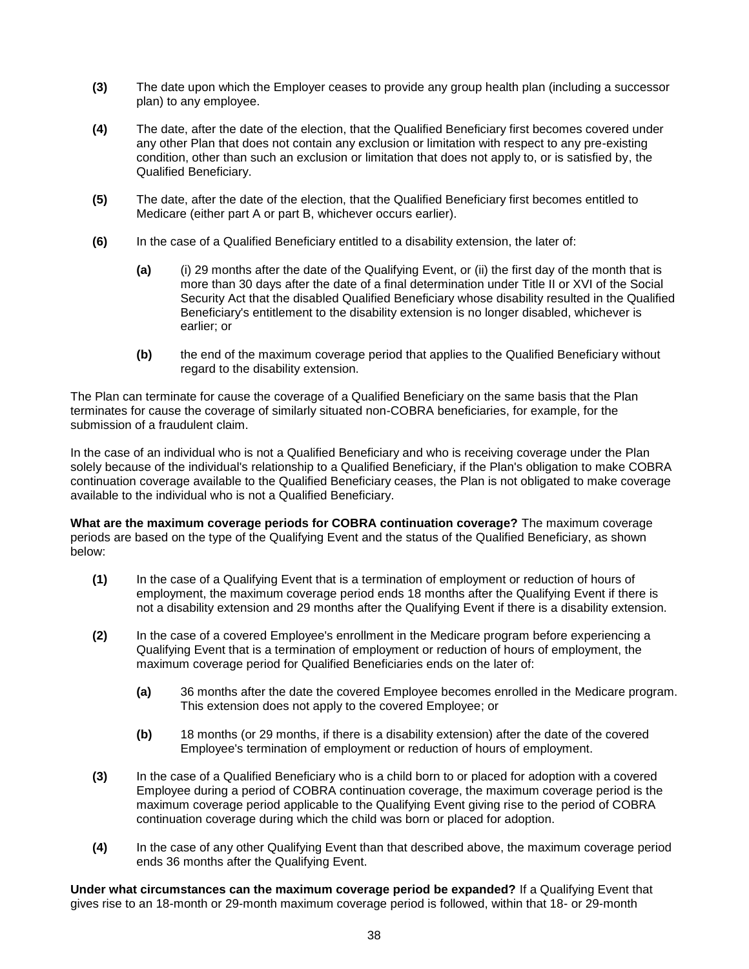- **(3)** The date upon which the Employer ceases to provide any group health plan (including a successor plan) to any employee.
- **(4)** The date, after the date of the election, that the Qualified Beneficiary first becomes covered under any other Plan that does not contain any exclusion or limitation with respect to any pre-existing condition, other than such an exclusion or limitation that does not apply to, or is satisfied by, the Qualified Beneficiary.
- **(5)** The date, after the date of the election, that the Qualified Beneficiary first becomes entitled to Medicare (either part A or part B, whichever occurs earlier).
- **(6)** In the case of a Qualified Beneficiary entitled to a disability extension, the later of:
	- **(a)** (i) 29 months after the date of the Qualifying Event, or (ii) the first day of the month that is more than 30 days after the date of a final determination under Title II or XVI of the Social Security Act that the disabled Qualified Beneficiary whose disability resulted in the Qualified Beneficiary's entitlement to the disability extension is no longer disabled, whichever is earlier; or
	- **(b)** the end of the maximum coverage period that applies to the Qualified Beneficiary without regard to the disability extension.

The Plan can terminate for cause the coverage of a Qualified Beneficiary on the same basis that the Plan terminates for cause the coverage of similarly situated non-COBRA beneficiaries, for example, for the submission of a fraudulent claim.

In the case of an individual who is not a Qualified Beneficiary and who is receiving coverage under the Plan solely because of the individual's relationship to a Qualified Beneficiary, if the Plan's obligation to make COBRA continuation coverage available to the Qualified Beneficiary ceases, the Plan is not obligated to make coverage available to the individual who is not a Qualified Beneficiary.

**What are the maximum coverage periods for COBRA continuation coverage?** The maximum coverage periods are based on the type of the Qualifying Event and the status of the Qualified Beneficiary, as shown below:

- **(1)** In the case of a Qualifying Event that is a termination of employment or reduction of hours of employment, the maximum coverage period ends 18 months after the Qualifying Event if there is not a disability extension and 29 months after the Qualifying Event if there is a disability extension.
- **(2)** In the case of a covered Employee's enrollment in the Medicare program before experiencing a Qualifying Event that is a termination of employment or reduction of hours of employment, the maximum coverage period for Qualified Beneficiaries ends on the later of:
	- **(a)** 36 months after the date the covered Employee becomes enrolled in the Medicare program. This extension does not apply to the covered Employee; or
	- **(b)** 18 months (or 29 months, if there is a disability extension) after the date of the covered Employee's termination of employment or reduction of hours of employment.
- **(3)** In the case of a Qualified Beneficiary who is a child born to or placed for adoption with a covered Employee during a period of COBRA continuation coverage, the maximum coverage period is the maximum coverage period applicable to the Qualifying Event giving rise to the period of COBRA continuation coverage during which the child was born or placed for adoption.
- **(4)** In the case of any other Qualifying Event than that described above, the maximum coverage period ends 36 months after the Qualifying Event.

**Under what circumstances can the maximum coverage period be expanded?** If a Qualifying Event that gives rise to an 18-month or 29-month maximum coverage period is followed, within that 18- or 29-month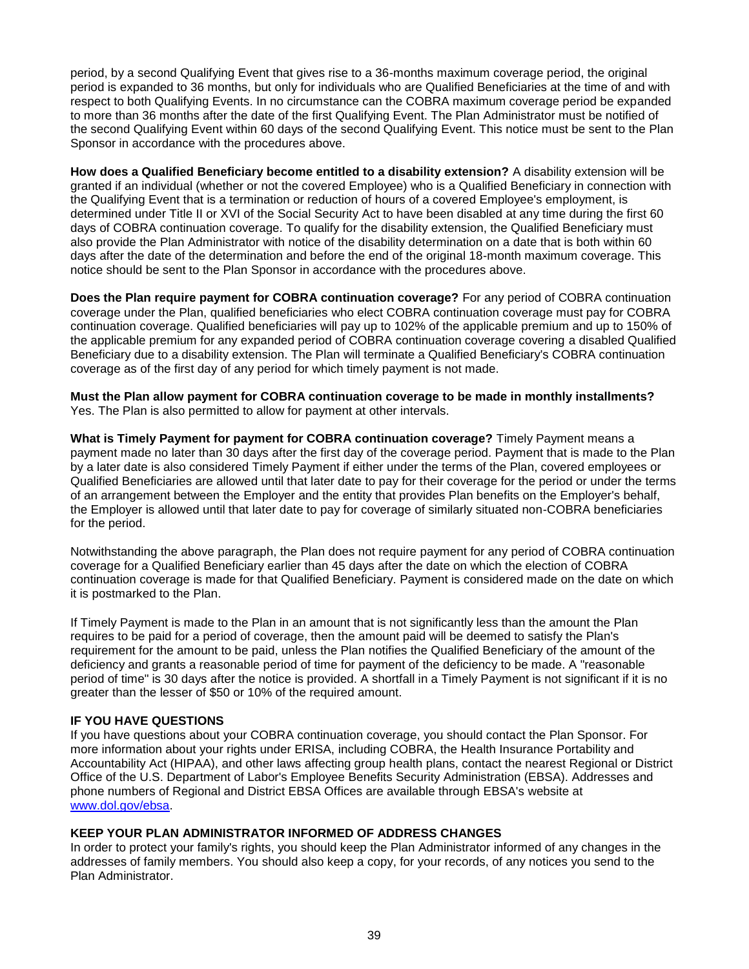period, by a second Qualifying Event that gives rise to a 36-months maximum coverage period, the original period is expanded to 36 months, but only for individuals who are Qualified Beneficiaries at the time of and with respect to both Qualifying Events. In no circumstance can the COBRA maximum coverage period be expanded to more than 36 months after the date of the first Qualifying Event. The Plan Administrator must be notified of the second Qualifying Event within 60 days of the second Qualifying Event. This notice must be sent to the Plan Sponsor in accordance with the procedures above.

**How does a Qualified Beneficiary become entitled to a disability extension?** A disability extension will be granted if an individual (whether or not the covered Employee) who is a Qualified Beneficiary in connection with the Qualifying Event that is a termination or reduction of hours of a covered Employee's employment, is determined under Title II or XVI of the Social Security Act to have been disabled at any time during the first 60 days of COBRA continuation coverage. To qualify for the disability extension, the Qualified Beneficiary must also provide the Plan Administrator with notice of the disability determination on a date that is both within 60 days after the date of the determination and before the end of the original 18-month maximum coverage. This notice should be sent to the Plan Sponsor in accordance with the procedures above.

**Does the Plan require payment for COBRA continuation coverage?** For any period of COBRA continuation coverage under the Plan, qualified beneficiaries who elect COBRA continuation coverage must pay for COBRA continuation coverage. Qualified beneficiaries will pay up to 102% of the applicable premium and up to 150% of the applicable premium for any expanded period of COBRA continuation coverage covering a disabled Qualified Beneficiary due to a disability extension. The Plan will terminate a Qualified Beneficiary's COBRA continuation coverage as of the first day of any period for which timely payment is not made.

**Must the Plan allow payment for COBRA continuation coverage to be made in monthly installments?** Yes. The Plan is also permitted to allow for payment at other intervals.

**What is Timely Payment for payment for COBRA continuation coverage?** Timely Payment means a payment made no later than 30 days after the first day of the coverage period. Payment that is made to the Plan by a later date is also considered Timely Payment if either under the terms of the Plan, covered employees or Qualified Beneficiaries are allowed until that later date to pay for their coverage for the period or under the terms of an arrangement between the Employer and the entity that provides Plan benefits on the Employer's behalf, the Employer is allowed until that later date to pay for coverage of similarly situated non-COBRA beneficiaries for the period.

Notwithstanding the above paragraph, the Plan does not require payment for any period of COBRA continuation coverage for a Qualified Beneficiary earlier than 45 days after the date on which the election of COBRA continuation coverage is made for that Qualified Beneficiary. Payment is considered made on the date on which it is postmarked to the Plan.

If Timely Payment is made to the Plan in an amount that is not significantly less than the amount the Plan requires to be paid for a period of coverage, then the amount paid will be deemed to satisfy the Plan's requirement for the amount to be paid, unless the Plan notifies the Qualified Beneficiary of the amount of the deficiency and grants a reasonable period of time for payment of the deficiency to be made. A "reasonable period of time" is 30 days after the notice is provided. A shortfall in a Timely Payment is not significant if it is no greater than the lesser of \$50 or 10% of the required amount.

#### **IF YOU HAVE QUESTIONS**

If you have questions about your COBRA continuation coverage, you should contact the Plan Sponsor. For more information about your rights under ERISA, including COBRA, the Health Insurance Portability and Accountability Act (HIPAA), and other laws affecting group health plans, contact the nearest Regional or District Office of the U.S. Department of Labor's Employee Benefits Security Administration (EBSA). Addresses and phone numbers of Regional and District EBSA Offices are available through EBSA's website at [www.dol.gov/ebsa.](http://www.dol.gov/ebsa)

#### **KEEP YOUR PLAN ADMINISTRATOR INFORMED OF ADDRESS CHANGES**

In order to protect your family's rights, you should keep the Plan Administrator informed of any changes in the addresses of family members. You should also keep a copy, for your records, of any notices you send to the Plan Administrator.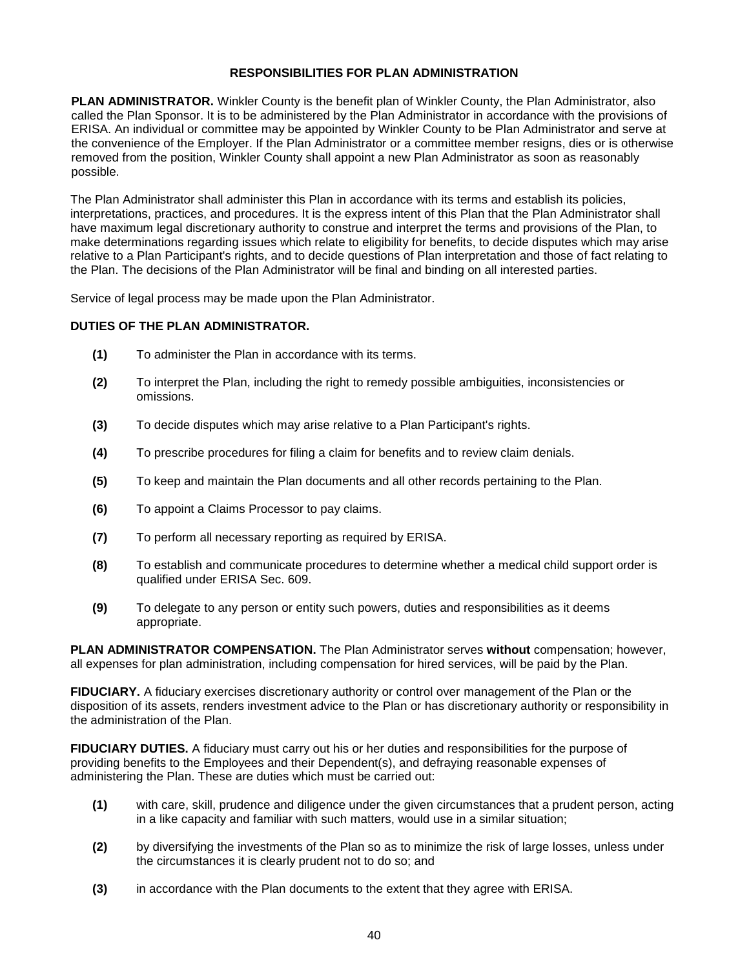### **RESPONSIBILITIES FOR PLAN ADMINISTRATION**

**PLAN ADMINISTRATOR.** Winkler County is the benefit plan of Winkler County, the Plan Administrator, also called the Plan Sponsor. It is to be administered by the Plan Administrator in accordance with the provisions of ERISA. An individual or committee may be appointed by Winkler County to be Plan Administrator and serve at the convenience of the Employer. If the Plan Administrator or a committee member resigns, dies or is otherwise removed from the position, Winkler County shall appoint a new Plan Administrator as soon as reasonably possible.

The Plan Administrator shall administer this Plan in accordance with its terms and establish its policies, interpretations, practices, and procedures. It is the express intent of this Plan that the Plan Administrator shall have maximum legal discretionary authority to construe and interpret the terms and provisions of the Plan, to make determinations regarding issues which relate to eligibility for benefits, to decide disputes which may arise relative to a Plan Participant's rights, and to decide questions of Plan interpretation and those of fact relating to the Plan. The decisions of the Plan Administrator will be final and binding on all interested parties.

Service of legal process may be made upon the Plan Administrator.

## **DUTIES OF THE PLAN ADMINISTRATOR.**

- **(1)** To administer the Plan in accordance with its terms.
- **(2)** To interpret the Plan, including the right to remedy possible ambiguities, inconsistencies or omissions.
- **(3)** To decide disputes which may arise relative to a Plan Participant's rights.
- **(4)** To prescribe procedures for filing a claim for benefits and to review claim denials.
- **(5)** To keep and maintain the Plan documents and all other records pertaining to the Plan.
- **(6)** To appoint a Claims Processor to pay claims.
- **(7)** To perform all necessary reporting as required by ERISA.
- **(8)** To establish and communicate procedures to determine whether a medical child support order is qualified under ERISA Sec. 609.
- **(9)** To delegate to any person or entity such powers, duties and responsibilities as it deems appropriate.

**PLAN ADMINISTRATOR COMPENSATION.** The Plan Administrator serves **without** compensation; however, all expenses for plan administration, including compensation for hired services, will be paid by the Plan.

**FIDUCIARY.** A fiduciary exercises discretionary authority or control over management of the Plan or the disposition of its assets, renders investment advice to the Plan or has discretionary authority or responsibility in the administration of the Plan.

**FIDUCIARY DUTIES.** A fiduciary must carry out his or her duties and responsibilities for the purpose of providing benefits to the Employees and their Dependent(s), and defraying reasonable expenses of administering the Plan. These are duties which must be carried out:

- **(1)** with care, skill, prudence and diligence under the given circumstances that a prudent person, acting in a like capacity and familiar with such matters, would use in a similar situation;
- **(2)** by diversifying the investments of the Plan so as to minimize the risk of large losses, unless under the circumstances it is clearly prudent not to do so; and
- **(3)** in accordance with the Plan documents to the extent that they agree with ERISA.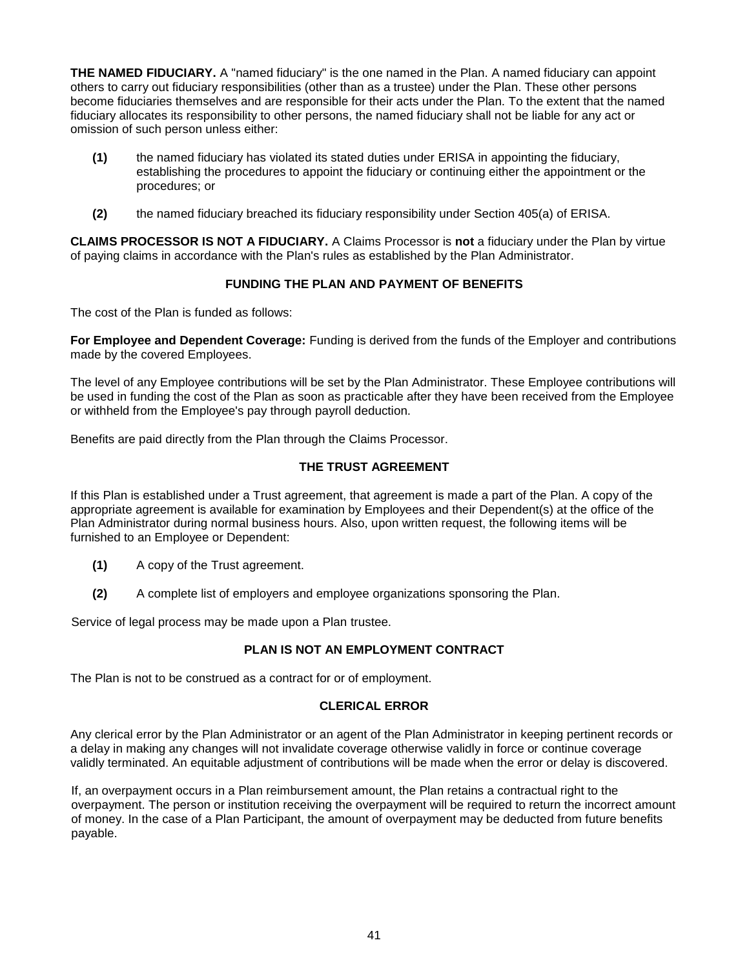**THE NAMED FIDUCIARY.** A "named fiduciary" is the one named in the Plan. A named fiduciary can appoint others to carry out fiduciary responsibilities (other than as a trustee) under the Plan. These other persons become fiduciaries themselves and are responsible for their acts under the Plan. To the extent that the named fiduciary allocates its responsibility to other persons, the named fiduciary shall not be liable for any act or omission of such person unless either:

- **(1)** the named fiduciary has violated its stated duties under ERISA in appointing the fiduciary, establishing the procedures to appoint the fiduciary or continuing either the appointment or the procedures; or
- **(2)** the named fiduciary breached its fiduciary responsibility under Section 405(a) of ERISA.

**CLAIMS PROCESSOR IS NOT A FIDUCIARY.** A Claims Processor is **not** a fiduciary under the Plan by virtue of paying claims in accordance with the Plan's rules as established by the Plan Administrator.

## **FUNDING THE PLAN AND PAYMENT OF BENEFITS**

The cost of the Plan is funded as follows:

**For Employee and Dependent Coverage:** Funding is derived from the funds of the Employer and contributions made by the covered Employees.

The level of any Employee contributions will be set by the Plan Administrator. These Employee contributions will be used in funding the cost of the Plan as soon as practicable after they have been received from the Employee or withheld from the Employee's pay through payroll deduction.

Benefits are paid directly from the Plan through the Claims Processor.

## **THE TRUST AGREEMENT**

If this Plan is established under a Trust agreement, that agreement is made a part of the Plan. A copy of the appropriate agreement is available for examination by Employees and their Dependent(s) at the office of the Plan Administrator during normal business hours. Also, upon written request, the following items will be furnished to an Employee or Dependent:

- **(1)** A copy of the Trust agreement.
- **(2)** A complete list of employers and employee organizations sponsoring the Plan.

Service of legal process may be made upon a Plan trustee.

## **PLAN IS NOT AN EMPLOYMENT CONTRACT**

The Plan is not to be construed as a contract for or of employment.

## **CLERICAL ERROR**

Any clerical error by the Plan Administrator or an agent of the Plan Administrator in keeping pertinent records or a delay in making any changes will not invalidate coverage otherwise validly in force or continue coverage validly terminated. An equitable adjustment of contributions will be made when the error or delay is discovered.

If, an overpayment occurs in a Plan reimbursement amount, the Plan retains a contractual right to the overpayment. The person or institution receiving the overpayment will be required to return the incorrect amount of money. In the case of a Plan Participant, the amount of overpayment may be deducted from future benefits payable.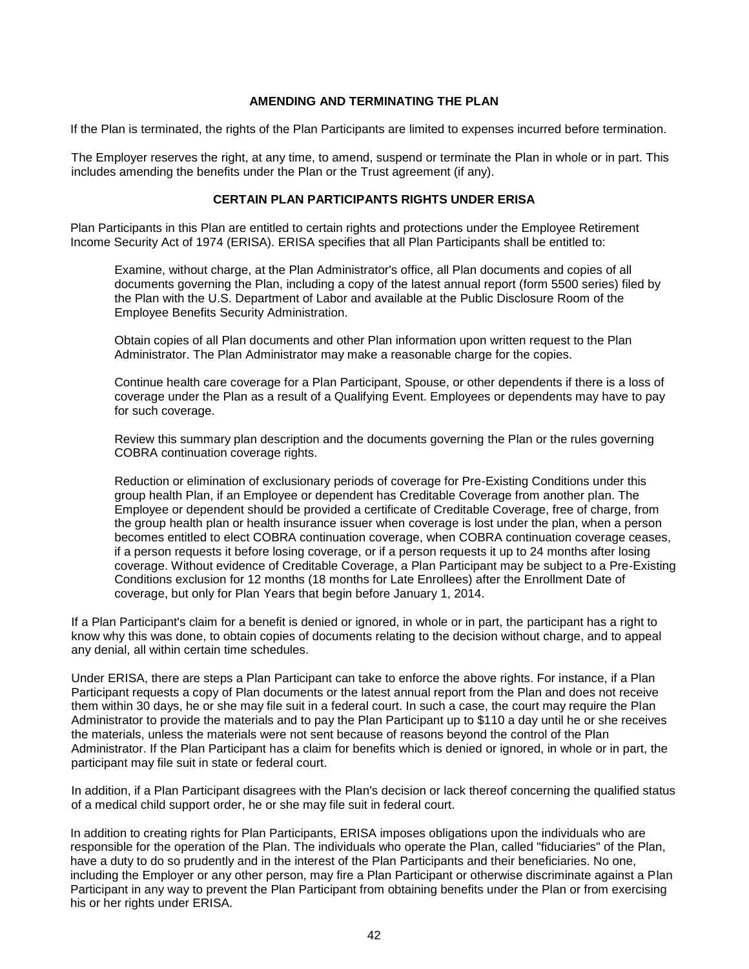### **AMENDING AND TERMINATING THE PLAN**

If the Plan is terminated, the rights of the Plan Participants are limited to expenses incurred before termination.

The Employer reserves the right, at any time, to amend, suspend or terminate the Plan in whole or in part. This includes amending the benefits under the Plan or the Trust agreement (if any).

#### **CERTAIN PLAN PARTICIPANTS RIGHTS UNDER ERISA**

Plan Participants in this Plan are entitled to certain rights and protections under the Employee Retirement Income Security Act of 1974 (ERISA). ERISA specifies that all Plan Participants shall be entitled to:

Examine, without charge, at the Plan Administrator's office, all Plan documents and copies of all documents governing the Plan, including a copy of the latest annual report (form 5500 series) filed by the Plan with the U.S. Department of Labor and available at the Public Disclosure Room of the Employee Benefits Security Administration.

Obtain copies of all Plan documents and other Plan information upon written request to the Plan Administrator. The Plan Administrator may make a reasonable charge for the copies.

Continue health care coverage for a Plan Participant, Spouse, or other dependents if there is a loss of coverage under the Plan as a result of a Qualifying Event. Employees or dependents may have to pay for such coverage.

Review this summary plan description and the documents governing the Plan or the rules governing COBRA continuation coverage rights.

Reduction or elimination of exclusionary periods of coverage for Pre-Existing Conditions under this group health Plan, if an Employee or dependent has Creditable Coverage from another plan. The Employee or dependent should be provided a certificate of Creditable Coverage, free of charge, from the group health plan or health insurance issuer when coverage is lost under the plan, when a person becomes entitled to elect COBRA continuation coverage, when COBRA continuation coverage ceases, if a person requests it before losing coverage, or if a person requests it up to 24 months after losing coverage. Without evidence of Creditable Coverage, a Plan Participant may be subject to a Pre-Existing Conditions exclusion for 12 months (18 months for Late Enrollees) after the Enrollment Date of coverage, but only for Plan Years that begin before January 1, 2014.

If a Plan Participant's claim for a benefit is denied or ignored, in whole or in part, the participant has a right to know why this was done, to obtain copies of documents relating to the decision without charge, and to appeal any denial, all within certain time schedules.

Under ERISA, there are steps a Plan Participant can take to enforce the above rights. For instance, if a Plan Participant requests a copy of Plan documents or the latest annual report from the Plan and does not receive them within 30 days, he or she may file suit in a federal court. In such a case, the court may require the Plan Administrator to provide the materials and to pay the Plan Participant up to \$110 a day until he or she receives the materials, unless the materials were not sent because of reasons beyond the control of the Plan Administrator. If the Plan Participant has a claim for benefits which is denied or ignored, in whole or in part, the participant may file suit in state or federal court.

In addition, if a Plan Participant disagrees with the Plan's decision or lack thereof concerning the qualified status of a medical child support order, he or she may file suit in federal court.

In addition to creating rights for Plan Participants, ERISA imposes obligations upon the individuals who are responsible for the operation of the Plan. The individuals who operate the Plan, called "fiduciaries" of the Plan, have a duty to do so prudently and in the interest of the Plan Participants and their beneficiaries. No one, including the Employer or any other person, may fire a Plan Participant or otherwise discriminate against a Plan Participant in any way to prevent the Plan Participant from obtaining benefits under the Plan or from exercising his or her rights under ERISA.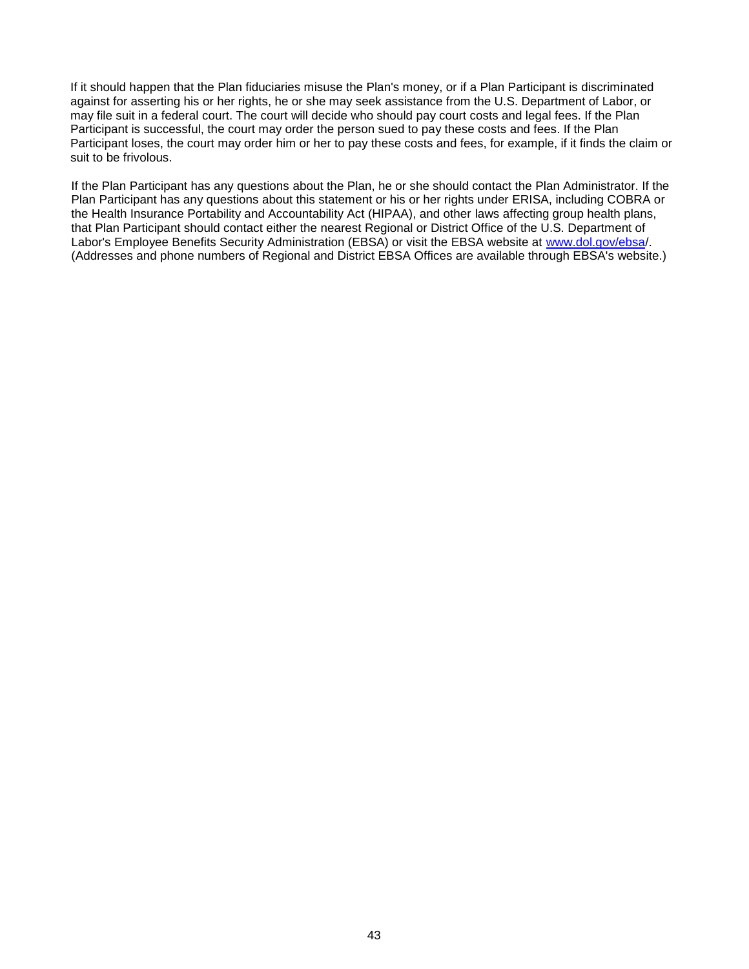If it should happen that the Plan fiduciaries misuse the Plan's money, or if a Plan Participant is discriminated against for asserting his or her rights, he or she may seek assistance from the U.S. Department of Labor, or may file suit in a federal court. The court will decide who should pay court costs and legal fees. If the Plan Participant is successful, the court may order the person sued to pay these costs and fees. If the Plan Participant loses, the court may order him or her to pay these costs and fees, for example, if it finds the claim or suit to be frivolous.

If the Plan Participant has any questions about the Plan, he or she should contact the Plan Administrator. If the Plan Participant has any questions about this statement or his or her rights under ERISA, including COBRA or the Health Insurance Portability and Accountability Act (HIPAA), and other laws affecting group health plans, that Plan Participant should contact either the nearest Regional or District Office of the U.S. Department of Labor's Employee Benefits Security Administration (EBSA) or visit the EBSA website at [www.dol.gov/ebsa/](http://www.dol.gov/ebsa). (Addresses and phone numbers of Regional and District EBSA Offices are available through EBSA's website.)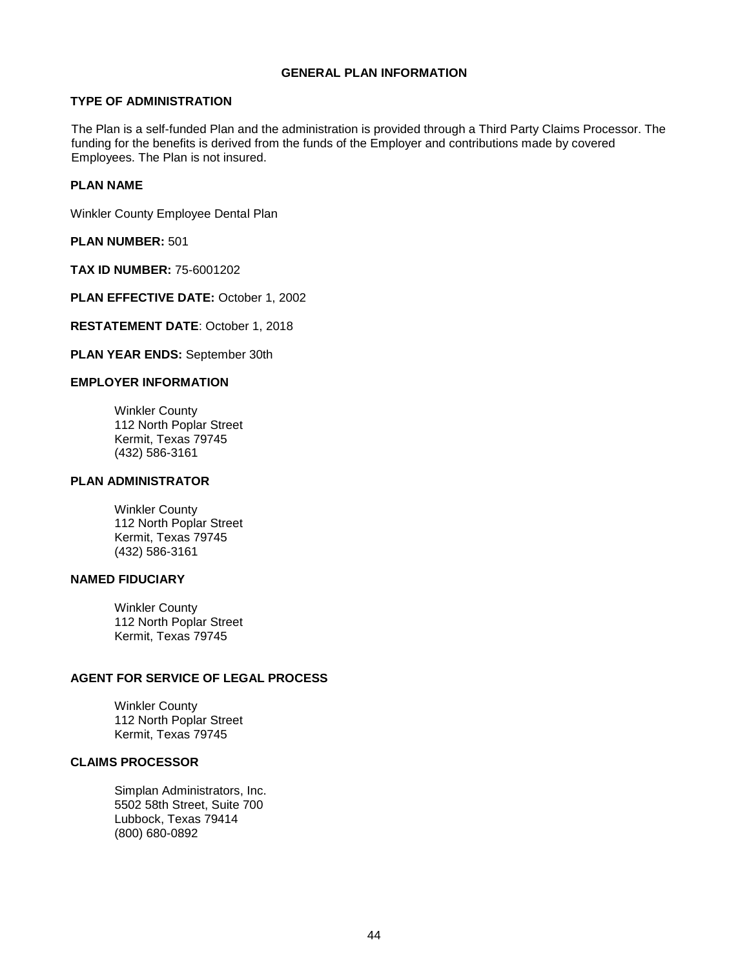#### **GENERAL PLAN INFORMATION**

## **TYPE OF ADMINISTRATION**

The Plan is a self-funded Plan and the administration is provided through a Third Party Claims Processor. The funding for the benefits is derived from the funds of the Employer and contributions made by covered Employees. The Plan is not insured.

## **PLAN NAME**

Winkler County Employee Dental Plan

**PLAN NUMBER:** 501

**TAX ID NUMBER:** 75-6001202

**PLAN EFFECTIVE DATE:** October 1, 2002

**RESTATEMENT DATE**: October 1, 2018

**PLAN YEAR ENDS:** September 30th

## **EMPLOYER INFORMATION**

Winkler County 112 North Poplar Street Kermit, Texas 79745 (432) 586-3161

## **PLAN ADMINISTRATOR**

Winkler County 112 North Poplar Street Kermit, Texas 79745 (432) 586-3161

## **NAMED FIDUCIARY**

Winkler County 112 North Poplar Street Kermit, Texas 79745

## **AGENT FOR SERVICE OF LEGAL PROCESS**

Winkler County 112 North Poplar Street Kermit, Texas 79745

## **CLAIMS PROCESSOR**

Simplan Administrators, Inc. 5502 58th Street, Suite 700 Lubbock, Texas 79414 (800) 680-0892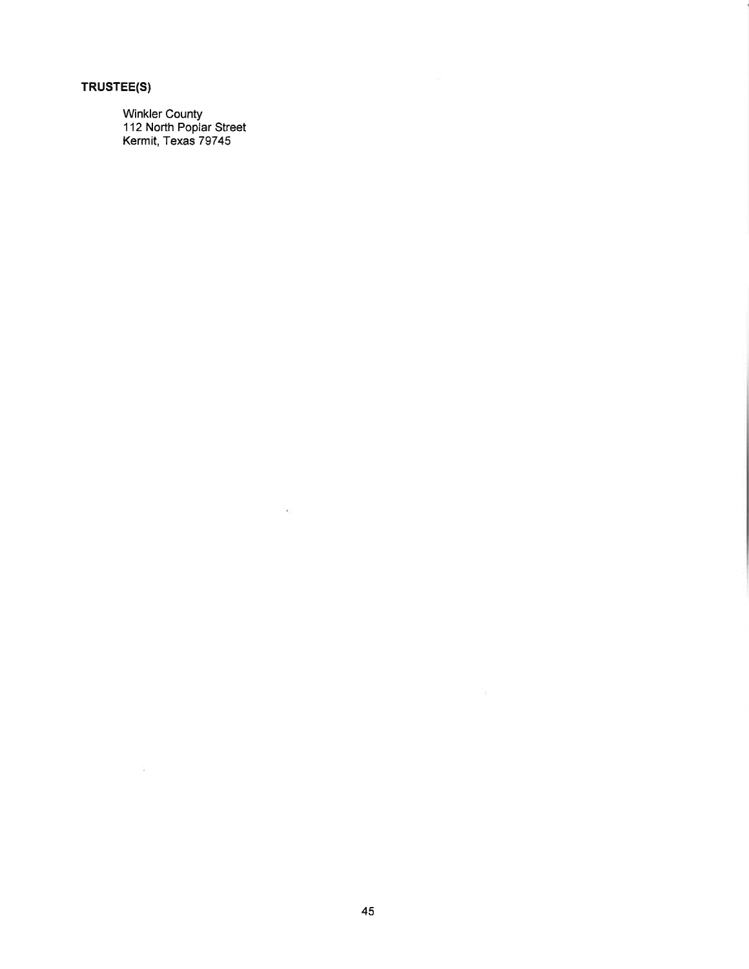# TRUSTEE(S)

 $\sim$   $\alpha$ 

Winkler County<br>112 North Poplar Street<br>Kermit, Texas 79745

 $\langle \cdot | \psi \rangle \rangle$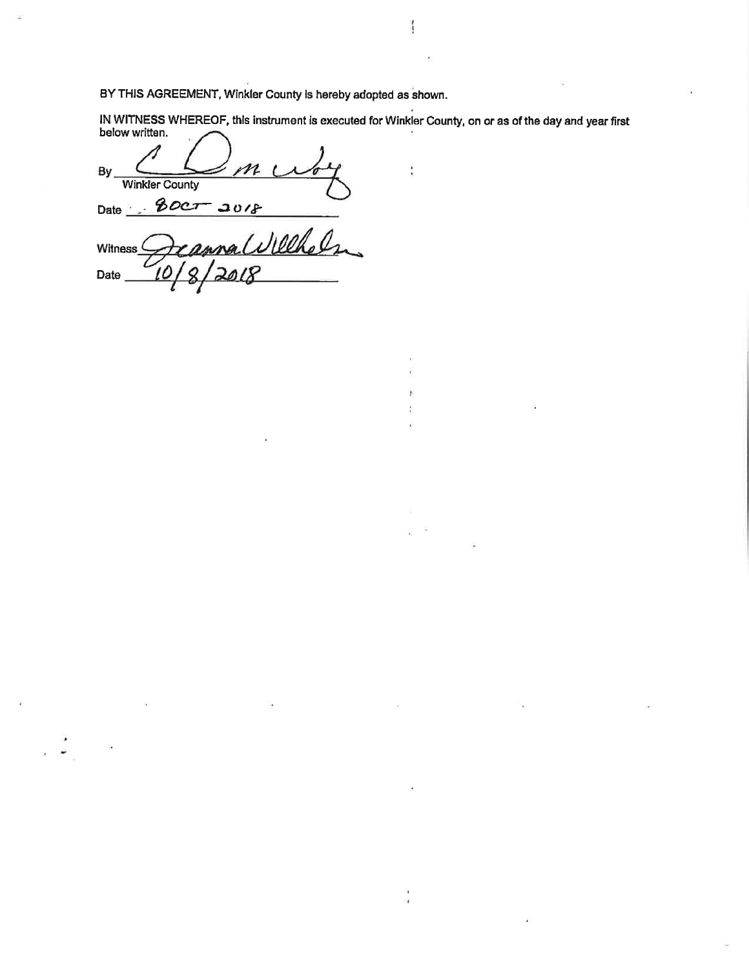BY THIS AGREEMENT, Winkler County is hereby adopted as shown.

IN WITNESS WHEREOF, this instrument is executed for Winkler County, on or as of the day and year first below written.

ł

By, **Winkler County**  $80cT$ 2018 Date anna Willhelm Witness<sup>C</sup> Date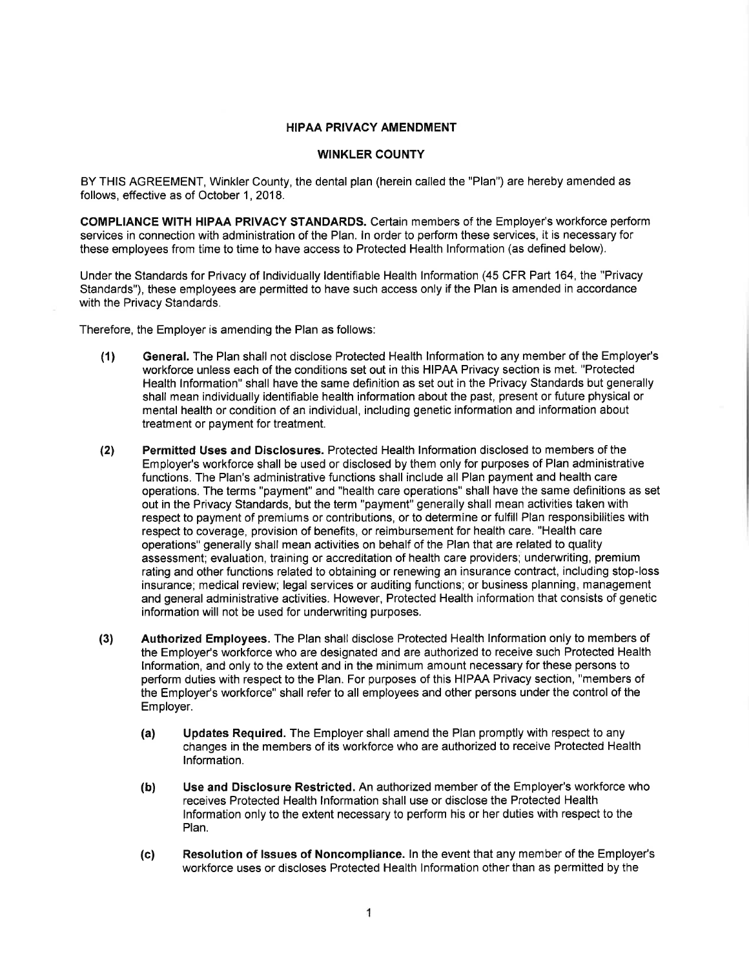#### **HIPAA PRIVACY AMENDMENT**

#### **WINKLER COUNTY**

BY THIS AGREEMENT, Winkler County, the dental plan (herein called the "Plan") are hereby amended as follows, effective as of October 1, 2018.

COMPLIANCE WITH HIPAA PRIVACY STANDARDS. Certain members of the Employer's workforce perform services in connection with administration of the Plan. In order to perform these services, it is necessary for these emplovees from time to time to have access to Protected Health Information (as defined below).

Under the Standards for Privacy of Individually Identifiable Health Information (45 CFR Part 164, the "Privacy Standards"), these employees are permitted to have such access only if the Plan is amended in accordance with the Privacy Standards.

Therefore, the Employer is amending the Plan as follows:

- General. The Plan shall not disclose Protected Health Information to any member of the Employer's  $(1)$ workforce unless each of the conditions set out in this HIPAA Privacy section is met. "Protected Health Information" shall have the same definition as set out in the Privacy Standards but generally shall mean individually identifiable health information about the past, present or future physical or mental health or condition of an individual, including genetic information and information about treatment or payment for treatment.
- $(2)$ Permitted Uses and Disclosures. Protected Health Information disclosed to members of the Employer's workforce shall be used or disclosed by them only for purposes of Plan administrative functions. The Plan's administrative functions shall include all Plan payment and health care operations. The terms "payment" and "health care operations" shall have the same definitions as set out in the Privacy Standards, but the term "payment" generally shall mean activities taken with respect to payment of premiums or contributions, or to determine or fulfill Plan responsibilities with respect to coverage, provision of benefits, or reimbursement for health care. "Health care operations" generally shall mean activities on behalf of the Plan that are related to quality assessment; evaluation, training or accreditation of health care providers; underwriting, premium rating and other functions related to obtaining or renewing an insurance contract, including stop-loss insurance; medical review; legal services or auditing functions; or business planning, management and general administrative activities. However, Protected Health information that consists of genetic information will not be used for underwriting purposes.
- $(3)$ Authorized Employees. The Plan shall disclose Protected Health Information only to members of the Employer's workforce who are designated and are authorized to receive such Protected Health Information, and only to the extent and in the minimum amount necessary for these persons to perform duties with respect to the Plan. For purposes of this HIPAA Privacy section, "members of the Employer's workforce" shall refer to all employees and other persons under the control of the Employer.
	- Updates Required. The Employer shall amend the Plan promptly with respect to any  $(a)$ changes in the members of its workforce who are authorized to receive Protected Health Information.
	- Use and Disclosure Restricted. An authorized member of the Employer's workforce who  $(b)$ receives Protected Health Information shall use or disclose the Protected Health Information only to the extent necessary to perform his or her duties with respect to the Plan.
	- Resolution of Issues of Noncompliance. In the event that any member of the Employer's  $(c)$ workforce uses or discloses Protected Health Information other than as permitted by the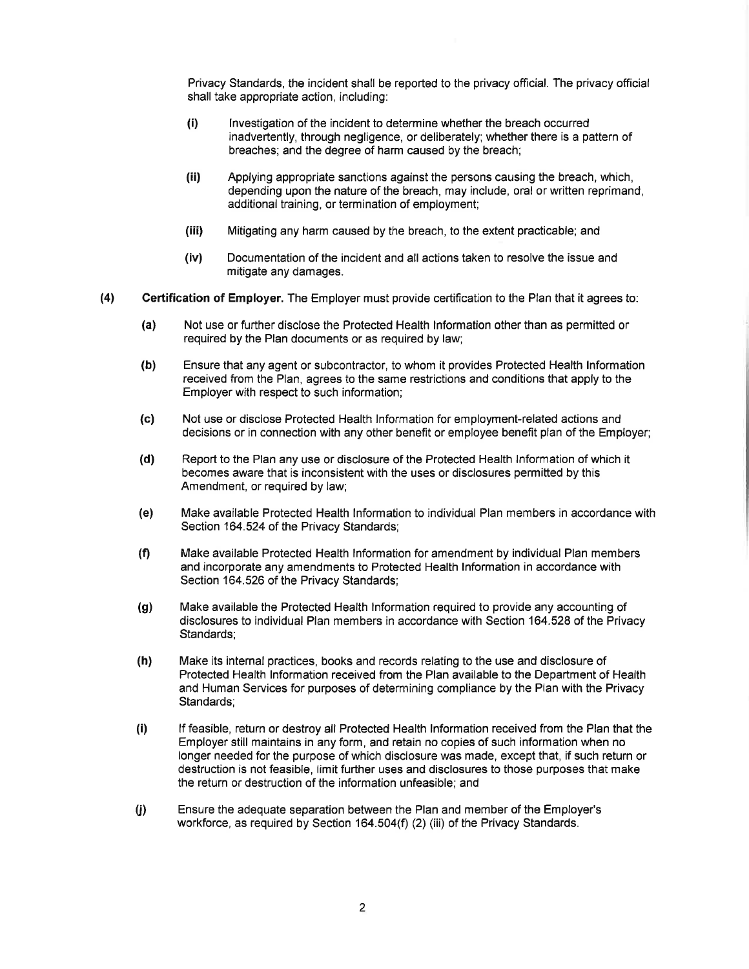Privacy Standards, the incident shall be reported to the privacy official. The privacy official shall take appropriate action, including:

- $(i)$ Investigation of the incident to determine whether the breach occurred inadvertently, through negligence, or deliberately; whether there is a pattern of breaches: and the degree of harm caused by the breach:
- $(ii)$ Applying appropriate sanctions against the persons causing the breach, which, depending upon the nature of the breach, may include, oral or written reprimand. additional training, or termination of employment;
- $(iii)$ Mitigating any harm caused by the breach, to the extent practicable; and
- $(iv)$ Documentation of the incident and all actions taken to resolve the issue and mitigate any damages.
- Certification of Employer. The Employer must provide certification to the Plan that it agrees to:  $(4)$ 
	- $(a)$ Not use or further disclose the Protected Health Information other than as permitted or required by the Plan documents or as required by law;
	- $(b)$ Ensure that any agent or subcontractor, to whom it provides Protected Health Information received from the Plan, agrees to the same restrictions and conditions that apply to the Employer with respect to such information;
	- $(c)$ Not use or disclose Protected Health Information for employment-related actions and decisions or in connection with any other benefit or employee benefit plan of the Employer:
	- $(d)$ Report to the Plan any use or disclosure of the Protected Health Information of which it becomes aware that is inconsistent with the uses or disclosures permitted by this Amendment, or required by law;
	- (e) Make available Protected Health Information to individual Plan members in accordance with Section 164.524 of the Privacy Standards;
	- $(f)$ Make available Protected Health Information for amendment by individual Plan members and incorporate any amendments to Protected Health Information in accordance with Section 164.526 of the Privacy Standards;
	- $(q)$ Make available the Protected Health Information required to provide any accounting of disclosures to individual Plan members in accordance with Section 164.528 of the Privacy Standards;
	- $(h)$ Make its internal practices, books and records relating to the use and disclosure of Protected Health Information received from the Plan available to the Department of Health and Human Services for purposes of determining compliance by the Plan with the Privacy Standards;
	- If feasible, return or destroy all Protected Health Information received from the Plan that the  $(i)$ Employer still maintains in any form, and retain no copies of such information when no longer needed for the purpose of which disclosure was made, except that, if such return or destruction is not feasible. Iimit further uses and disclosures to those purposes that make the return or destruction of the information unfeasible; and
	- $\bf(i)$ Ensure the adequate separation between the Plan and member of the Employer's workforce, as required by Section 164.504(f) (2) (iii) of the Privacy Standards.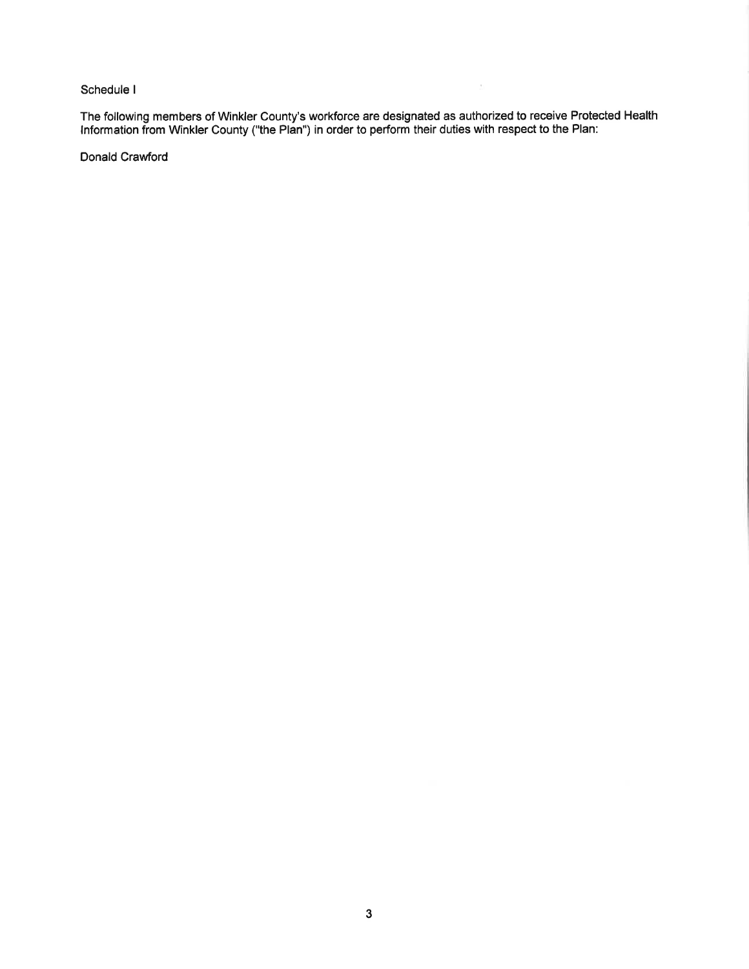## Schedule I

The following members of Winkler County's workforce are designated as authorized to receive Protected Health<br>Information from Winkler County ("the Plan") in order to perform their duties with respect to the Plan:

 $\bar{\Sigma}$ 

Donald Crawford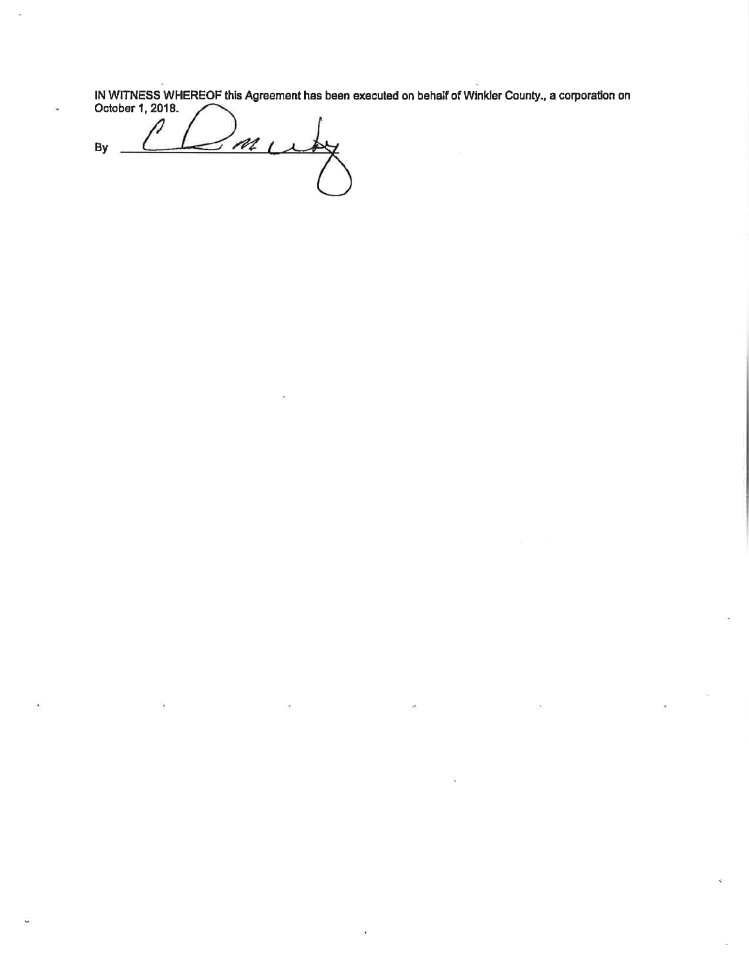IN WITNESS WHEREOF this Agreement has been executed on behalf of Winkler County., a corporation on October 1, 2018.

 $m<sub>L</sub>$ By  $\overline{\phantom{a}}$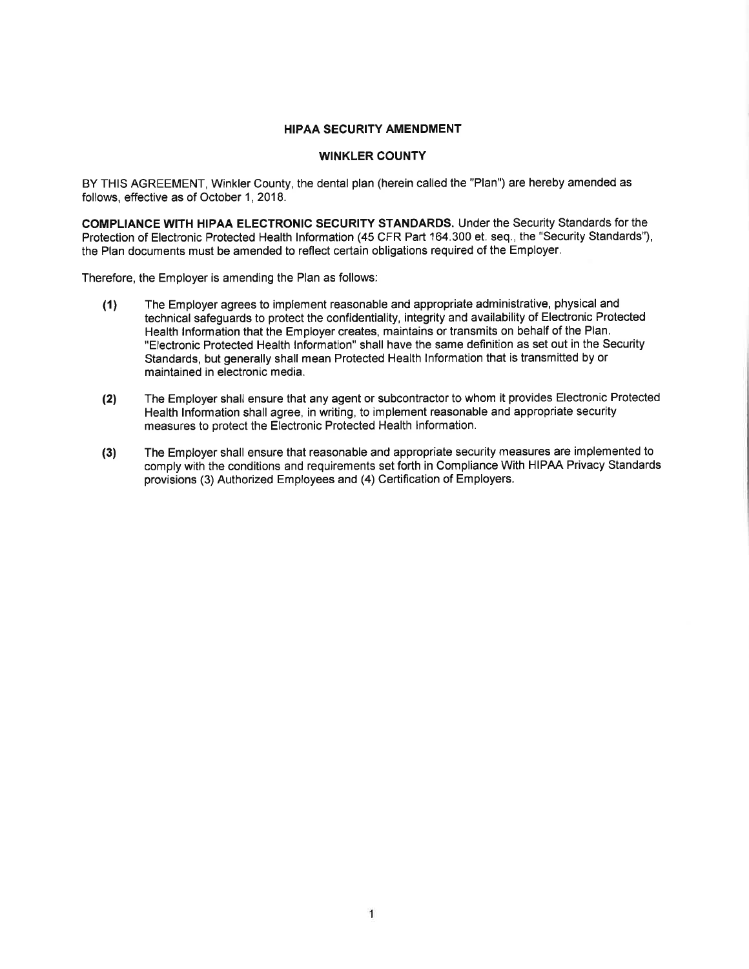#### **HIPAA SECURITY AMENDMENT**

### **WINKLER COUNTY**

BY THIS AGREEMENT, Winkler County, the dental plan (herein called the "Plan") are hereby amended as follows, effective as of October 1, 2018.

COMPLIANCE WITH HIPAA ELECTRONIC SECURITY STANDARDS. Under the Security Standards for the Protection of Electronic Protected Health Information (45 CFR Part 164.300 et. seq., the "Security Standards"), the Plan documents must be amended to reflect certain obligations required of the Employer.

Therefore, the Employer is amending the Plan as follows:

- The Employer agrees to implement reasonable and appropriate administrative, physical and  $(1)$ technical safequards to protect the confidentiality, integrity and availability of Electronic Protected Health Information that the Employer creates, maintains or transmits on behalf of the Plan. "Electronic Protected Health Information" shall have the same definition as set out in the Security Standards, but generally shall mean Protected Health Information that is transmitted by or maintained in electronic media.
- The Employer shall ensure that any agent or subcontractor to whom it provides Electronic Protected  $(2)$ Health Information shall agree, in writing, to implement reasonable and appropriate security measures to protect the Electronic Protected Health Information.
- The Employer shall ensure that reasonable and appropriate security measures are implemented to  $(3)$ comply with the conditions and requirements set forth in Compliance With HIPAA Privacy Standards provisions (3) Authorized Employees and (4) Certification of Employers.